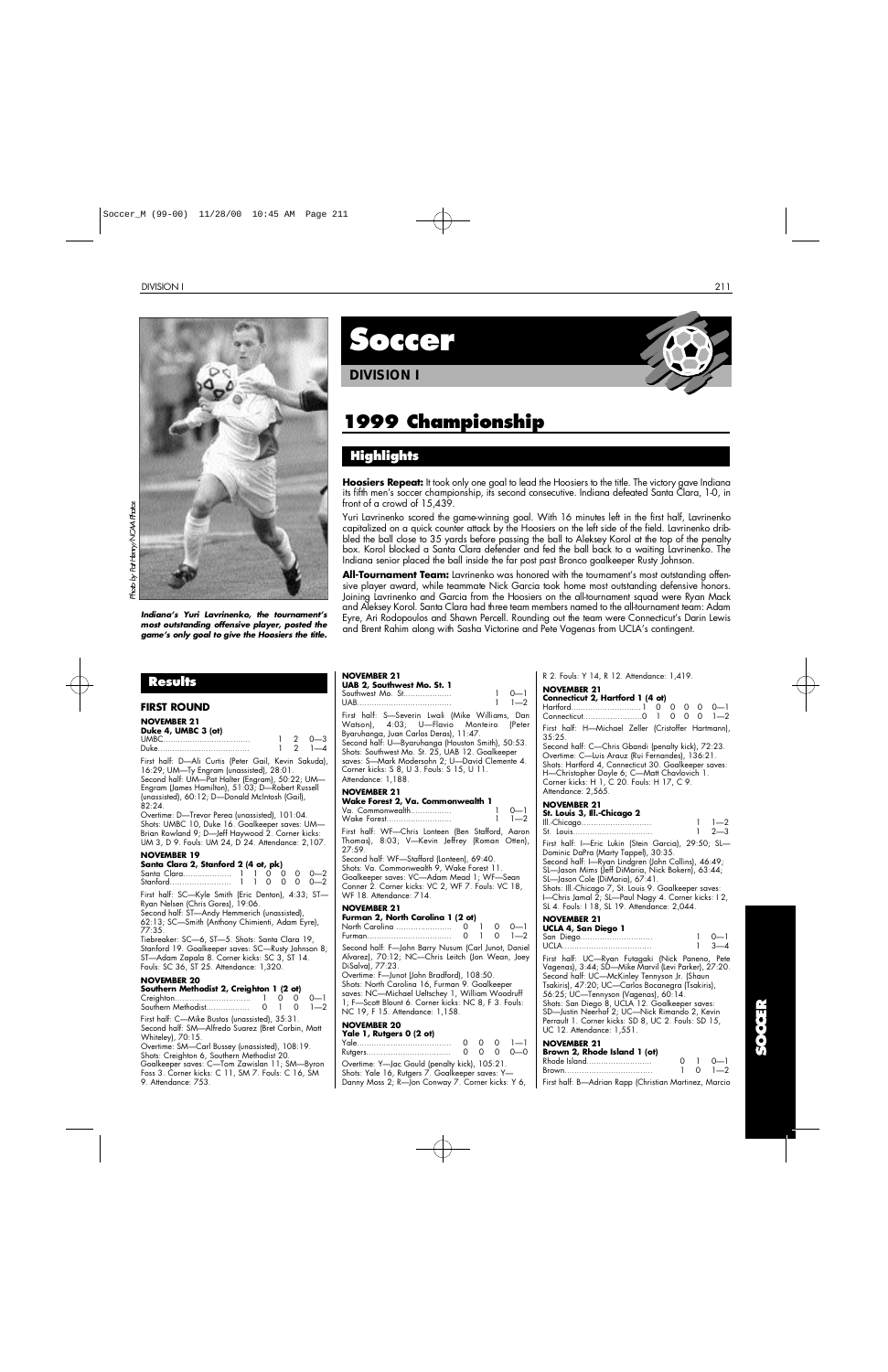

*Indiana's Yuri Lavrinenko, the tournament's most outstanding offensive player, posted the game's only goal to give the Hoosiers the title.*

## **Results**

| FIRST ROUND                                                                                                                                                                                                                                                         |  |                                                                    |
|---------------------------------------------------------------------------------------------------------------------------------------------------------------------------------------------------------------------------------------------------------------------|--|--------------------------------------------------------------------|
| <b>NOVEMBER 21</b><br>Duke 4, UMBC 3 (ot)                                                                                                                                                                                                                           |  | $\begin{array}{cccc} 1 & 2 & 0 & -3 \\ 1 & 2 & 1 & -4 \end{array}$ |
| First half: D-Ali Curtis (Peter Gail, Kevin Sakuda),<br>16:29; UM-Ty Engram (unassisted), 28:01.<br>Second half: UM-Pat Halter (Engram), 50:22; UM-<br>Engram (James Hamilton), 51:03; D-Robert Russell<br>(unassisted), 60:12; D-Donald McIntosh (Gail),<br>82:24. |  |                                                                    |
| Overtime: D-Trevor Perea (unassisted), 101:04.<br>Shots: UMBC 10, Duke 16. Goalkeeper saves: UM-<br>Brian Rowland 9; D-Jeff Haywood 2. Corner kicks:<br>UM 3, D 9. Fouls: UM 24, D 24. Attendance: 2,107.                                                           |  |                                                                    |
| <b>NOVEMBER 19</b><br>Santa Clara 2, Stanford 2 (4 ot, pk)                                                                                                                                                                                                          |  | $0 \t 0 - 2$<br>$0 \t 0 - 2$                                       |
| First half: SC-Kyle Smith (Eric Denton), 4:33; ST-<br>Ryan Nelsen (Chris Gores), 19:06.<br>Second half: ST-Andy Hemmerich (unassisted),<br>62:13; SC-Smith (Anthony Chimienti, Adam Eyre),<br>77:35.                                                                |  |                                                                    |
| Tiebreaker: SC-6, ST-5. Shots: Santa Clara 19,<br>Stanford 19. Goalkeeper saves: SC-Rusty Johnson 8;<br>ST-Adam Zapala 8. Corner kicks: SC 3, ST 14.<br>Fouls: SC 36, ST 25. Attendance: 1,320.                                                                     |  |                                                                    |
| <b>NOVEMRER 20</b>                                                                                                                                                                                                                                                  |  |                                                                    |

#### **NOVEMBER 20 Southern Methodist 2, Creighton 1 (2 ot)** Creighton............................... 1 0 0 0—1 Southern Methodist.................. 0 1 0 1—2 First half: C—Mike Bustos (unassisted), 35:31. Second half: SM—Alfredo Suarez (Bret Corbin, Matt Whiteley), 70:15. Overtime: SM—Carl Bussey (unassisted), 108:19. Shots: Creighton 6, Southern Methodist 20. Goalkeeper saves: C—Tom Zawislan 11; SM—Byron Foss 3. Corner kicks: C 11, SM 7. Fouls: C 16, SM 9. Attendance: 753.

**S o c c e r**

**DIVISION I**

# **1999 Championship**

## **H i g h l i g h t s**

Hoosiers Repeat: It took only one goal to lead the Hoosiers to the title. The victory gave Indiana its fifth men's soccer championship, its second consecutive. Indiana defeated Santa Clara, 1-0, in front of a crowd of 15,439.

Yuri Lavrinenko scored the game-winning goal. With 16 minutes left in the first half, Lavrinenko capitalized on a quick counter attack by the Hoosiers on the left side of the field. Lavrinenko dribbled the ball close to 35 yards before passing the ball to Aleksey Korol at the top of the penalty box. Korol blocked a Santa Clara defender and fed the ball back to a waiting Lavrinenko. The Indiana senior placed the ball inside the far post past Bronco goalkeeper Rusty Johnson.

**All-Tournament Team:** Lavrinenko was honored with the tournament's most outstanding offensive player award, while teammate Nick Garcia took home most outstanding defensive honors. Joining Lavrinenko and Garcia from the Hoosiers on the all-tournament squad were Ryan Mack and Aleksey Korol. Santa Clara had three team members named to the all-tournament team: Adam Eyre, Ari Rodopoulos and Shawn Percell. Rounding out the team were Connecticut's Darin Lewis and Brent Rahim along with Sasha Victorine and Pete Vagenas from UCLA's contingent.

#### **NOVEMBER 21 UAB 2, Southwest Mo. St. 1** Southwest Mo. St.................... 1 0—1 UAB....................................... 1 1—2 First half: S—Severin Lwali (Mike Williams, Dan Watson), 4:03; U-Flavio Monteiro Byaruhanga, Juan Carlos Deras), 11:47. Second half: U—Byaruhanga (Houston Smith), 50:53. Shots: Southwest Mo. St. 25, UAB 12. Goalkeeper saves: S—Mark Modersohn 2; U—David Clemente 4. Corner kicks: S 8, U 3. Fouls: S 15, U 11. Attendance: 1,188. **NOVEMBER 21 Wake Forest 2, Va. Commonwealth 1** Va. Commonwealth................. 1 0—1 Wake Forest........................... First half: WF—Chris Lonteen (Ben Stafford, Aaron Thomas), 8:03; V—Kevin Jeffrey (Roman Otten), 27:59. Second half: WF—Stafford (Lonteen), 69:40. Shots: Va. Commonwealth 9, Wake Forest 11. Goalkeeper saves: VC—Adam Mead 1; WF—Sean Conner 2. Corner kicks: VC 2, WF 7. Fouls: VC 18, WF 18. Attendance: 714.

#### **NOVEMBER 21**

| Furman 2, North Carolina 1 (2 ot) |  |                                      |
|-----------------------------------|--|--------------------------------------|
|                                   |  |                                      |
|                                   |  | $0 \quad 1 \quad 0 \quad 1 \quad -2$ |

Second half: F—John Barry Nusum (Carl Junot, Daniel Alvarez), 70:12; NC—Chris Leitch (Jon Wean, Joey DiSalva), 77:23.

Overtime: F—Junot (John Bradford), 108:50. Shots: North Carolina 16, Furman 9. Goalkeeper saves: NC—Michael Ueltschey 1, William Woodruff 1; F—Scott Blount 6. Corner kicks: NC 8, F 3. Fouls: NC 19, F 15. Attendance: 1,158.

## **NOVEMBER 20**

| Yale 1, Rutgers 0 (2 ot)                         |  |                 |
|--------------------------------------------------|--|-----------------|
|                                                  |  | $0 \t 0 \t 1-1$ |
| Rutgers                                          |  | $0 - 0 - 0$     |
| Overtime: Y—Jac Gould (penalty kick), 105:21.    |  |                 |
| Shots: Yale 16, Rutgers 7. Goalkeeper saves: Y—  |  |                 |
| Danny Moss 2; R—Jon Conway 7. Corner kicks: Y 6, |  |                 |

R 2. Fouls: Y 14, R 12. Attendance: 1,419.

## **NOVEMBER 21**

| Connecticut 2, Hartford 1 (4 ot) |  |  |  |
|----------------------------------|--|--|--|
|                                  |  |  |  |
|                                  |  |  |  |
|                                  |  |  |  |

First half: H—Michael Zeller (Cristoffer Hartmann), 35:25. Second half: C—Chris Gbandi (penalty kick), 72:23.

Overtime: C—Luis Arauz (Rui Fernandes), 136:21. Shots: Hartford 4, Connecticut 30. Goalkeeper saves: H—Christopher Doyle 6; C—Matt Chavlovich 1. Corner kicks: H 1, C 20. Fouls: H 17, C 9. Attendance: 2,565.

## **NOVEMBER 21**

| St. Louis 3, III.-Chicaao 2                                                                 |               |
|---------------------------------------------------------------------------------------------|---------------|
| III.-Chicago                                                                                | $1 \quad 1-2$ |
| St. Louis                                                                                   | $1 \quad 2-3$ |
| First half: I—Eric Lukin (Stein Garcia), 29:50; SL—<br>Dominic DaPra (Marty Tappel), 30:35. |               |

Second half: I—Ryan Lindgren (John Collins), 46:49; SL—Jason Mims (Jeff DiMaria, Nick Bokern), 63:44; SL—Jason Cole (DiMaria), 67:41. Shots: Ill.-Chicago 7, St. Louis 9. Goalkeeper saves: I—Chris Jamal 2; SL—Paul Nagy 4. Corner kicks: I 2, SL 4. Fouls: I 18, SL 19. Attendance: 2,044.

## **NOVEMBER 21**

| UCLA 4, San Diego 1 |               |
|---------------------|---------------|
| San Diego           | $\Omega$ $-1$ |
|                     | $1 \quad 3-4$ |

First half: UC—Ryan Futagaki (Nick Paneno, Pete Vagenas), 3:44; SD—Mike Marvil (Levi Parker), 27:20. Second half: UC—McKinley Tennyson Jr. (Shaun Tsakiris), 47:20; UC—Carlos Bocanegra (Tsakiris), 56:25; UC—Tennyson (Vagenas), 60:14. Shots: San Diego 8, UCLA 12. Goalkeeper saves: SD—Justin Neerhof 2; UC—Nick Rimando 2, Kevin Perrault 1. Corner kicks: SD 8, UC 2. Fouls: SD 15, UC 12. Attendance: 1,551.

| .<br>Brown 2, Rhode Island 1 (ot)                     |  |                       |
|-------------------------------------------------------|--|-----------------------|
| Rhode Island                                          |  | $0 \quad 1 \quad 0-1$ |
| Brown                                                 |  | $1 \quad 0 \quad 1-2$ |
| First half: B-Adrian Rapp (Christian Martinez, Marcio |  |                       |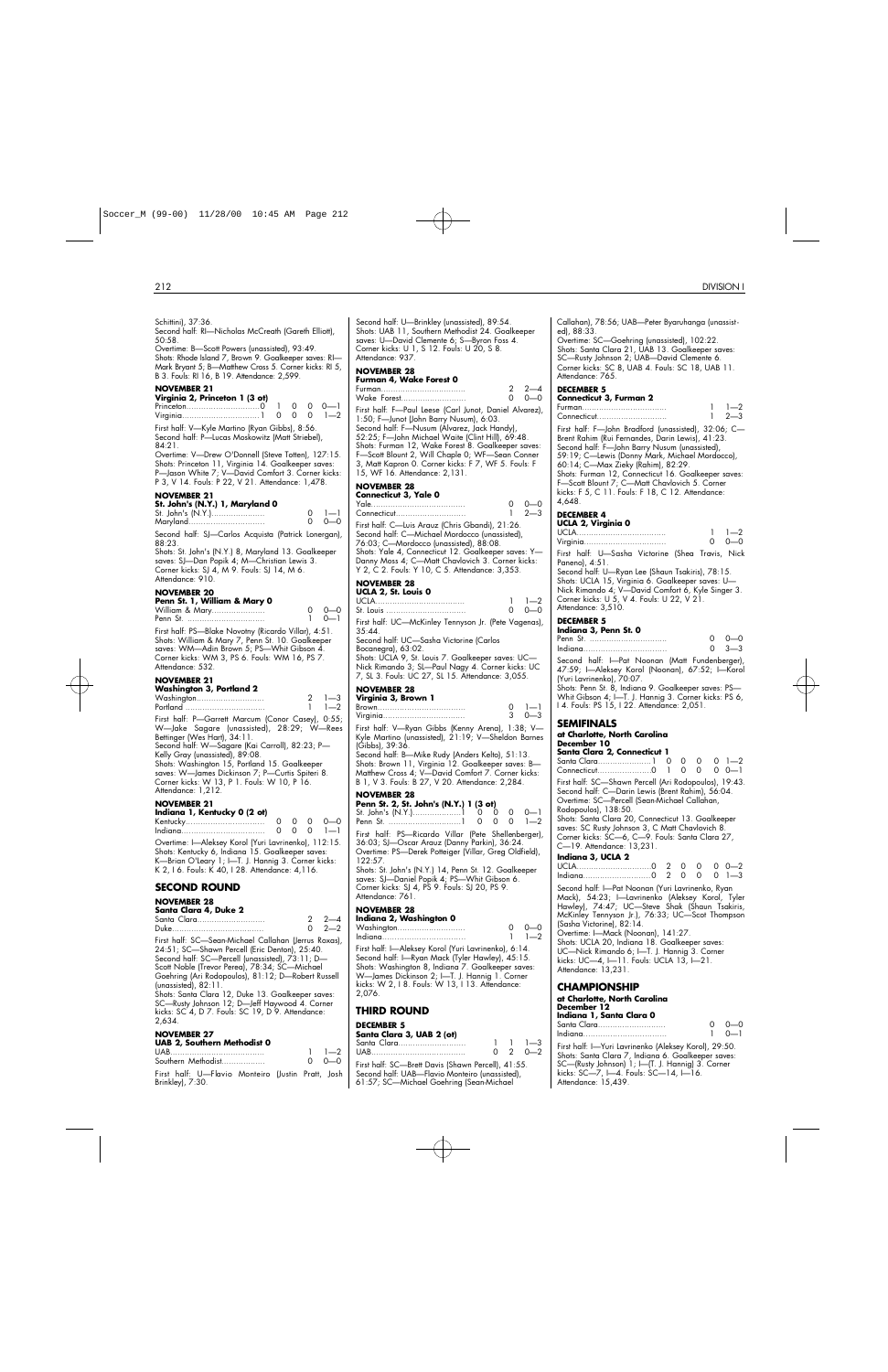| Schittini), 37:36.<br>Second half: RI-Nicholas McCreath (Gareth Elliott),<br>50:58.<br>Overtime: B-Scott Powers (unassisted), 93:49.<br>Shots: Rhode Island 7, Brown 9. Goalkeeper saves: RI-<br>Mark Bryant 5; B—Matthew Cross 5. Corner kicks: RI 5,                                                                                                                                                                                                                             | Second halt: U—Brir<br>Shots: UAB 11, Sou<br>saves: U—David Cle<br>Corner kicks: U 1, S<br>Attendance: 937.<br><b>NOVEMBER 28</b>                                                                                  |
|------------------------------------------------------------------------------------------------------------------------------------------------------------------------------------------------------------------------------------------------------------------------------------------------------------------------------------------------------------------------------------------------------------------------------------------------------------------------------------|--------------------------------------------------------------------------------------------------------------------------------------------------------------------------------------------------------------------|
| B 3. Fouls: RI 16, B 19. Attendance: 2,599.<br><b>NOVEMBER 21</b><br>Virginia 2, Princeton 1 (3 ot)<br>Princeton0<br>$\mathbf{1}$<br>0<br>$\circ$<br>$0 - 1$<br>$1 - 2$<br>0<br>0<br>0                                                                                                                                                                                                                                                                                             | Furman 4, Wake<br>Furman<br>Wake Forest<br>First half: F-Paul L                                                                                                                                                    |
| First half: V—Kyle Martino (Ryan Gibbs), 8:56.<br>Second half: P-Lucas Moskowitz (Matt Striebel),<br>84:21.<br>Overtime: V—Drew O'Donnell (Steve Totten), 127:15.<br>Shots: Princeton 11, Virginia 14. Goalkeeper saves:<br>P-Jason White 7; V-David Comfort 3. Corner kicks:<br>P 3, V 14. Fouls: P 22, V 21. Attendance: 1,478.                                                                                                                                                  | 1:50; F—Junot (Johr<br>Second half: F-Nus<br>52:25; F—John Mic<br>Shots: Furman 12, V<br>F-Scott Blount 2, V<br>3, Matt Kapron 0. C<br>15, WF 16. Attenda<br><b>NOVEMBER 28</b>                                    |
| <b>NOVEMBER 21</b><br>St. John's (N.Y.) 1, Maryland 0<br>St. John's (N.Y.)<br>0<br>$1 - 1$<br>$0 - 0$<br>0<br>Maryland<br>Second half: SJ-Carlos Acquista (Patrick Lonergan),<br>88:23.<br>Shots: St. John's (N.Y.) 8, Maryland 13. Goalkeeper<br>saves: SJ—Dan Popik 4; M—Christian Lewis 3.<br>Corner kicks: SJ 4, M 9. Fouls: SJ 14, M 6.<br>Attendance: 910.                                                                                                                   | Connecticut 3, Ya<br>Yale<br>Connecticut<br>First half: C-Luis Ar<br>Second half: C-Mio<br>76:03; C—Mordocc<br>Shots: Yale 4, Conn<br>Danny Moss 4; C—i<br>Y 2, C 2. Fouls: Y 1                                    |
| <b>NOVEMBER 20</b>                                                                                                                                                                                                                                                                                                                                                                                                                                                                 | NOVEMBER 28<br>UCLA 2, St. Louis                                                                                                                                                                                   |
| Penn St. 1, William & Mary 0<br>$0 - 0$<br>William & Mary<br>0<br>$0 - 1$<br>1<br>First half: PS—Blake Novotny (Ricardo Villar), 4:51.<br>Shots: William & Mary 7, Penn St. 10. Goalkeeper<br>saves: WM—Adin Brown 5; PS—Whit Gibson 4.<br>Corner kicks: WM 3, PS 6. Fouls: WM 16, PS 7.<br>Attendance: 532.                                                                                                                                                                       | UCLA<br>St. Louis<br>First half: UC-McK<br>35:44.<br>Second half: UC-S<br>Bocanegra), 63:02.<br>Shots: UCLA 9, St. L<br>Nick Rimando 3; SL                                                                         |
| <b>NOVEMBER 21</b>                                                                                                                                                                                                                                                                                                                                                                                                                                                                 | 7, SL 3. Fouls: UC 2                                                                                                                                                                                               |
| Washington 3, Portland 2<br>$1 - 3$<br>2<br>Washington<br>$1 - 2$<br>1<br>Portland<br>First half: P-Garrett Marcum (Conor Casey), 0:55;<br>W-Jake Sagare (unassisted), 28:29; W-Rees<br>Bettinger (Wes Hart), 34:11.<br>Second half: W—Sagare (Kai Carroll), 82:23; P—<br>Kelly Gray (unassisted), 89:08.<br>Shots: Washington 15, Portland 15. Goalkeeper<br>saves: W-James Dickinson 7; P-Curtis Spiteri 8.<br>Corner kicks: W 13, P 1. Fouls: W 10, P 16.<br>Attendance: 1,212. | NOVEMBER 28<br>Virginia 3, Browr<br>Brown<br>Virginia<br>First halt: V—Ryan<br>Kyle Martino (unass<br>(Gibbs), 39:36.<br>Second halt: B—Mik<br>Shots: Brown 11, Vi<br>Matthew Cross 4; V-<br>B 1, V 3. Fouls: B 2. |
| <b>NOVEMBER 21</b>                                                                                                                                                                                                                                                                                                                                                                                                                                                                 | <b>NOVEMBER 28</b><br>Penn St. 2, St. Jol                                                                                                                                                                          |
| Indiana 1, Kentucky 0 (2 ot)<br>Kentucky<br>0<br>0<br>0<br>$0 - 0$<br>$1 - 1$<br>0<br>0<br>0<br>Overtime: I-Aleksey Korol (Yuri Lavrinenko), 112:15.<br>Shots: Kentucky 6, Indiana 15. Goalkeeper saves:<br>K—Brian O'Leary 1; I—T. J. Hannig 3. Corner kicks:<br>K 2, I 6. Fouls: K 40, I 28. Attendance: 4, 116.                                                                                                                                                                 | St. John's (N.Y.)<br>Penn St.<br>First half: PS—Ricc<br>36:03; SJ—Oscar A<br>Overtime: PS-Derel<br>122:57.<br>Shots: St. John's (N.<br>saves: SJ-Daniel Po                                                         |
| <b>SECOND ROUND</b>                                                                                                                                                                                                                                                                                                                                                                                                                                                                | Corner kicks: SJ 4, F                                                                                                                                                                                              |
| <b>NOVEMBER 28</b><br>Santa Clara 4, Duke 2<br>2—4<br>Santa Clara<br>2<br>$2 - 2$<br>0<br>First half: SC-Sean-Michael Callahan (Jerrus Roxas),                                                                                                                                                                                                                                                                                                                                     | Attendance: 761.<br><b>NOVEMBER 28</b><br>Indiana 2, Washi<br>Washington<br>Indiana                                                                                                                                |
| 24:51; SC—Shawn Percell (Eric Denton), 25:40.<br>Second half: SC-Percell (unassisted), 73:11; D-<br>Scott Noble (Trevor Perea), 78:34; SC-Michael<br>Goehring (Ari Rodopoulos), 81:12; D-Robert Russell                                                                                                                                                                                                                                                                            | First half: I-Aleksey<br>Second half: I-Ryar<br>Shots: Washington &<br>W—James Dickinsor                                                                                                                           |

(unassisted), 82:11. Shots: Santa Clara 12, Duke 13. Goalkeeper saves: SC—Rusty Johnson 12; D—Jeff Haywood 4. Corner kicks: SC 4, D 7. Fouls: SC 19, D 9. Attendance: 2,634.

## **NOVEMBER 27**

| UAB 2, Southern Methodist 0                           |               |
|-------------------------------------------------------|---------------|
|                                                       | $1 \quad 1-2$ |
| Southern Methodist                                    | $0 - 0 - 0$   |
| Ethni bolf, H. Elmith Administra Hospital Daniel Lack |               |

First half: U—Flavio Monteiro (Justin Pratt, Josh Brinkley), 7:30.

nkley (unassisted), 89:54. thern Methodist 24. Goalkeeper emente 6; S—Byron Foss 4. 12. Fouls: U 20, S 8.

| Furman 4, Wake Forest 0 |             |
|-------------------------|-------------|
| Furman                  | $2 \t 2-4$  |
| Wake Forest             | $0 - 0 - 0$ |

eese (Carl Junot, Daniel Alvarez), 1: Barry Nusum), 6:03. sum (Álvarez, Jack Handy) hael Waite (Clint Hill), 69:48. Vake Forest<sup>'</sup>8. Goalkeeper saves: F—Scott Blount 2, Will Chaple 0; WF—Sean Conner 3, Matt Kapron 0. Corner kicks: F 7, WF 5. Fouls: F ance: 2,131.

| Connecticut 3, Yale 0                           |   |                 |
|-------------------------------------------------|---|-----------------|
|                                                 | ∩ | റ—റ             |
| Connecticut                                     |   | $1 \t 2 \t - 3$ |
| First half: C—Luis Arauz (Chris Gbandi), 21:26. |   |                 |
| Second half: C-Michael Mordocco (unassisted),   |   |                 |
| 76:03; C-Mordocco (unassisted), 88:08.          |   |                 |

Shots: Yale 4, Connecticut 12. Goalkeeper saves: Y— Matt Chavlovich 3. Corner kicks: 0, C 5. Attendance: 3,353.

| UCLA 2, St. Louis 0                                  |               |
|------------------------------------------------------|---------------|
|                                                      | $1 \quad 1-2$ |
| St. Louis                                            | $0 - 0 - 0$   |
| First half: UC-McKinley Tennyson Jr. (Pete Vagenas), |               |

Sasha Victorine (Carlos

Louis 7. Goalkeeper saves: UC— <sup>-</sup>Paul Nagy 4. Corner kicks: UC 27, SL 15. Attendance: 3,055.

| Virginia 3, Brown 1                                                                                                                               |               |
|---------------------------------------------------------------------------------------------------------------------------------------------------|---------------|
|                                                                                                                                                   | $0 \quad 1-1$ |
|                                                                                                                                                   | $3 \t 0 - 3$  |
| $E_{\text{test}}$ kill, $M = R_{\text{test}}$ , $C_{\text{test}}$ , $W_{\text{test}}$ , $A_{\text{test}}$ , $A_{\text{test}}$ , $A_{\text{test}}$ |               |

First half: V—Ryan Gibbs (Kenny Arena), 1:38; V— Kyle Martino (unassisted), 21:19; V—Sheldon Barnes

Second half: B—Mike Rudy (Anders Kelto), 51:13. Shots: Brown 11, Virginia 12. Goalkeeper saves: B— David Comfort 7. Corner kicks: 27, V 20. Attendance: 2,284.

**Penn St. 2, St. John's (N.Y.) 1 (3 ot)** St. John's (N.Y.)....................1 0 0 0 0—1 .....................1 ardo Villar (Pete Shellenberger), 4.36:24; Arauz (Danny Parkin), 36:24 k Potteiger (Villar, Greg Oldfield), Y.) 14, Penn St. 12. Goalkeeper saves: SJ—Daniel Popik 4; PS—Whit Gibson 6. <sup>2</sup>S 9. Fouls: SJ 20, PS 9.

| NUVEMDER ZO |                         |  |
|-------------|-------------------------|--|
|             | Indiana 2, Washington 0 |  |

| Washington | $0 - 0$ |
|------------|---------|
|            | $1 - 2$ |

Korol (Yuri Lavrinenko), 6:14. n Mack (Tyler Hawley), 45:15. 8, Indiana 7. Goalkeeper saves: n 2; I—T. J. Hannig 1. Corner kicks: W 2, I 8. Fouls: W 13, I 13. Attendance: 2,076.

## **THIRD ROUND**

## **DECEMBER 5**

## **Santa Clara 3, UAB 2 (ot)** Santa Clara............................ 1 1 1—3

UAB....................................... 0 2 0—2 First half: SC—Brett Davis (Shawn Percell), 41:55. Second half: UAB—Flavio Monteiro (unassisted), 61:57; SC—Michael Goehring (Sean-Michael

| ed), 88:33.<br>Overtime: SC-Goehring (unassisted), 102:22.<br>Shots: Santa Clara 21, UAB 13. Goalkeeper saves:<br>SC-Rusty Johnson 2; UAB-David Clemente 6.<br>Corner kicks: SC 8, UAB 4. Fouls: SC 18, UAB 11.<br>Attendance: 765.                                                                                                                                                                                    |                               |
|------------------------------------------------------------------------------------------------------------------------------------------------------------------------------------------------------------------------------------------------------------------------------------------------------------------------------------------------------------------------------------------------------------------------|-------------------------------|
| <b>DECEMBER 5</b><br>Connecticut 3, Furman 2                                                                                                                                                                                                                                                                                                                                                                           |                               |
| Connecticut                                                                                                                                                                                                                                                                                                                                                                                                            | $1 \quad 1-2$<br>$1 \t 2 - 3$ |
| First half: F-John Bradford (unassisted), 32:06; C-<br>Brent Rahim (Rui Fernandes, Darin Lewis), 41:23.<br>Second half: F-John Barry Nusum (unassisted),<br>59:19; C-Lewis (Donny Mark, Michael Mordocco),<br>60:14; C—Max Zieky (Rahim), 82:29.<br>Shots: Furman 12, Connecticut 16. Goalkeeper saves:<br>F-Scott Blount 7; C-Matt Chavlovich 5. Corner<br>kicks: F 5, C 11. Fouls: F 18, C 12. Attendance:<br>4.648. |                               |
| <b>DECEMBER 4</b>                                                                                                                                                                                                                                                                                                                                                                                                      |                               |
| UCLA 2, Virginia 0<br>$\Omega$                                                                                                                                                                                                                                                                                                                                                                                         | $1 \quad 1 - 2$<br>$0 - 0$    |
| First half: U—Sasha Victorine (Shea Travis, Nick<br>Paneno), 4:51.<br>Second half: U-Ryan Lee (Shaun Tsakiris), 78:15.<br>Shots: UCLA 15, Virginia 6. Goalkeeper saves: U-<br>Nick Rimando 4; V-David Comfort 6, Kyle Singer 3.<br>Corner kicks: U 5, V 4. Fouls: U 22, V 21.<br>Attendance: 3,510.                                                                                                                    |                               |

Callahan), 78:56; UAB—Peter Byaruhanga (unassist -

#### **DECEMBER 5**

| Indiana 3, Penn St. 0 |  |  |  |  |  |  |   |             |  |
|-----------------------|--|--|--|--|--|--|---|-------------|--|
|                       |  |  |  |  |  |  |   | $0 - 0$     |  |
|                       |  |  |  |  |  |  |   | $0 \t3 - 3$ |  |
|                       |  |  |  |  |  |  | . |             |  |

Second half: I—Pat Noonan (Matt Fundenberger), 47:59; I—Aleksey Korol (Noonan), 67:52; I—Korol (Yuri Lavrinenko), 70:07.

Shots: Penn St. 8, Indiana 9. Goalkeeper saves: PS— Whit Gibson 4; I-T. J. Hannig 3. Corner kicks: PS 6, I 4. Fouls: PS 15, I 22. Attendance: 2,051.

#### **SEMIFINALS**

| at Charlotte, North Carolina |  |
|------------------------------|--|

| December 10 |                            |
|-------------|----------------------------|
|             | Canto Clave O. Canto d'act |

| Santa Clara 2, Connecticut 1 |  |                                                                                                                                                                                                                                                                                                                                                                          |
|------------------------------|--|--------------------------------------------------------------------------------------------------------------------------------------------------------------------------------------------------------------------------------------------------------------------------------------------------------------------------------------------------------------------------|
|                              |  |                                                                                                                                                                                                                                                                                                                                                                          |
|                              |  |                                                                                                                                                                                                                                                                                                                                                                          |
|                              |  |                                                                                                                                                                                                                                                                                                                                                                          |
|                              |  |                                                                                                                                                                                                                                                                                                                                                                          |
|                              |  |                                                                                                                                                                                                                                                                                                                                                                          |
|                              |  |                                                                                                                                                                                                                                                                                                                                                                          |
|                              |  |                                                                                                                                                                                                                                                                                                                                                                          |
|                              |  |                                                                                                                                                                                                                                                                                                                                                                          |
|                              |  |                                                                                                                                                                                                                                                                                                                                                                          |
|                              |  |                                                                                                                                                                                                                                                                                                                                                                          |
|                              |  |                                                                                                                                                                                                                                                                                                                                                                          |
|                              |  | $0 \t0 \t0 \t0 \t1-2$<br>$1 \cap 0 \cap 0$ $0-1$<br>First half: SC—Shawn Percell (Ari Rodopoulos), 19:43.<br>Second half: C—Darin Lewis (Brent Rahim), 56:04.<br>Overtime: SC—Percell (Sean-Michael Callahan,<br>Shots: Santa Clara 20, Connecticut 13. Goalkeeper<br>saves: SC Rusty Johnson 3, C Matt Chavlovich 8.<br>Corner kicks: SC-6, C-9. Fouls: Santa Clara 27, |

Second half: I—Pat Noonan (Yuri Lavrinenko, Ryan Mack), 54:23; I—Lavrinenko (Aleksey Korol, Tyler Hawley), 74:47; UC—Steve Shak (Shaun Tsakiris, McKinley Tennyson Jr.), 76:33; UC—Scot Thompson (Sasha Victorine), 82:14.

Overtime: I—Mack (Noonan), 141:27. Shots: UCLA 20, Indiana 18. Goalkeeper saves: UC—Nick Rimando 6; I—T. J. Hannig 3. Corner kicks: UC—4, I—11. Fouls: UCLA 13, I—21. Attendance: 13,231.

#### **CHAMPIONSHIP**

| at Charlotte, North Carolina<br>December 12 |               |
|---------------------------------------------|---------------|
| Indiana 1, Santa Clara 0<br>Santa Clara     | റ റ—റ         |
|                                             | $1 \quad 0-1$ |

First half: I—Yuri Lavrinenko (Aleksey Korol), 29:50. Shots: Santa Clara 7, Indiana 6. Goalkeeper saves: SC—(Rusty Johnson) 1; I—(T. J. Hannig) 3. Corner kicks: SC—7, I—4. Fouls: SC—14, I—16. Attendance: 15,439.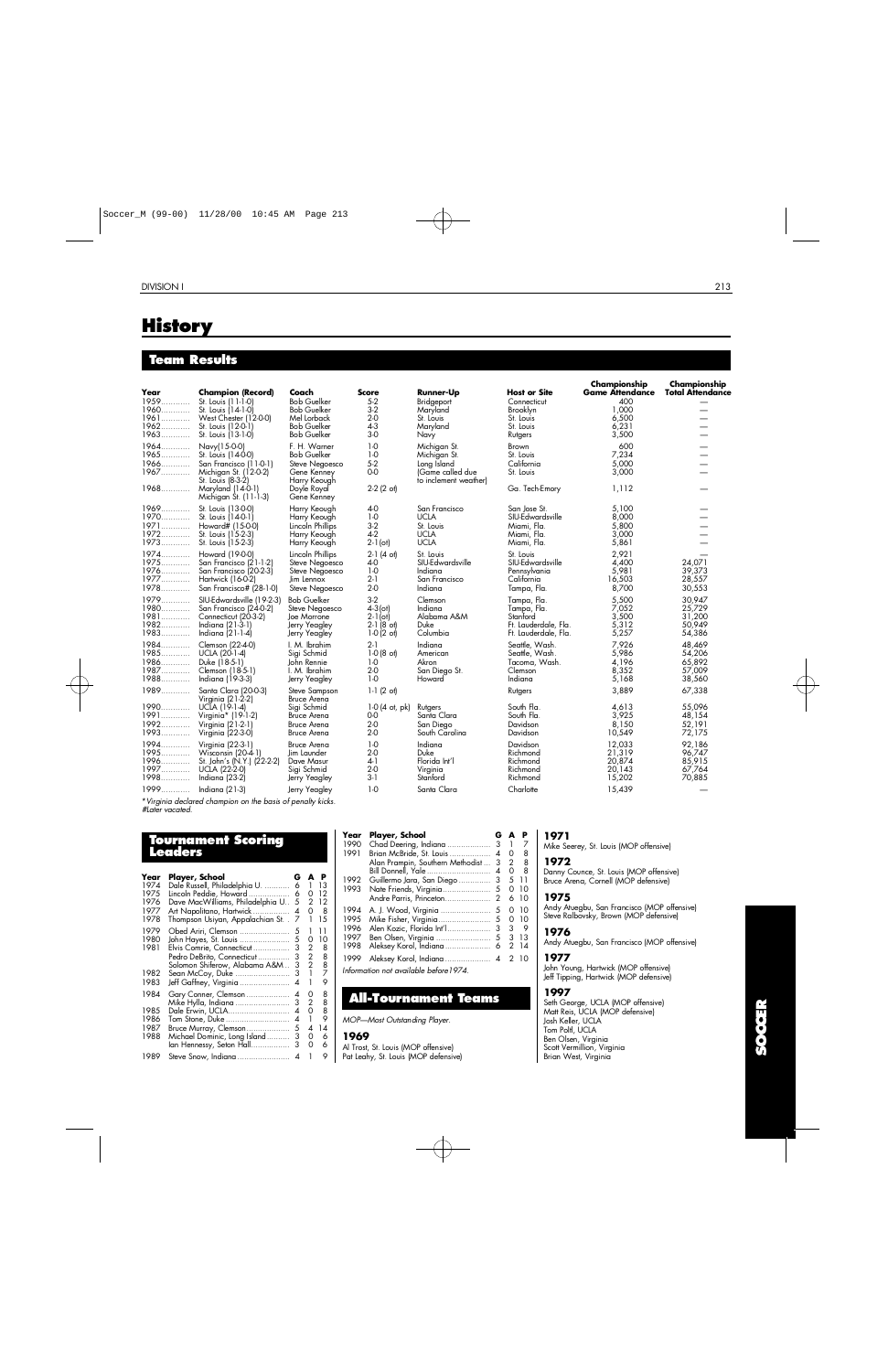# **History**

## **Team Results**

| Year<br>1959<br>1960<br>1961<br>1962<br>1963 | <b>Champion (Record)</b><br>St. Louis (11-1-0)<br>St. Louis (14-1-0)<br>West Chester (12-0-0)<br>St. Louis (12-0-1)<br>St. Louis (13-1-0)                     | Coach<br><b>Bob Guelker</b><br><b>Bob Guelker</b><br>Mel Lorback<br><b>Bob Guelker</b><br><b>Bob Guelker</b>      | <b>Score</b><br>$5-2$<br>$3-2$<br>2-0<br>$4-3$<br>$3-0$                    | <b>Runner-Up</b><br>Bridgeport<br>Maryland<br>St. Louis<br>Maryland<br>Navy              | <b>Host or Site</b><br>Connecticut<br>Brooklyn<br>St. Louis<br>St. Louis<br>Rutgers    | Championship<br><b>Game Attendance</b><br>400<br>1.000<br>6,500<br>6,231<br>3,500 | Championship<br><b>Total Attendance</b>        |
|----------------------------------------------|---------------------------------------------------------------------------------------------------------------------------------------------------------------|-------------------------------------------------------------------------------------------------------------------|----------------------------------------------------------------------------|------------------------------------------------------------------------------------------|----------------------------------------------------------------------------------------|-----------------------------------------------------------------------------------|------------------------------------------------|
| 1964<br>$1965$<br>1966<br>1967               | Navy(15-0-0)<br>St. Louis (14-0-0)<br>San Francisco (11-0-1)<br>Michigan St. (12-0-2)<br>St. Louis (8-3-2)<br>1968 Maryland (14-0-1)<br>Michigan St. (11-1-3) | F. H. Warner<br><b>Bob Guelker</b><br>Steve Negoesco<br>Gene Kenney<br>Harry Keough<br>Doyle Royal<br>Gene Kenney | $1-0$<br>$1-0$<br>$5-2$<br>$0-0$<br>$2-2$ (2 ot)                           | Michigan St.<br>Michigan St.<br>Long Island<br>(Game called due<br>to inclement weather) | <b>Brown</b><br>St. Louis<br>California<br>St. Louis<br>Ga. Tech-Emory                 | 600<br>7,234<br>5,000<br>3,000<br>1,112                                           | $\overline{\phantom{0}}$                       |
| 1969<br>1970<br>1972<br>1973                 | St. Louis (13-0-0)<br>St. Louis (14-0-1)<br>1971 Howard# (15-0-0)<br>St. Louis (15-2-3)<br>St. Louis (15-2-3)                                                 | Harry Keough<br>Harry Keough<br>Lincoln Phillips<br>Harry Keough<br>Harry Keough                                  | 4-0<br>$1-0$<br>$3-2$<br>$4-2$<br>$2-1$ (ot)                               | San Francisco<br><b>UCLA</b><br>St. Louis<br><b>UCLA</b><br><b>UCLA</b>                  | San Jose St.<br>SIU-Edwardsville<br>Miami, Fla.<br>Miami, Fla.<br>Miami, Fla.          | 5,100<br>8,000<br>5,800<br>3,000<br>5,861                                         |                                                |
| 1974<br>1975<br>1976.<br>1977<br>1978        | Howard (19-0-0)<br>San Francisco (21-1-2)<br>San Francisco (20-2-3)<br>Hartwick (16-0-2)<br>San Francisco# (28-1-0)                                           | Lincoln Phillips<br>Steve Negoesco<br>Steve Negoesco<br>Jim Lennox<br>Steve Negoesco                              | $2-1$ (4 of)<br>$4-0$<br>$1-0$<br>$2-1$<br>$2-0$                           | St. Louis<br>SIU-Edwardsville<br>Indiana<br>San Francisco<br>Indiana                     | St. Louis<br>SIU-Edwardsville<br>Pennsylvania<br>California<br>Tampa, Fla.             | 2,921<br>4,400<br>5,981<br>16,503<br>8,700                                        | 24,071<br>39,373<br>28,557<br>30,553           |
| 1979<br>1980<br>1981<br>1982<br>1983         | SIU-Edwardsville (19-2-3)<br>San Francisco (24-0-2)<br>Connecticut (20-3-2)<br>Indiana (21-3-1)<br>Indiana (21-1-4)                                           | <b>Bob Guelker</b><br>Steve Negoesco<br>Joe Morrone<br>Jerry Yeagley<br>Jerry Yeagley                             | $3-2$<br>$4 - 3$ (ot)<br>$2 - 1$ (ot)<br>$2-1(8$ of<br>$1-0(2 \text{ of})$ | Clemson<br>Indiana<br>Alabama A&M<br>Duke<br>Columbia                                    | Tampa, Fla.<br>Tampa, Fla.<br>Stanford<br>Ft. Lauderdale, Fla.<br>Ft. Lauderdale, Fla. | 5,500<br>7,052<br>3,500<br>5,312<br>5,257                                         | 30,947<br>25,729<br>31,200<br>50,949<br>54,386 |
| 1984<br>1985<br>1986<br>1987<br>1988         | Clemson (22-4-0)<br>UCLA (20-1-4)<br>Duke (18-5-1)<br>Clemson (18-5-1)<br>Indiana (19-3-3)                                                                    | I. M. Ibrahim<br>Sigi Schmid<br>John Rennie<br>I. M. Ibrahim<br>Jerry Yeagley                                     | $2-1$<br>$1-0(8$ ot)<br>$1-0$<br>$2-0$<br>$1-0$                            | Indiana<br>American<br>Akron<br>San Diego St.<br>Howard                                  | Seattle, Wash.<br>Seattle, Wash.<br>Tacoma, Wash.<br>Clemson<br>Indiana                | 7,926<br>5,986<br>4,196<br>8.352<br>5,168                                         | 48,469<br>54,206<br>65,892<br>57,009<br>38,560 |
| 1989<br>1990<br>1991<br>1992<br>1993         | Santa Clara (20-0-3)<br>Virginia (21-2-2)<br>UCIA (19-1-4)<br>Virginia* (19-1-2)<br>Virginia (21-2-1)<br>Virginia (22-3-0)                                    | Steve Sampson<br>Bruce Arena<br>Sigi Schmid<br><b>Bruce Arena</b><br><b>Bruce Arena</b><br><b>Bruce Arena</b>     | $1-1(2^{\circ}$<br>$1-0$ (4 ot, pk)<br>$0-0$<br>$2-0$<br>$2-0$             | Rutgers<br>Santa Clara<br>San Diego<br>South Carolina                                    | Rutgers<br>South Fla.<br>South Fla.<br>Davidson<br>Davidson                            | 3,889<br>4,613<br>3,925<br>8,150<br>10,549                                        | 67,338<br>55,096<br>48.154<br>52,191<br>72,175 |
| 1994<br>1995<br>1996<br>1997<br>1998         | Virginia (22-3-1)<br>Wisconsin (20-4-1)<br>St. John's (N.Y.) (22-2-2)<br>UCLA (22-2-0)<br>Indiana (23-2)                                                      | <b>Bruce Arena</b><br>Jim Launder<br>Dave Masur<br>Sigi Schmid<br>Jerry Yeagley                                   | $1-0$<br>$2-0$<br>$4-1$<br>$2-0$<br>$3-1$                                  | Indiana<br>Duke<br>Florida Int'l<br>Virginia<br>Stanford                                 | Davidson<br>Richmond<br>Richmond<br>Richmond<br>Richmond                               | 12.033<br>21,319<br>20,874<br>20.143<br>15,202                                    | 92.186<br>96,747<br>85,915<br>67,764<br>70,885 |
| 1999                                         | Indiana (21-3)                                                                                                                                                | Jerry Yeagley                                                                                                     | $1-0$                                                                      | Santa Clara                                                                              | Charlotte                                                                              | 15,439                                                                            |                                                |

\**Virginia declared champion on the basis of penalty kicks. #Later vacated.*

## **To u rnament Scoring L e a d e r s**

| Year         | Player, School                           | G      | A      | Р      |
|--------------|------------------------------------------|--------|--------|--------|
| 1974         | Dale Russell, Philadelphia U.            | 6      | 1      | 13     |
| 1975         | Lincoln Peddie, Howard                   | 6      | 0      | 12     |
| 1976         | Dave MacWilliams, Philadelphia U         | 5      | 2      | 12     |
| 1977         | Art Napolitano, Hartwick                 | 4      | 0      | 8      |
| 1978         | Thompson Usiyan, Appalachian St. .       | 7      | 1      | 15     |
| 1979         | Obed Ariri, Clemson                      | 5      |        | 11     |
| 1980         | John Hayes, St. Louis                    | 5      | 0      | 10     |
| 1981         | Elvis Comrie, Connecticut                | 3      | 2      | 8      |
|              | Pedro DeBrito, Connecticut               | 3      | 2      | 8      |
| 1982         | Solomon Shiferow, Alabama A&M            | 3<br>3 | 2<br>1 | 8<br>7 |
| 1983         | Sean McCoy, Duke                         | 4      | 1      | 9      |
|              | Jeff Gaffney, Virginia                   |        |        |        |
| 1984         | Gary Conner, Clemson                     | 4      | O      | 8      |
|              | Mike Hylla, Indiana                      | 3      | 2      | 8      |
| 1985         | Dale Erwin, UCLA                         | 4      | 0      | 8<br>9 |
| 1986<br>1987 | Tom Stone, Duke<br>Bruce Murray, Clemson | 4<br>5 | 4      | 14     |
| 1988         | Michael Dominic, Long Island             | 3      | 0      | 6      |
|              | lan Hennessy, Seton Hall                 | 3      | 0      | 6      |
|              |                                          |        |        |        |
| 1989         | Steve Snow, Indiana                      | 4      |        | 9      |

| Year | Player, School                          | G                        | A             | P    |
|------|-----------------------------------------|--------------------------|---------------|------|
| 1990 |                                         |                          |               | 7    |
| 1991 | Brian McBride, St. Louis                | $\overline{\mathcal{A}}$ | 0             | 8    |
|      | Alan Prampin, Southern Methodist        | 3                        | 2             | 8    |
|      | Bill Donnell, Yale                      | 4                        | 0             | 8    |
| 1992 | Guillermo Jara, San Diego               | 3                        | 5             | 11   |
| 1993 |                                         |                          | 0             | 10   |
|      | Andre Parris, Princeton                 | 2                        | 6             | 10   |
| 1994 | A. J. Wood, Virginia                    | 5                        | 0             | 10   |
| 1995 |                                         |                          | Ω             | 10   |
| 1996 | Alen Kozic, Florida Int'l               | 3                        | 3             | 9    |
| 1997 | Ben Olsen, Virginia                     | $5\phantom{.0}$          | 3             | 13   |
| 1998 |                                         |                          | $\mathcal{P}$ | 14   |
| 1999 |                                         |                          |               | 2 10 |
|      | Information not available before 1 974. |                          |               |      |

## **All-Tournament Teams**

#### *MOP—Most Outstanding Player.*

#### **1 9 6 9**

Al Trost, St. Louis (MOP offensive) Pat Leahy, St. Louis (MOP defensive)

#### **1 9 7 1**

Mike Seerey, St. Louis (MOP offensive)

## **1 9 7 2**

Danny Counce, St. Louis (MOP offensive) Bruce Arena, Cornell (MOP defensive)

#### **1 9 7 5**

Andy Atuegbu, San Francisco (MOP offensive) Steve Ralbovsky, Brown (MOP defensive)

### **1 9 7 6**

Andy Atuegbu, San Francisco (MOP offensive)

## **1 9 7 7**

John Young, Hartwick (MOP offensive) Jeff Tipping, Hartwick (MOP defensive)

### **1 9 9 7**

Seth George, UCLA (MOP offensive) Matt Reis, UCLA (MOP defensive) Josh Keller, UCLA Tom Poltl, UCLA Ben Olsen, Virginia Scott Vermillion, Virginia Brian West, Virginia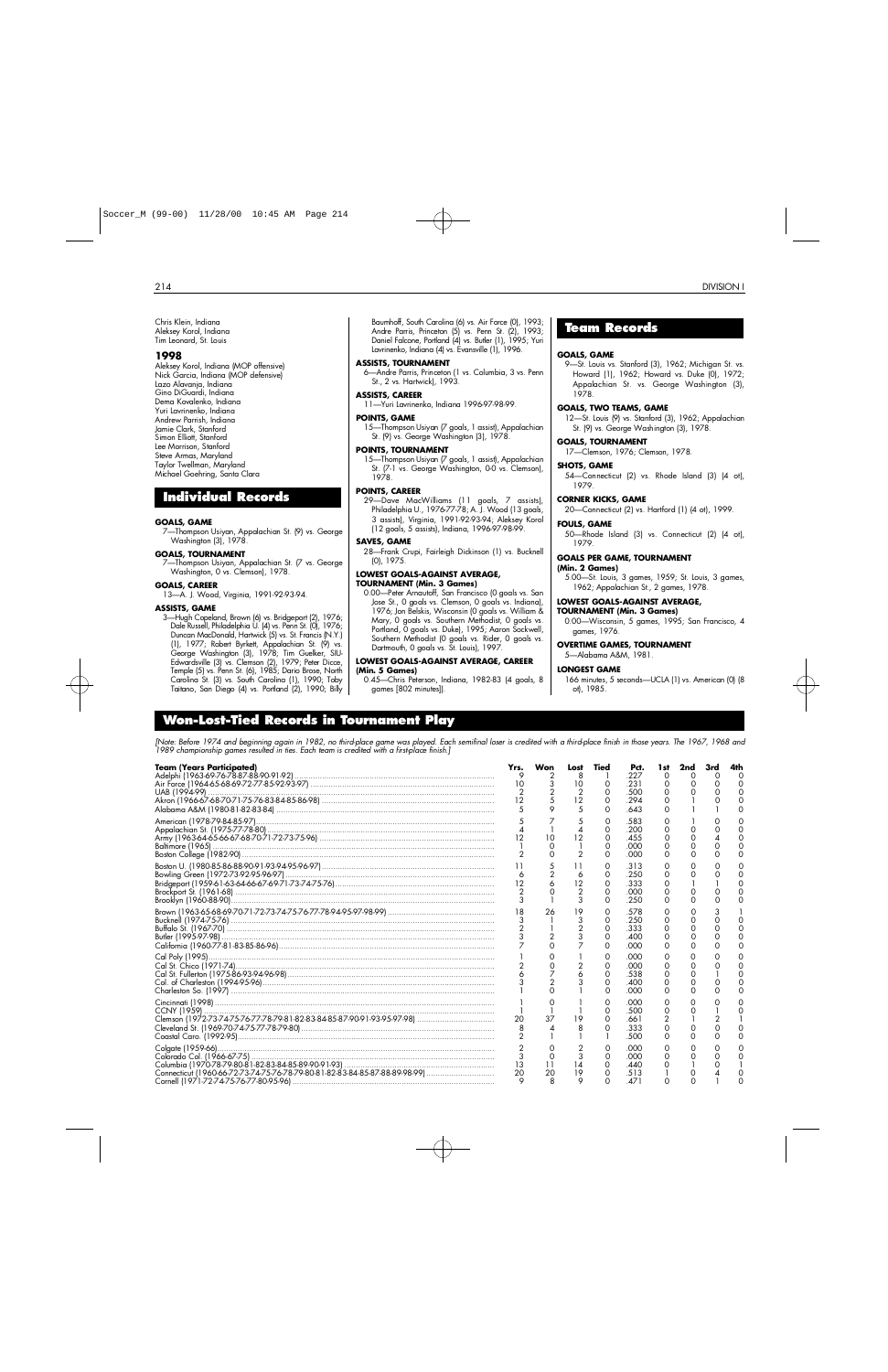Chris Klein, Indiana Aleksey Korol, Indiana Tim Leonard, St. Louis

#### **1 9 9 8**

Aleksey Korol, Indiana (MOP offensive) Nick Garcia, Indiana (MOP defensive) Lazo Alavanja, Indiana Gino DiGuardi, Indiana Dema Kovalenko, Indiana Yuri Lavrinenko, Indiana Andrew Parrish, Indiana Jamie Clark, Stanford Simon Elliott, Stanford Lee Morrison, Stanford Steve Armas, Maryland Taylor Twellman, Maryland Michael Goehring, Santa Clara

## **Individual Records**

#### **GOALS, GAME**

7—Thompson Usiyan, Appalachian St. (9) vs. George Washington (3), 1978.

#### **GOALS, TOURNAMENT**

7—Thompson Usiyan, Appalachian St. (7 vs. George Washington, 0 vs. Clemson), 1978.

#### **GOALS, CAREER**

13—A. J. Wood, Virginia, 1991-92-93-94.

#### **ASSISTS, GAME**

3—Hugh Copeland, Brown (6) vs. Bridgeport (2), 1976; Dale Russell, Philadelphia U. (4) vs. Penn St. (0), 1976; Duncan MacDonald, Hartwick (5) vs. St. Francis (N.Y.) (1), 1977; Robert Byrkett, Appalachian St. (9) vs. George Washington (3), 1978; Tim Guelker, SIU-Edwardsville (3) vs. Clemson (2), 1979; Peter Dicce, Temple (5) vs. Penn St. (6), 1985; Dario Brose, North Carolina St. (3) vs. South Carolina (1), 1990; Toby Taitano, San Diego (4) vs. Portland (2), 1990; Billy

Baumhoff, South Carolina (6) vs. Air Force (0), 1993; Andre Parris, Princeton (5) vs. Penn St. (2), 1993; Daniel Falcone, Portland (4) vs. Butler (1), 1995; Yuri Lavrinenko, Indiana (4) vs. Evansville (1), 1996.

#### **ASSISTS, TOURNAMENT**

6—Andre Parris, Princeton (1 vs. Columbia, 3 vs. Penn St., 2 vs. Hartwick), 1993.

#### **ASSISTS, CAREER**

11—Yuri Lavrinenko, Indiana 1996-97-98-99.

#### **POINTS, GAME**

15—Thompson Usiyan (7 goals, 1 assist), Appalachian St. (9) vs. George Washington (3), 1978.

#### **POINTS, TOURNAMENT**

15—Thompson Usiyan (7 goals, 1 assist), Appalachian St. (7-1 vs. George Washington, 0-0 vs. Clemson), 1978

#### **POINTS, CAREER**

29—Dave MacWilliams (11 goals, 7 assists), Philadelphia U., 1976-77-78; A. J. Wood (13 goals, 3 assists), Virginia, 1991-92-93-94; Aleksey Korol (12 goals, 5 assists), Indiana, 1996-97-98-99.

#### **SAVES, GAME**

28—Frank Crupi, Fairleigh Dickinson (1) vs. Bucknell (0), 1975.

## **LOWEST GOALS-AGAINST AVERAGE,**

**TOURNAMENT (Min. 3 Games)** 0.00—Peter Arnautoff, San Francisco (0 goals vs. San Jose St., 0 goals vs. Clemson, 0 goals vs. Indiana), 1976; Jon Belskis, Wisconsin (0 goals vs. William & Mary, 0 goals vs. Southern Methodist, 0 goals vs. Portland, O goals vs. Duke), 1995; Aaron Sockwell, Southern Methodist (0 goals vs. Rider, 0 goals vs. Dartmouth, 0 goals vs. St. Louis), 1997.

#### **LOWEST GOALS-AGAINST AVERAGE, CAREER (Min. 5 Games)**

0.45—Chris Peterson, Indiana, 1982-83 (4 goals, 8 games [802 minutes]).

## **Team Records**

#### **GOALS, GAME**

9—St. Louis vs. Stanford (3), 1962; Michigan St. vs. Howard (1), 1962; Howard vs. Duke (0), 1972; Appalachian St. vs. George Washington (3), 1978

#### **GOALS, TWO TEAMS, GAME**

12—St. Louis (9) vs. Stanford (3), 1962; Appalachian St. (9) vs. George Washington (3), 1978.

#### **GOALS, TOURNAMENT**

17—Clemson, 1976; Clemson, 1978.

#### **SHOTS, GAME**

54—Connecticut (2) vs. Rhode Island (3) (4 ot), 1979.

#### **CORNER KICKS, GAME**

20—Connecticut (2) vs. Hartford (1) (4 ot), 1999.

#### **FOULS, GAME**

50—Rhode Island (3) vs. Connecticut (2) (4 ot), 1979.

#### **GOALS PER GAME, TOURNAMENT**

## **(Min. 2 Games)**

5.00—St. Louis, 3 games, 1959; St. Louis, 3 games, 1962; Appalachian St., 2 games, 1978.

#### **LOWEST GOALS-AGAINST AVERAGE,**

#### **TOURNAMENT (Min. 3 Games)**

0.00—Wisconsin, 5 games, 1995; San Francisco, 4 games, 1976.

#### **OVERTIME GAMES, TOURNAMENT**

5—Alabama A&M, 1981.

#### **LONGEST GAME**

166 minutes, 5 seconds—UCLA (1) vs. American (0) (8 ot), 1985.

## **Wo n - L o s t - Tied Records in To u rnament Play**

*[Note: Before 1974 and beginning again in 1982, no third-place game was played. Each semifinal loser is credited with a third-place finish in those years. The 1967, 1968 and 1989 championship games resulted in ties. Each team is credited with a first-place finish.]*

| <b>Team (Years Participated)</b>                                            | Yrs.<br>5 | Won<br>$\frac{3}{2}$<br>5 | Lost<br>8<br>10<br>$\overline{2}$<br>12<br>.5 | Tied<br>0<br>O<br>O<br>0                     | Pct.<br>227<br>.231<br>.500<br>.294<br>.643 | 1 st<br>0<br>0<br>0<br>∩<br>$\Omega$ | 2nd<br>O<br>$\Omega$             | 0<br>0        | 4th<br>∩ |
|-----------------------------------------------------------------------------|-----------|---------------------------|-----------------------------------------------|----------------------------------------------|---------------------------------------------|--------------------------------------|----------------------------------|---------------|----------|
|                                                                             |           | 10                        | 12<br>$\overline{2}$                          | Ο<br>0<br>0<br>0<br>$\Omega$                 | .583<br>.200<br>.455<br>.000<br>.000        | 0<br>0<br>0<br>$\Omega$              | 0<br>$\Omega$<br>0<br>0          |               |          |
|                                                                             | 6         |                           | 6<br>12<br>$\overline{2}$<br>3                | O<br>0<br>O<br>O<br>$\Omega$                 | .313<br>.250<br>.333<br>.000<br>.250        | O<br>O<br>$\Omega$<br>0<br>∩         | $\Omega$<br>$\Omega$<br>$\Omega$ |               |          |
|                                                                             |           | 26<br>$\overline{2}$      | 19<br>3                                       | 0<br>$\circ$<br>$\mathbf 0$<br>0<br>$\Omega$ | .578<br>.250<br>.333<br>.400<br>.000        | O<br>0<br>0<br>0<br>0                | 0<br>0<br>0<br>$\Omega$          | $\Omega$<br>0 |          |
|                                                                             |           | $\overline{2}$            |                                               | 0<br>$\Omega$<br>$\Omega$<br>$\Omega$<br>0   | .000<br>.000<br>.538<br>.400<br>.000        | O<br>0<br>0<br>0<br>0                | 0<br>$\Omega$<br>0<br>0          |               |          |
|                                                                             | 20        | 37<br>⊿                   | 19<br>8                                       | 0<br>0<br>0<br>Ω                             | .000<br>.500<br>.661<br>.333<br>.500        | 0<br>0<br>2<br>0<br>0                | Ω<br>∩<br>0<br>Ω                 | 2             |          |
| Connecticut (1960-66-72-73-74-75-76-78-79-80-81-82-83-84-85-87-88-89-98-99) | 20        | 11<br>20                  | 3<br>14<br>19<br>$\circ$                      | Ο<br>0<br>0<br>∩                             | .000<br>.000<br>.440<br>.513<br>471         | O<br>0<br>O                          | $\mathbf{\Omega}$<br>Ο           |               |          |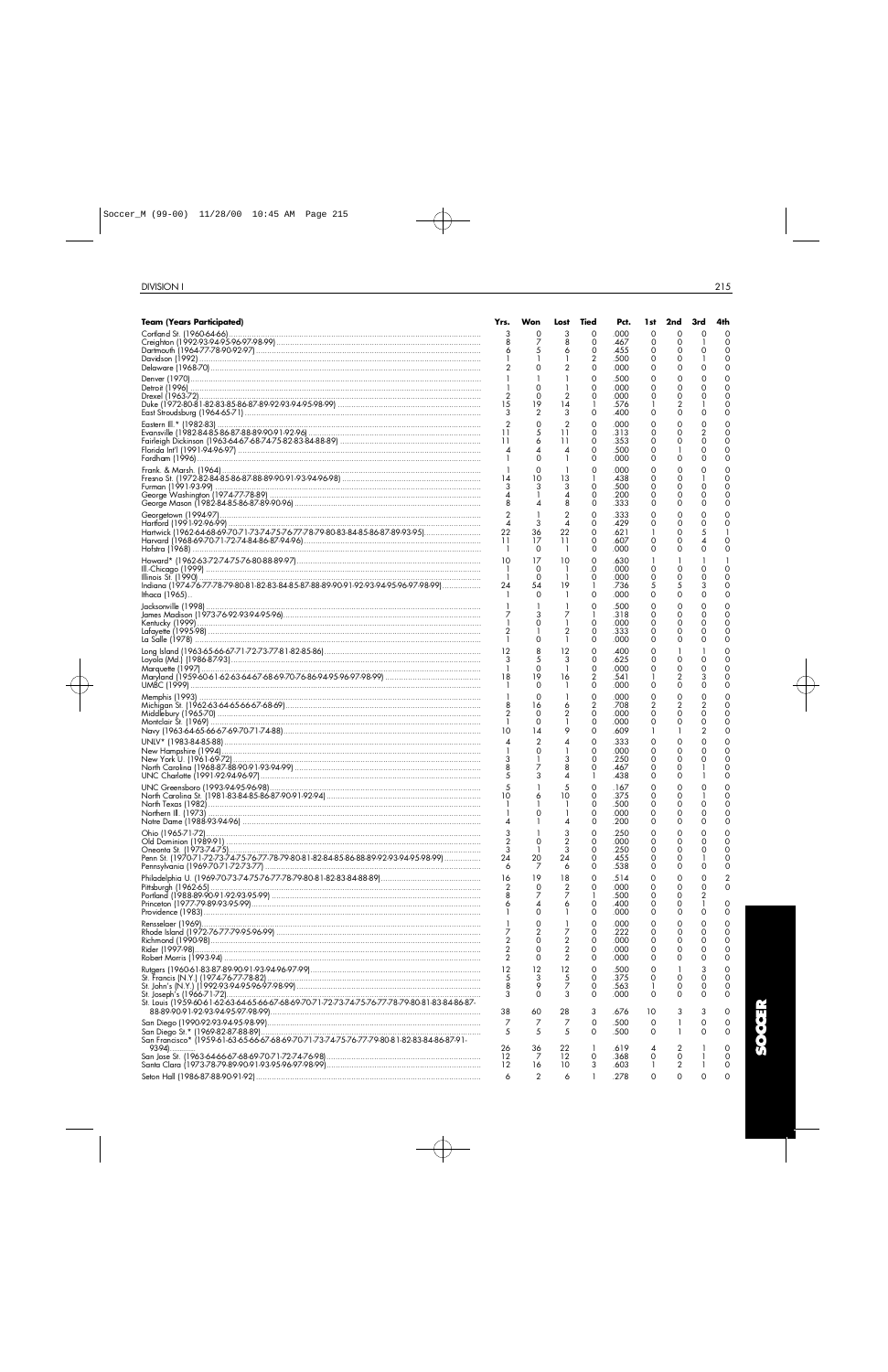| Team (Years Participated)                                                                      | Yrs.                | Won                  | Lost                             | Tied                | Pct.         | 1st     | 2nd                    | 3rd                 | 4th                           |
|------------------------------------------------------------------------------------------------|---------------------|----------------------|----------------------------------|---------------------|--------------|---------|------------------------|---------------------|-------------------------------|
|                                                                                                | 3                   | 0                    | 3                                | O                   | .000         | 0       | $\Omega$               | $\Omega$            | $\Omega$                      |
| Dartmouth (1964-77-78-90-92-97) …………………………………………………………………………………………                             |                     | 7                    | 8<br>6                           | 0<br>0              | .467<br>.455 | 0<br>0  | $\circ$<br>0           | Ο                   | $\mathbf 0$<br>$\mathbf 0$    |
|                                                                                                |                     |                      |                                  | 2                   | .500         | 0       | 0                      |                     | $\mathbf 0$                   |
|                                                                                                |                     | $\Omega$             | 2                                | 0                   | .000         | 0       | 0                      | $\Omega$            | $\mathbf 0$                   |
|                                                                                                |                     | $\Omega$             |                                  | 0<br>0              | .500         | 0       | 0                      | 0                   | $\mathbf 0$<br>$\Omega$       |
|                                                                                                |                     | $\Omega$             | 2                                | 0                   | .000<br>.000 | 0<br>0  | 0<br>0                 | 0<br>$\Omega$       | $\mathbf 0$                   |
|                                                                                                |                     | 19                   | 14                               | -1                  | .576         | 1       | 2                      |                     | $\mathbf 0$                   |
| East Stroudsburg (1964-65-71) …………………………………………………………………………………………                               |                     | $\overline{2}$       | 3                                | 0                   | .400         | 0       | 0                      | 0                   | $\mathbf 0$                   |
|                                                                                                | 11                  | 0<br>5               | $\overline{2}$<br>11             | 0<br>$\mathbf 0$    | .000<br>.313 | 0<br>0  | 0<br>0                 | 0<br>2              | $\Omega$<br>$\mathbf 0$       |
| Fairleigh Dickinson (1963-64-67-68-74-75-82-83-84-88-89) ………………………………………………………                 | 11                  | 6                    | 11                               | 0                   | .353         | 0       | 0                      | 0                   | $\Omega$                      |
|                                                                                                | 4<br>-1             | $\Omega$             | 4                                | 0<br>0              | .500<br>.000 | 0<br>0  | 1<br>0                 | 0<br>0              | $\mathbf 0$<br>$\Omega$       |
|                                                                                                |                     | $\Omega$             |                                  | 0                   | .000         | 0       | 0                      | 0                   | $\mathbf 0$                   |
|                                                                                                |                     | 10                   | 13                               | 1                   | .438         | 0       | 0                      |                     | $\Omega$                      |
|                                                                                                |                     |                      | 3                                | 0                   | .500         | 0       | $\circ$<br>$\mathbf 0$ | 0                   | $\Omega$<br>$\Omega$          |
|                                                                                                |                     |                      | 4<br>8                           | 0<br>$\mathbf 0$    | .200<br>.333 | 0<br>0  | 0                      | 0<br>$\Omega$       | $\mathbf 0$                   |
|                                                                                                |                     |                      | $\overline{2}$                   | 0                   | .333         | 0       | $\mathbf 0$            | 0                   | 0                             |
|                                                                                                |                     | 3                    | 4                                | 0                   | .429         | 0       | 0                      | 0                   | $\Omega$                      |
| Hartwick (1962-64-68-69-70-71-73-74-75-76-77-78-79-80-83-84-85-86-87-89-93-95)                 | 11                  | 36<br>17             | 22<br>11                         | 0<br>0              | .621<br>.607 | 1<br>0  | 0<br>0                 | 5<br>4              | $\mathbf 0$                   |
|                                                                                                |                     | 0                    | -1                               | 0                   | .000         | 0       | 0                      | 0                   | $\Omega$                      |
|                                                                                                | 10                  | 17                   | 10                               | 0                   | .630         | -1      | 1                      |                     |                               |
|                                                                                                | -1<br>$\mathbf{1}$  | 0<br>$\Omega$        | -1<br>-1                         | .0<br>0             | .000<br>.000 | 0<br>0  | $\mathbf 0$<br>0       | 0<br>$\Omega$       | $\Omega$<br>$\Omega$          |
| Indiana (1974-76-77-78-79-80-81-82-83-84-85-87-88-89-90-91-92-93-94-95-96-97-98-99)            | 24                  | 54                   | 19                               | 1                   | .736         | 5       | 5                      | 3                   | $\Omega$                      |
| lthaca (1965)                                                                                  |                     | $\Omega$             |                                  | 0                   | .000         | 0       | $\circ$                | 0                   | $\Omega$                      |
|                                                                                                |                     |                      |                                  | 0                   | .500         | 0       | 0                      | 0                   | 0                             |
|                                                                                                |                     | 0                    | 7                                | 1<br>0              | .318<br>.000 | 0<br>0  | 0<br>$\mathbf 0$       | 0<br>$\Omega$       | $\Omega$<br>$\Omega$          |
|                                                                                                |                     |                      | 2                                | 0                   | .333         | 0       | 0                      | 0                   | $\mathbf 0$                   |
|                                                                                                |                     | $\Omega$             |                                  | 0                   | .000         | 0       | 0                      | 0                   | $\Omega$                      |
|                                                                                                | 12<br>3             | 8<br>5               | 12<br>3                          | 0<br>0              | .400<br>.625 | 0<br>0  | -1<br>0                | 0                   | 0<br>$\Omega$                 |
|                                                                                                |                     | $\Omega$             |                                  | 0                   | .000         | 0       | 0                      | 0                   | $\mathbf 0$                   |
| Maryland (1959-60-61-62-63-64-67-68-69-70-76-86-94-95-96-97-98-99) ……………………………………              | 18                  | 19<br>$\Omega$       | 16                               | $\overline{2}$<br>0 | .541         |         | $\overline{2}$<br>0    | 3<br>0              | $\Omega$<br>0                 |
|                                                                                                |                     | $\Omega$             |                                  | 0                   | .000<br>.000 | 0<br>0  | 0                      | 0                   | $\Omega$                      |
| Michigan St. (1962-63-64-65-66-67-68-69)……………………………………………………………………………                          |                     | 16                   | 6                                | $\overline{2}$      | .708         | 2       | 2                      | $\overline{2}$      | $\Omega$                      |
|                                                                                                |                     | 0                    | 2                                | 0                   | .000         | 0       | 0                      | 0                   | $\Omega$                      |
| Navy (1963-64-65-66-67-69-70-71-74-88)……………………………………………………………………………                            | 10                  | $\Omega$<br>14       | 1<br>9                           | 0<br>0              | .000<br>.609 | 0<br>-1 | 0<br>1                 | 0<br>$\overline{2}$ | $\Omega$<br>$\Omega$          |
|                                                                                                |                     | 2                    |                                  | 0                   | .333         | 0       | 0                      | 0                   | 0                             |
|                                                                                                |                     |                      |                                  | 0                   | .000         | 0       | $\circ$                | 0                   | $\Omega$                      |
|                                                                                                |                     | 7                    | 3<br>8                           | 0<br>0              | .250<br>.467 | 0<br>0  | 0<br>0                 | $\Omega$            | $\mathbf 0$<br>$\Omega$       |
|                                                                                                |                     |                      |                                  | -1                  | .438         | 0       | 0                      |                     | $\Omega$                      |
|                                                                                                |                     | 1                    | 5                                | 0                   | .167         | 0       | 0                      | 0                   | 0                             |
|                                                                                                | 10                  | 6                    | 10<br>-1                         | 0<br>$\mathbf 0$    | .375<br>.500 | 0<br>0  | 0<br>$\Omega$          | 0                   | $\Omega$<br>$\mathbf 0$       |
|                                                                                                | -1                  | $\Omega$             | -1                               | 0                   | .000         | 0       | $\Omega$               | $\Omega$            | $\Omega$                      |
|                                                                                                |                     |                      |                                  | 0                   | 200          | 0       | 0                      | 0                   | 0                             |
|                                                                                                | 2                   | $\Omega$             | 3<br>$\overline{2}$              | 0<br>0              | .250<br>.000 | 0<br>0  | $\circ$<br>0           | $\mathbf 0$<br>0    | 0<br>0                        |
|                                                                                                | 3                   | -1                   | 3                                | 0                   | .250         | 0       | $\circ$                | 0                   | 0                             |
| Penn St. (1970-71-72-73-74-75-76-77-78-79-80-81-82-84-85-86-88-89-92-93-94-95-98-99)           | 24                  | 20                   | 24                               | 0                   | .455         | 0       | $\circ$                |                     | $\mathbf 0$                   |
|                                                                                                | 6<br>16             | 7                    | 6                                | 0<br>0              | .538         | 0<br>0  | 0                      | 0                   | $\mathbf 0$                   |
|                                                                                                | 2                   | 19<br>0              | 18<br>2                          | 0                   | .514<br>.000 | 0       | 0<br>0                 | 0<br>0              | $\overline{2}$<br>$\mathbf 0$ |
|                                                                                                | 8                   | 7                    | 7                                | -1                  | .500         | 0       | 0                      | 2                   |                               |
|                                                                                                | 6                   | 4<br>0               | 6                                | 0<br>0              | .400<br>.000 | 0<br>0  | 0<br>$\mathbf 0$       | -1<br>$\Omega$      | 0<br>$\Omega$                 |
|                                                                                                |                     | $\Omega$             | 1                                | 0                   | .000         | $\circ$ | $\circ$                | 0                   | 0                             |
|                                                                                                | 7                   | $\overline{2}$       | 7                                | 0                   | .222         | 0       | 0                      | 0                   | $\Omega$                      |
|                                                                                                | 2<br>$\overline{2}$ | $\Omega$<br>$\Omega$ | $\overline{2}$<br>$\overline{2}$ | 0<br>0              | .000<br>.000 | 0<br>0  | 0<br>0                 | 0<br>0              | 0<br>$\mathbf 0$              |
|                                                                                                | 2                   | $\Omega$             | $\overline{2}$                   | $\mathbf 0$         | .000         | 0       | 0                      | 0                   | $\mathbf 0$                   |
|                                                                                                | 12                  | 12                   | 12                               | 0                   | .500         | 0       |                        | 3                   | 0                             |
|                                                                                                | 5<br>8              | 3<br>9               | 5<br>7                           | 0<br>0              | .375<br>.563 | 0<br>1  | 0<br>0                 | $\mathbf 0$<br>0    | $\mathbf 0$<br>$\mathbf 0$    |
|                                                                                                | 3                   | $\Omega$             | 3                                | $\mathbf 0$         | .000         | $\circ$ | 0                      | $\Omega$            | $\mathbf 0$                   |
| St. Louis (1959-60-61-62-63-64-65-66-67-68-69-70-71-72-73-74-75-76-77-78-79-80-81-83-84-86-87- |                     |                      |                                  |                     |              |         |                        |                     |                               |
|                                                                                                | 38<br>7             | 60                   | 28                               | 3<br>$\mathbf 0$    | .676<br>.500 | 10      | 3                      | 3                   | 0<br>0                        |
|                                                                                                | 5                   | 7<br>5               | 7<br>5                           | $\Omega$            | .500         | 0<br>0  | 1<br>-1                | 0<br>0              | $\Omega$                      |
| San Francisco* (1959-61-63-65-66-67-68-69-70-71-73-74-75-76-77-79-80-81-82-83-84-86-87-91-     |                     |                      |                                  |                     |              |         |                        |                     |                               |
| 93-94)                                                                                         | 26<br>12            | 36<br>7              | 22<br>12                         | -1<br>0             | .619<br>.368 | 4<br>0  | 2<br>0                 |                     | 0<br>$\Omega$                 |
|                                                                                                | 12                  | 16                   | 10                               | 3                   | .603         | 1       | 2                      |                     | 0                             |
|                                                                                                | 6                   | 2                    | 6                                | 1                   | .278         | 0       | 0                      | O                   | $\Omega$                      |

**SOCCER**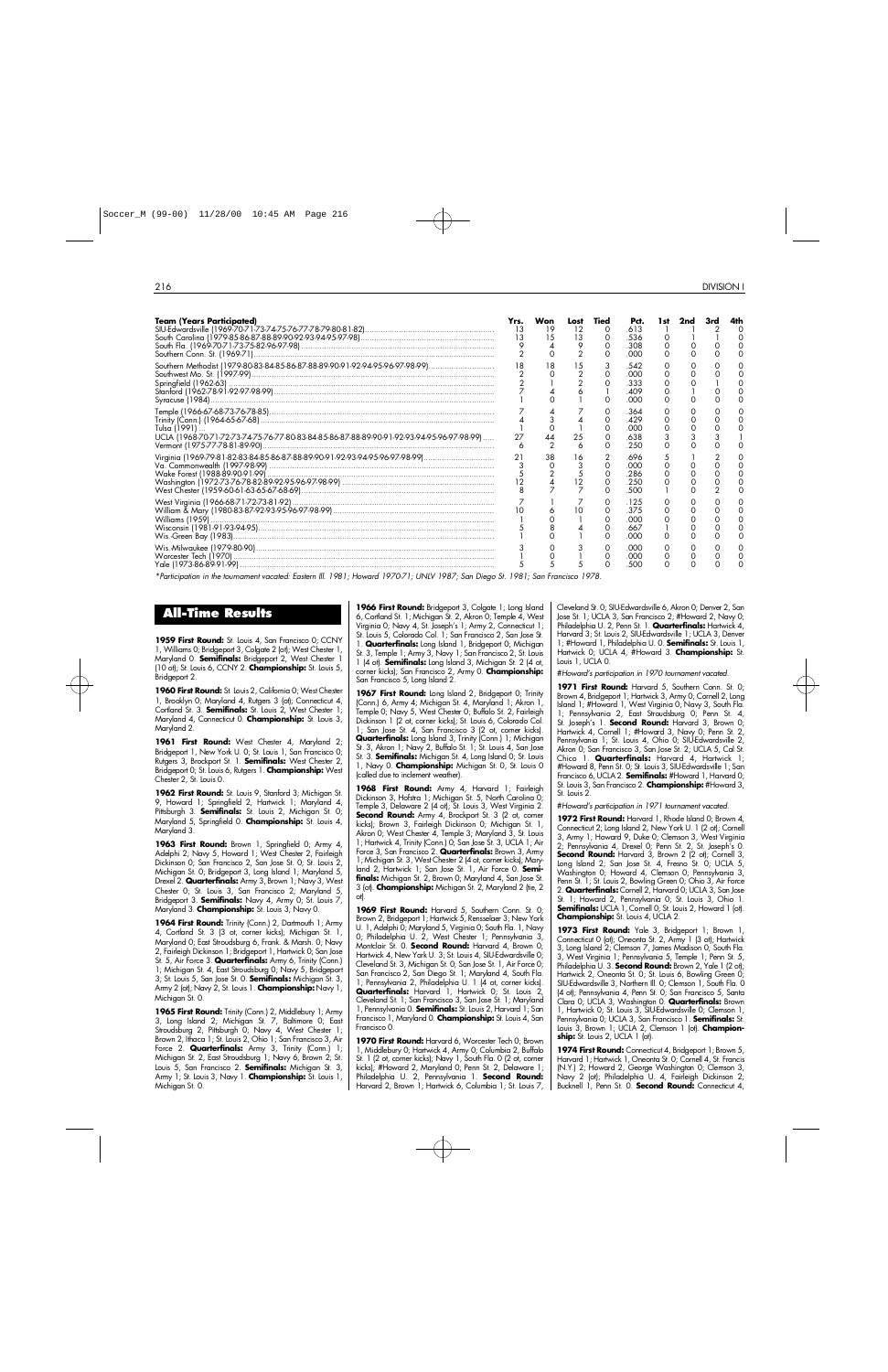| <b>Team (Years Participated)</b><br>South Fla. (1969-70-71-73-75-82-96-97-98)<br>South Fla. (1969-70-71-73-75-82-96-97-98) | Yrs.<br>13<br>13 | Won<br>15 | Lost<br>12<br>13<br>9 | Tied | Pct.<br>.613<br>536<br>308<br>റററ  | 1 st | 2nd |  |
|----------------------------------------------------------------------------------------------------------------------------|------------------|-----------|-----------------------|------|------------------------------------|------|-----|--|
|                                                                                                                            |                  |           |                       |      | 542<br>റററ<br>.333<br>409<br>.000  |      |     |  |
| Tulsa (1991)<br>UCLA (1968-70-71-72-73-74-75-76-77-80-83-84-85-86-87-88-89-90-91-92-93-94-95-96-97-98-99)                  | 27<br>6          |           | 25<br>6               |      | 364<br>429<br>.000<br>638<br>250   |      |     |  |
| Va. Commonwealth (1997-98-99)<br>Wake Forest (1988-89-90-91-99)                                                            |                  |           | 6                     |      | 696<br>.000<br>286<br>250<br>.500  |      |     |  |
|                                                                                                                            |                  |           |                       |      | 125<br>375<br>.000<br>.667<br>.000 |      |     |  |
|                                                                                                                            |                  |           |                       |      | റററ<br>റററ<br>.50C                 |      |     |  |

*\*Participation in the tournament vacated: Eastern Ill. 1981; Howard 1970-71; UNLV 1987; San Diego St. 1981; San Francisco 1978.*

## **A l l - Time Results**

**1959 First Round:** St. Louis 4, San Francisco 0; CCNY 1, Williams 0; Bridgeport 3, Colgate 2 (ot); West Chester 1, Maryland 0. **Semifinals:** Bridgeport 2, West Chester 1 (10 ot); St. Louis 6, CCNY 2. **Championship:** St. Louis 5, Bridgeport 2.

**1960 First Round:** St. Louis 2, California 0; West Chester 1, Brooklyn 0; Maryland 4, Rutgers 3 (ot); Connecticut 4, Cortland St. 3. **Semifinals:** St. Louis 2, West Chester 1; Maryland 4, Connecticut 0. **Championship:** St. Louis 3, Maryland 2.

**1961 First Round:** West Chester 4, Maryland 2; Bridgeport 1, New York U. 0; St. Louis 1, San Francisco 0; Rutgers 3, Brockport St. 1. **Semifinals:** West Chester 2, Bridgeport 0; St. Louis 6, Rutgers 1. **Championship:** West Chester 2, St. Louis 0.

**1962 First Round:** St. Louis 9, Stanford 3; Michigan St. 9, Howard 1; Springfield 2, Hartwick 1; Maryland 4, Pittsburgh 3. **Semifinals:** St. Louis 2, Michigan St. 0; Maryland 5, Springfield 0. **Championship:** St. Louis 4, Maryland 3.

**1963 First Round:** Brown 1, Springfield 0; Army 4, Adelphi 2; Navy 5, Howard 1; West Chester 2, Fairleigh Dickinson 0; San Francisco 2, San Jose St. 0; St. Louis 2, Michigan St. 0; Bridgeport 3, Long Island 1; Maryland 5, Drexel 2. **Quarterfinals:** Army 3, Brown 1; Navy 3, West Chester 0; St. Louis 3, San Francisco 2; Maryland 5, Bridgeport 3. **Semifinals:** Navy 4, Army 0; St. Louis 7, Maryland 3. **Championship:** St. Louis 3, Navy 0.

1964 First Round: Trinity (Conn.) 2, Dartmouth 1; Army 4, Cortland St. 3 (3 ot, corner kicks); Michigan St. 1, Maryland 0; East Stroudsburg 6, Frank. & Marsh. 0; Navy 2, Fairleigh Dickinson 1; Bridgeport 1, Hartwick 0; San Jose St. 5, Air Force 3. **Quarterfinals:** Army 6, Trinity (Conn.) 1; Michigan St. 4, East Stroudsburg 0; Navy 5, Bridgeport 3; St. Louis 5, San Jose St. 0. **Semifinals:** Michigan St. 3, Army 2 (ot); Navy 2, St. Louis 1. **Championship:** Navy 1, Michigan St. 0.

1965 First Round: Trinity (Conn.) 2, Middlebury 1; Army 3, Long Island 2; Michigan St. 7, Baltimore 0; East Stroudsburg 2, Pittsburgh 0; Navy 4, West Chester 1; Brown 2, Ithaca 1; St. Louis 2, Ohio 1; San Francisco 3, Air Force 2. **Quarterfinals:** Army 3, Trinity (Conn.) 1; Michigan St. 2, East Stroudsburg 1; Navy 6, Brown 2; St. Louis 5, San Francisco 2. **Semifinals:** Michigan St. 3, Army 1; St. Louis 3, Navy 1. **Championship:** St. Louis 1, Michigan St. 0.

1966 First Round: Bridgeport 3, Colgate 1; Long Island 6, Cortland St. 1; Michigan St. 2, Akron 0; Temple 4, West Virginia 0; Navy 4, St. Joseph's 1; Army 2, Connecticut 1; St. Louis 5, Colorado Col. 1; San Francisco 2, San Jose St. 1. **Quarterfinals:** Long Island 1, Bridgeport 0; Michigan St. 3, Temple 1; Army 3, Navy 1; San Francisco 2, St. Louis 1 (4 ot). **Semifinals:** Long Island 3, Michigan St. 2 (4 ot, corner kicks); San Francisco 2, Army 0. **Championship:** San Francisco 5, Long Island 2.

1967 First Round: Long Island 2, Bridgeport 0; Trinity (Conn.) 6, Army 4; Michigan St. 4, Maryland 1; Akron 1, Temple 0; Navy 5, West Chester 0; Buffalo St. 2, Fairleigh Dickinson 1 (2 ot, corner kicks); St. Louis 6, Colorado Col. 1; San Jose St. 4, San Francisco 3 (2 ot, corner kicks). **Quarterfinals:** Long Island 3, Trinity (Conn.) 1; Michigan St. 3, Akron 1; Navy 2, Buffalo St. 1; St. Louis 4, San Jose St. 3. **Semifinals:** Michigan St. 4, Long Island O; St. Louis 1, Navy 0. **Championship:** Michigan St. 0, St. Louis 0 (called due to inclement weather).

**1968 First Round:** Army 4, Harvard 1; Fairleigh Dickinson 3, Hofstra 1; Michigan St. 5, North Carolina 0; Temple 3, Delaware 2 (4 ot); St. Louis 3, West Virginia 2. **Second Round:** Army 4, Brockport St. 3 (2 ot, corner kicks); Brown 3, Fairleigh Dickinson 0; Michigan St. 1, Akron 0; West Chester 4, Temple 3; Maryland 3, St. Louis 1; Hartwick 4, Trinity (Conn.) 0; San Jose St. 3, UCLA 1; Air Force 3, San Francisco 2. **Quarterfinals:** Brown 3, Army 1; Michigan St. 3, West Chester 2 (4 ot, corner kicks); Maryland 2, Hartwick 1; San Jose St. 1, Air Force 0. **Semifinals:** Michigan St. 2, Brown 0; Maryland 4, San Jose St. 3 (ot). **Championship:** Michigan St. 2, Maryland 2 (tie, 2  $\circ$ t $\mathsf{h}$ 

1969 First Round: Harvard 5, Southern Conn. St. 0; Brown 2, Bridgeport 1; Hartwick 5, Rensselaer 3; New York U. 1, Adelphi 0; Maryland 5, Virginia 0; South Fla. 1, Navy 0; Philadelphia U. 2, West Chester 1; Pennsylvania 3, Montclair St. 0. **Second Round:** Harvard 4, Brown 0; Hartwick 4, New York U. 3; St. Louis 4, SIU-Edwardsville 0; Cleveland St. 3, Michigan St. 0; San Jose St. 1, Air Force 0; San Francisco 2, San Diego St. 1; Maryland 4, South Fla. 1; Pennsylvania 2, Philadelphia U. 1 (4 ot, corner kicks). **Quarterfinals:** Harvard 1, Hartwick 0, St. Louis 2, Cleveland St. 1; San Francisco 3, San Jose St. 1; Maryland 1, Pennsylvania 0, **Semifinals:** St. Louis 2, Harvard 1; San Francisco 1, Maryland 0. **Championship:** St. Louis 4, San Francisco 0.

**1970 First Round:** Harvard 6, Worcester Tech 0; Brown 1, Middlebury 0; Hartwick 4, Army 0; Columbia 2, Buffalo St. 1 (2 ot, corner kicks); Navy 1, South Fla. 0 (2 ot, corner kicks); #Howard 2, Maryland 0; Penn St. 2, Delaware 1; Philadelphia U. 2, Pennsylvania 1. **Second Round:** Harvard 2, Brown 1; Hartwick 6, Columbia 1; St. Louis 7, Cleveland St. 0; SIU-Edwardsville 6, Akron 0; Denver 2, San Jose St. 1; UCLA 3, San Francisco 2; #Howard 2, Navy 0; Philadelphia U. 2, Penn St. 1. **Quarterfinals:** Hartwick 4, Harvard 3; St. Louis 2, SIU-Edwardsville 1; UCLA 3, Denver 1; #Howard 1, Philadelphia U. O. **Semifinals:** St. Louis 1, Hartwick 0; UCLA 4, #Howard 3. **Championship:** St. Louis 1, UCLA 0.

#*Howard's participation in 1970 tournament vacated.*

1971 First Round: Harvard 5, Southern Conn. St. 0; Brown 4, Bridgeport 1; Hartwick 3, Army 0; Cornell 2, Long Island 1; #Howard 1, West Virginia 0; Navy 3, South Fla. 1; Pennsylvania 2, East Stroudsburg 0; Penn St. 4, St. Joseph's 1. **Second Round:** Harvard 3, Brown 0; Hartwick 4, Cornell 1; #Howard 3, Navy 0; Penn St. 2, Pennsylvania 1; St. Louis 4, Ohio 0; SIU-Edwardsville 2, Akron 0; San Francisco 3, San Jose St. 2; UCLA 5, Cal St. Chico 1. **Quarterfinals:** Harvard 4, Hartwick 1; #Howard 8, Penn St. 0; St. Louis 3, SIU-Edwardsville 1; San Francisco 6, UCLA 2. **Semifinals:** #Howard 1. Harvard 0: St. Louis 3, San Francisco 2. **Championship:** #Howard 3, St. Louis 2.

#*Howard's participation in 1971 tournament vacated.*

**1972 First Round:** Harvard 1, Rhode Island 0; Brown 4, Connecticut 2; Long Island 2, New York U. 1 (2 ot); Cornell 3, Army 1; Howard 9, Duke 0; Clemson 3, West Virginia 2; Pennsylvania 4, Drexel 0; Penn St. 2, St. Joseph's 0. **Second Round:** Harvard 3, Brown 2 (2 ot); Cornell 3, Long Island 2; San Jose St. 4, Fresno St. O; UCLA 5, Washington 0; Howard 4, Clemson 0; Pennsylvania 3, Penn St. 1; St. Louis 2, Bowling Green 0; Ohio 3, Air Force 2. **Quarterfinals:** Cornell 2, Harvard 0; UCLA 3, San Jose St. 1; Howard 2, Pennsylvania 0; St. Louis 3, Ohio 1. **Semifinals:** UCLA 1, Cornell 0; St. Louis 2, Howard 1 (ot). **Championship:** St. Louis 4, UCLA 2.

**1973 First Round:** Yale 3, Bridgeport 1; Brown 1, Connecticut 0 (ot); Oneonta St. 2, Army 1 (3 ot); Hartwick 3, Long Island 2; Clemson 7, James Madison 0; South Fla. 3, West Virginia 1; Pennsylvania 5, Temple 1; Penn St. 5, Philadelphia U. 3. **Second Round:** Brown 2, Yale 1 (2 ot); Hartwick 2, Oneonta St. 0; St. Louis 6, Bowling Green 0; SIU-Edwardsville 3, Northern Ill. 0; Clemson 1, South Fla. 0 (4 ot); Pennsylvania 4, Penn St. 0; San Francisco 5, Santa Clara 0; UCLA 3, Washington 0. **Quarterfinals:** Brown 1, Hartwick 0; St. Louis 3, SIU-Edwardsville 0; Clemson 1, Pennsylvania 0; UCLA 3, San Francisco 1. **Semifinals:** St. Louis 3, Brown 1; UCLA 2, Clemson 1 (ot). **Championship:** St. Louis 2, UCLA 1 (ot).

**1974 First Round:** Connecticut 4, Bridgeport 1; Brown 5, Harvard 1; Hartwick 1, Oneonta St. 0; Cornell 4, St. Francis (N.Y.) 2; Howard 2, George Washington 0; Clemson 3, Navy 2 (ot); Philadelphia U. 4, Fairleigh Dickinson 2; Bucknell 1, Penn St. 0. **Second Round:** Connecticut 4,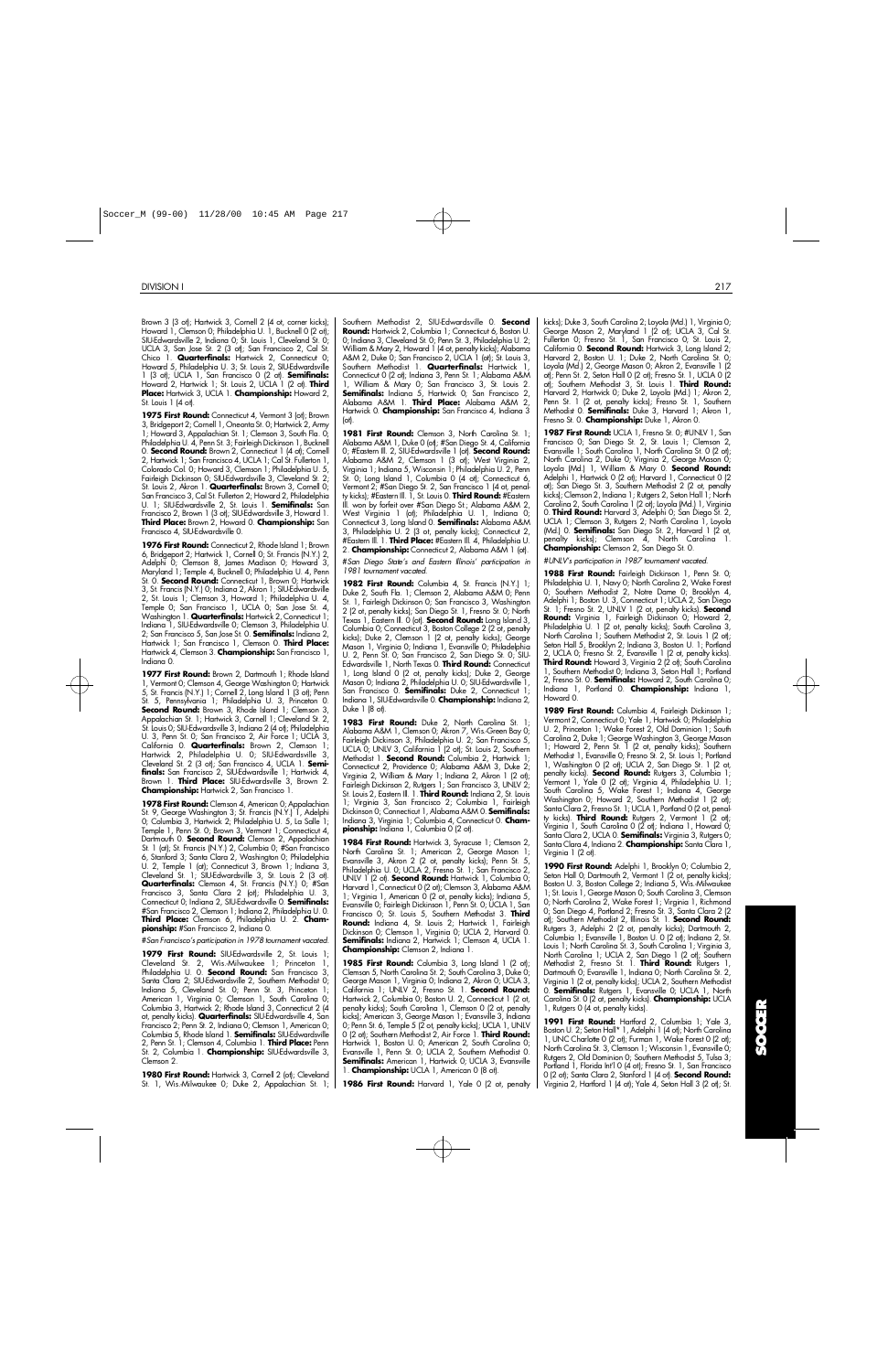Brown 3 (3 ot); Hartwick 3, Cornell 2 (4 ot, corner kicks); Howard 1, Clemson 0; Philadelphia U. 1, Bucknell 0 (2 of); SIU-Edwardsville 2, Indiana 0; St. Louis 1, Cleveland St. 0; UCLA 3, San Jose St. 2 (3 ot); San Francisco 2, Cal St. Chico 1. **Quarterfinals:** Hartwick 2, Connecticut 0; Howard 5, Philadelphia U. 3; St. Louis 2, SIU-Edwardsville 1 (3 ot); UCLA 1, San Francisco 0 (2 ot). **Semifinals:** Howard 2, Hartwick 1; St. Louis 2, UCLA 1 (2 ot). **Third Place:** Hartwick 3, UCLA 1. **Championship:** Howard 2, St. Louis 1 (4 ot).

1975 First Round: Connecticut 4, Vermont 3 (ot); Brown 3, Bridgeport 2; Cornell 1, Oneonta St. 0; Hartwick 2, Army 1; Howard 3, Appalachian St. 1; Clemson 3, South Fla. 0; Philadelphia U. 4, Penn St. 3; Fairleigh Dickinson 1, Bucknell 0. **Second Round:** Brown 2, Connecticut 1 (4 ot); Cornell 2, Hartwick 1; San Francisco 4, UCLA 1; Cal St. Fullerton 1, Colorado Col. 0; Howard 3, Clemson 1; Philadelphia U. 5, Fairleigh Dickinson 0; SIU-Edwardsville 3, Cleveland St. 2; St. Louis 2, Akron 1. **Quarterfinals:** Brown 3, Cornell 0; San Francisco 3, Cal St. Fullerton 2; Howard 2, Philadelphia U. 1; SIU-Edwardsville 2, St. Louis 1. **Semifinals:** San Francisco 2, Brown 1 (3 ot); SIU-Edwardsville 3, Howard 1. **Third Place:** Brown 2, Howard 0. **Championship:** San Francisco 4, SIU-Edwardsville 0.

1976 First Round: Connecticut 2, Rhode Island 1; Brown 6, Bridgeport 2; Hartwick 1, Cornell 0; St. Francis (N.Y.) 2, Adelphi 0; Clemson 8, James Madison 0; Howard 3, Maryland 1; Temple 4, Bucknell 0; Philadelphia U. 4, Penn St. 0. **Second Round:** Connecticut 1, Brown 0; Hartwick 3, St. Francis (N.Y.) 0; Indiana 2, Akron 1; SIU-Edwardsville 2, St. Louis 1; Clemson 3, Howard 1; Philadelphia U. 4, Temple 0; San Francisco 1, UCLA 0; San Jose St. 4, Washington 1. **Quarterfinals:** Hartwick 2, Connecticut 1; Indiana 1, SIU-Edwardsville 0; Clemson 3, Philadelphia U. 2; San Francisco 5, San Jose St. 0. **Semifinals:** Indiana 2, Hartwick 1; San Francisco 1, Clemson 0. **Third Place:** Hartwick 4, Clemson 3. **Championship:** San Francisco 1, Indiana 0.

1977 First Round: Brown 2, Dartmouth 1; Rhode Island 1, Vermont 0; Clemson 4, George Washington 0; Hartwick 5, St. Francis (N.Y.) 1; Cornell 2, Long Island 1 (3 ot); Penn St. 5, Pennsylvania 1; Philadelphia U. 3, Princeton 0. **Second Round:** Brown 3, Rhode Island 1; Clemson 3, Appalachian St. 1; Hartwick 3, Cornell 1; Cleveland St. 2, St. Louis 0; SIU-Edwardsville 3, Indiana 2 (4 ot); Philadelphia U. 3, Penn St. 0; San Francisco 2, Air Force 1; UCLA 3, California 0. **Quarterfinals:** Brown 2, Clemson 1; Hartwick 2, Philadelphia U. 0; SIU-Edwardsville 3, Cleveland St. 2 (3 ot); San Francisco 4, UCLA 1. **Semi-**<br>**finals:** San Francisco 2, SIU-Edwardsville 1; Hartwick 4, Brown 1. **Third Place:** SIU-Edwardsville 3, Brown 2. **Championship:** Hartwick 2, San Francisco 1.

**1978 First Round:** Clemson 4, American 0; Appalachian St. 9, George Washington 3; St. Francis (N.Y.) 1, Adelphi 0; Columbia 3, Hartwick 2; Philadelphia U. 5, La Salle 1; Temple 1, Penn St. 0; Brown 3, Vermont 1; Connecticut 4, Dartmouth 0. **Second Round:** Clemson 2, Appalachian St. 1 (ot); St. Francis (N.Y.) 2, Columbia 0; #San Francisco 6, Stanford 3; Santa Clara 2, Washington 0; Philadelphia U. 2, Temple 1 (ot); Connecticut 3, Brown 1; Indiana 3, Cleveland St. 1; SIU-Edwardsville 3, St. Louis 2 (3 ot). **Quarterfinals:** Clemson 4, St. Francis (N.Y.) 0; #San Francisco 3, Santa Clara 2 (ot); Philadelphia U. 3,<br>Connecticut 0;Indiana 2,SIU-Edwardsville 0. **Semifinals:** #San Francisco 2, Clemson 1; Indiana 2, Philadelphia U. 0. Third Place: Clemson 6, Philadelphia U. 2. Cham**pionship:** #San Francisco 2, Indiana 0.

#*San Francisco's participation in 1978 tournament vacated.*

**1979 First Round:** SIU-Edwardsville 2, St. Louis 1; Cleveland St. 2, Wis.-Milwaukee 1; Princeton 1, Philadelphia U. 0. **Second Round:** San Francisco 3, Santa Clara 2; SIU-Edwardsville 2, Southern Methodist 0; Indiana 5, Cleveland St. 0; Penn St. 3, Princeton 1; American 1, Virginia 0; Clemson 1, South Carolina 0; Columbia 3, Hartwick 2; Rhode Island 3, Connecticut 2 (4 ot, penalty kicks). **Quarterfinals:** SIU-Edwardsville 4, San Francisco 2; Penn St. 2, Indiana 0; Clemson 1, American 0; Columbia 5, Rhode Island 1. **Semifinals:** SIU-Edwardsville 2, Penn St. 1; Clemson 4, Columbia 1. Third Place: Penn St. 2, Columbia 1. **Championship:** SIU-Edwardsville 3, Clemson 2.

1980 First Round: Hartwick 3, Cornell 2 (ot); Cleveland St. 1, Wis.-Milwaukee 0; Duke 2, Appalachian St. 1; Southern Methodist 2, SIU-Edwardsville 0. **Second Round:** Hartwick 2, Columbia 1; Connecticut 6, Boston U. 0; Indiana 3, Cleveland St. 0; Penn St. 3, Philadelphia U. 2; William & Mary 2, Howard 1 (4 ot, penalty kicks); Alabama A&M 2, Duke 0; San Francisco 2, UCLA 1 (ot); St. Louis 3, Southern Methodist 1. **Quarterfinals:** Hartwick 1, Connecticut 0 (2 ot); Indiana 3, Penn St. 1; Alabama A&M 1, William & Mary 0; San Francisco 3, St. Louis 2. Semifinals: Indiana 5, Hartwick 0; San Francisco 2, Alabama A&M 1. **Third Place:** Alabama A&M 2, Hartwick 0. **Championship:** San Francisco 4, Indiana 3  $\int_{\Omega}$ 

1981 First Round: Clemson 3, North Carolina St. 1; Alabama A&M 1, Duke 0 (ot); #San Diego St. 4, California 0; #Eastern Ill. 2, SIU-Edwardsville 1 (ot). **Second Round:** Alabama A&M 2, Clemson 1 (3 ot); West Virginia 2, Virginia 1; Indiana 5, Wisconsin 1; Philadelphia U. 2, Penn St. 0; Long Island 1, Columbia 0 (4 ot); Connecticut 6, Vermont 2; #San Diego St. 2, San Francisco 1 (4 ot, penalty kicks); #Eastern Ill. 1, St. Louis 0. Third Round: #Eastern Ill. won by forfeit over #San Diego St.; Alabama A&M 2, West Virginia 1 (ot); Philadelphia U. 1, Indiana 0; Connecticut 3, Long Island 0. **Semifinals:** Alabama A&M 3, Philadelphia U. 2 (3 ot, penalty kicks); Connecticut 2, #Eastern Ill. 1. **Third Place:** #Eastern Ill. 4, Philadelphia U. 2. **Championship:** Connecticut 2, Alabama A&M 1 (ot).

#*San Diego State's and Eastern Illinois' participation in 1981 tournament vacated.*

**1982 First Round:** Columbia 4, St. Francis (N.Y.) 1; Duke 2, South Fla. 1; Clemson 2, Alabama A&M 0; Penn St. 1, Fairleigh Dickinson 0; San Francisco 3, Washington 2 (2 ot, penalty kicks); San Diego St. 1, Fresno St. 0; North Texas 1, Eastern Ill. 0 (ot). **Second Round:** Long Island 3, Columbia 0; Connecticut 3, Boston College 2 (2 ot, penalty kicks); Duke 2, Clemson 1 (2 ot, penalty kicks); George Mason 1, Virginia 0; Indiana 1, Evansville 0; Philadelphia U. 2, Penn St. 0; San Francisco 2, San Diego St. 0; SIU-Edwardsville 1, North Texas 0. **Third Round:** Connecticut 1, Long Island 0 (2 ot, penalty kicks); Duke 2, George Mason 0; Indiana 2, Philadelphia U. 0; SIU-Edwardsville 1, San Francisco 0. **Semifinals:** Duke 2, Connecticut 1; Indiana 1, SIU-Edwardsville 0. **Championship:** Indiana 2, Duke 1 (8 ot).

**1983 First Round:** Duke 2, North Carolina St. 1; Alabama A&M 1, Clemson 0; Akron 7, Wis.-Green Bay 0; Fairleigh Dickinson 3, Philadelphia U. 2; San Francisco 5, UCLA 0; UNLV 3, California 1 (2 ot); St. Louis 2, Southern Methodist 1. **Second Round:** Columbia 2, Hartwick 1; Connecticut 2, Providence 0; Alabama A&M 3, Duke 2; Virginia 2, William & Mary 1; Indiana 2, Akron 1 (2 ot); Fairleigh Dickinson 2, Rutgers 1; San Francisco 3, UNLV 2; St. Louis 2, Eastern Ill. 1. **Third Round:** Indiana 2, St. Louis 1; Virginia 3, San Francisco 2; Columbia 1, Fairleigh Dickinson 0; Connecticut 1, Alabama A&M 0. **Semifinals:** Indiana 3, Virginia 1; Columbia 4, Connecticut 0. Cham**pionship:** Indiana 1, Columbia 0 (2 ot).

1984 First Round: Hartwick 3, Syracuse 1; Clemson 2, North Carolina St. 1; American 2, George Mason 1; Evansville 3, Akron 2 (2 ot, penalty kicks); Penn St. 5, Philadelphia U. 0; UCLA 2, Fresno St. 1; San Francisco 2, UNLV 1 (2 ot). **Second Round:** Hartwick 1, Columbia 0; Harvard 1, Connecticut 0 (2 ot); Clemson 3, Alabama A&M 1; Virginia 1, American 0 (2 ot, penalty kicks); Indiana 5, Evansville 0; Fairleigh Dickinson 1, Penn St. 0; UCLA 1, San Francisco O; St. Louis 5, Southern Methodist 3. Third **Round:** Indiana 4, St. Louis 2; Hartwick 1, Fairleigh<br>Dickinson 0; Clemson 1, Virginia 0; UCLA 2, Harvard 0. **Semifinals:** Indiana 2, Hartwick 1; Clemson 4, UCLA 1. **Championship:** Clemson 2, Indiana 1.

1985 First Round: Columbia 3, Long Island 1 (2 ot); Clemson 5, North Carolina St. 2; South Carolina 3, Duke 0; George Mason 1, Virginia 0; Indiana 2, Akron 0; UCLA 3, California 1; UNLV 2, Fresno St. 1. **Second Round:** Hartwick 2, Columbia 0; Boston U. 2, Connecticut 1 (2 ot, penalty kicks); South Carolina 1, Clemson 0 (2 ot, penalty kicks); American 3, George Mason 1; Evansville 3, Indiana 0; Penn St. 6, Temple 5 (2 ot, penalty kicks); UCLA 1, UNLV 0 (2 ot); Southern Methodist 2, Air Force 1. **Third Round:** Hartwick 1, Boston U. 0; American 2, South Carolina 0; Evansville 1, Penn St. 0; UCLA 2, Southern Methodist 0. **Semifinals:** American 1, Hartwick 0; UCLA 3, Evansville 1. **Championship:** UCLA 1, American 0 (8 ot).

**1986 First Round:** Harvard 1, Yale 0 (2 ot, penalty

kicks); Duke 3, South Carolina 2; Loyola (Md.) 1, Virginia 0; George Mason 2, Maryland 1 (2 ot); UCLA 3, Cal St. Fullerton 0; Fresno St. 1, San Francisco 0; St. Louis 2, California 0. **Second Round:** Hartwick 3, Long Island 2; Harvard 2, Boston U. 1; Duke 2, North Carolina St. 0; Loyola (Md.) 2, George Mason 0; Akron 2, Evansville 1 (2 ot); Penn St. 2, Seton Hall 0 (2 ot); Fresno St. 1, UCLA 0 (2 ot); Southern Methodist 3, St. Louis 1. **Third Round:** Harvard 2, Hartwick 0; Duke 2, Loyola (Md.) 1; Akron 2, Penn St. 1 (2 ot, penalty kicks); Fresno St. 1, Southern<br>Methodist 0. **Semifinals:** Duke 3, Harvard 1; Akron 1, Fresno St. O. **Championship:** Duke 1, Akron O.

1987 First Round: UCLA 1, Fresno St. 0; #UNLV 1, San Francisco 0; San Diego St. 2, St. Louis 1; Clemson 2, Evansville 1; South Carolina 1, North Carolina St. 0 (2 ot); North Carolina 2, Duke 0; Virginia 2, George Mason 0; Loyola (Md.) 1, William & Mary 0. **Second Round:** Adelphi 1, Hartwick 0 (2 ot); Harvard 1, Connecticut 0 (2 ot); San Diego St. 3, Southern Methodist 2 (2 ot, penalty kicks); Clemson 2, Indiana 1; Rutgers 2, Seton Hall 1; North Carolina 2, South Carolina 1 (2 ot); Loyola (Md.) 1, Virginia 0. **Third Round:** Harvard 3, Adelphi 0; San Diego St. 2, UCLA 1; Clemson 3, Rutgers 2; North Carolina 1, Loyola (Md.) 0. **Semifinals:** San Diego St. 2, Harvard 1 (2 ot, penalty kicks); Clemson  $\tilde{A}$ , North Carolina **Championship:** Clemson 2, San Diego St. 0.

#*UNLV's participation in 1987 tournament vacated.*

1988 First Round: Fairleigh Dickinson 1, Penn St. 0; Philadelphia U. 1, Navy 0; North Carolina 2, Wake Forest 0; Southern Methodist 2, Notre Dame 0; Brooklyn 4, Adelphi 1; Boston U. 3, Connecticut 1; UCLA 2, San Diego St. 1; Fresno St. 2, UNLV 1 (2 ot, penalty kicks). **Second Round:** Virginia 1, Fairleigh Dickinson 0; Howard 2, Philadelphia U. 1 (2 ot, penalty kicks); South Carolina 3, North Carolina 1; Southern Methodist 2, St. Louis 1 (2 ot); Seton Hall 5, Brooklyn 2; Indiana 3, Boston U. 1; Portland 2, UCLA 0; Fresno St. 2, Evansville 1 (2 ot, penalty kicks). **Third Round:** Howard 3, Virginia 2 (2 ot); South Carolina 1, Southern Methodist 0; Indiana 3, Seton Hall 1; Portland 2, Fresno St. 0. **Semifinals:** Howard 2, South Carolina 0; Indiana 1, Portland 0. **Championship:** Indiana 1, Howard 0.

**1989 First Round:** Columbia 4, Fairleigh Dickinson 1; Vermont 2, Connecticut 0; Yale 1, Hartwick 0; Philadelphia U. 2, Princeton 1; Wake Forest 2, Old Dominion 1; South Carolina 2, Duke 1; George Washington 3, George Mason 1; Howard 2, Penn St. 1 (2 ot, penalty kicks); Southern Methodist 1, Evansville 0; Fresno St. 2, St. Louis 1; Portland 1, Washington 0 (2 ot); UCLA 2, San Diego St. 1 (2 ot, penalty kicks). **Second Round:** Rutgers 3, Columbia 1; Vermont 1, Yale 0 (2 ot); Virginia 4, Philadelphia U. 1; South Carolina 5, Wake Forest 1; Indiana 4, George Washington 0; Howard 2, Southern Methodist 1 (2 ot); Santa Clara 2, Fresno St. 1; UCLA 1, Portland 0 (2 ot, penalty kicks). **Third Round:** Rutgers 2, Vermont 1 (2 ot); Virginia 1, South Carolina 0 (2 ot); Indiana 1, Howard 0;<br>Santa Clara 2, UCLA 0. **Semifinals:** Virginia 3, Rutgers 0; Santa Clara 4, Indiana 2. **Championship:** Santa Clara 1, Virginia 1 (2 ot).

**1990 First Round:** Adelphi 1, Brooklyn 0; Columbia 2, Seton Hall 0; Dartmouth 2, Vermont 1 (2 ot, penalty kicks); Boston U. 3, Boston College 2; Indiana 5, Wis.-Milwaukee 1; St. Louis 1, George Mason 0; South Carolina 3, Clemson 0; North Carolina 2, Wake Forest 1; Virginia 1, Richmond 0; San Diego 4, Portland 2; Fresno St. 3, Santa Clara 2 (2 ot); Southern Methodist 2, Illinois St. 1. **Second Round:** Rutgers 3, Adelphi 2 (2 ot, penalty kicks); Dartmouth 2, Columbia 1; Evansville 1, Boston U. 0 (2 ot); Indiana 2, St. Louis 1; North Carolina St. 3, South Carolina 1; Virginia 3, North Carolina 1; UCLA 2, San Diego 1 (2 ot); Southern Methodist 2, Fresno St. 1. **Third Round:** Rutgers 1, Dartmouth 0; Evansville 1, Indiana 0; North Carolina St. 2, Virginia 1 (2 ot, penalty kicks); UCLA 2, Southern Methodist 0. **Semifinals:** Rutgers 1, Evansville 0, UCLA 1, North Carolina St. 0 (2 ot, penalty kicks). **Championship:** UCLA 1, Rutgers 0 (4 ot, penalty kicks).

**1991 First Round:** Hartford 2, Columbia 1; Yale 3, Boston U. 2; Seton Hall\* 1, Adelphi 1 (4 ot); North Carolina 1, UNC Charlotte 0 (2 ot); Furman 1, Wake Forest 0 (2 ot); North Carolina St. 3, Clemson 1; Wisconsin 1, Evansville 0; Rutgers 2, Old Dominion 0; Southern Methodist 5, Tulsa 3; Portland 1, Florida Int'l 0 (4 ot); Fresno St. 1, San Francisco 0 (2 ot); Santa Clara 2, Stanford 1 (4 ot). **Second Round:** Virginia 2, Hartford 1 (4 ot); Yale 4, Seton Hall 3 (2 ot); St.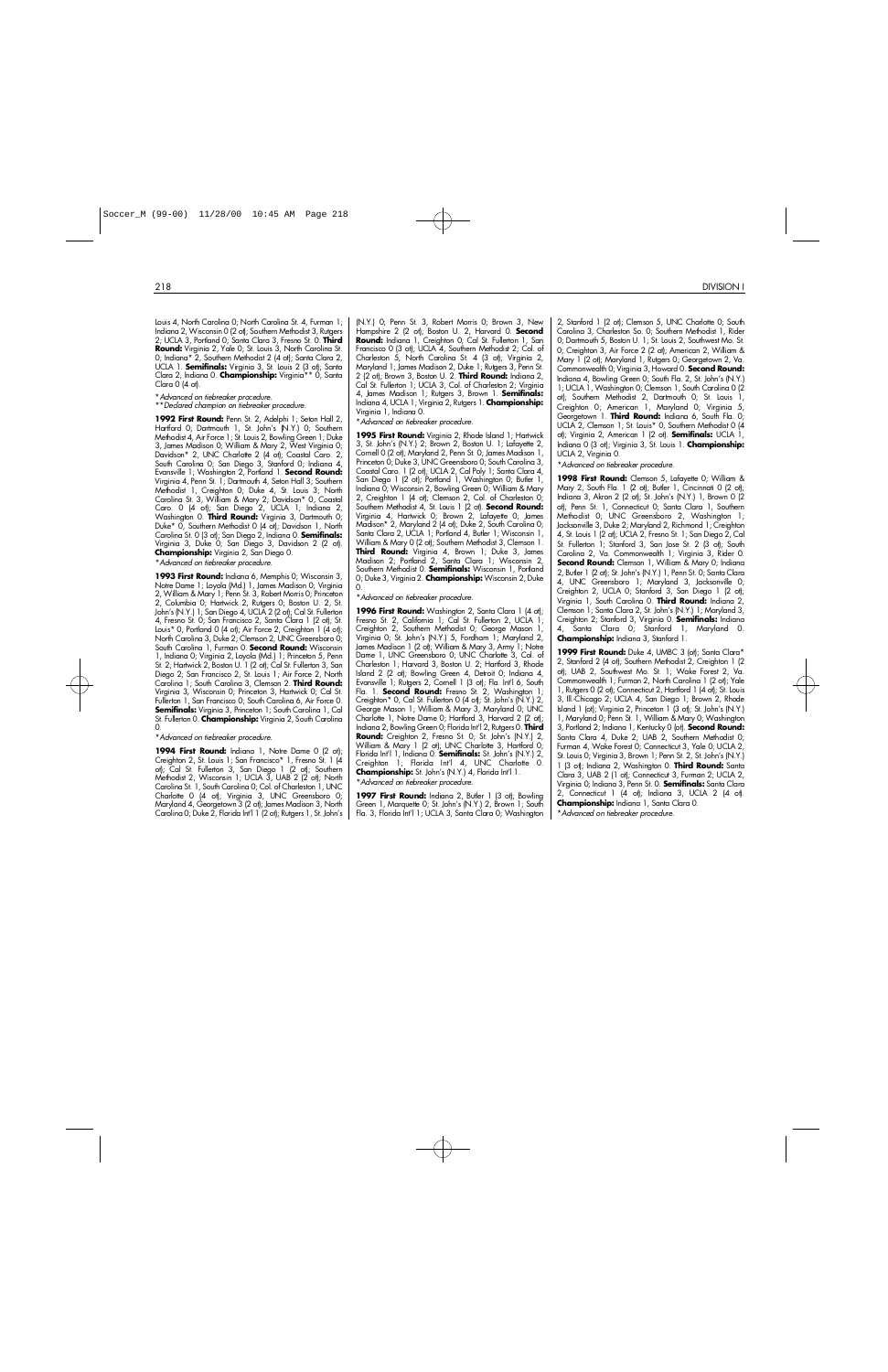2 1 8 DIVISION I

Louis 4, North Carolina 0; North Carolina St. 4, Furman 1; Indiana 2, Wisconsin 0 (2 ot); Southern Methodist 3, Rutgers 2; UCLA 3, Portland 0; Santa Clara 3, Fresno St. 0. Third Round: Virginia 2, Yale 0; St. Louis 3, North Carolina St. 0; Indiana\* 2, Southern Methodist 2 (4 ot); Santa Clara 2, UCLA 1. **Semifinals:** Virginia 3, St. Louis 2 (3 ot); Santa Clara 2, Indiana 0. **Championship:** Virginia<sup>\*\*</sup> 0, Santa Clara 0 (4 ot).

\**Advanced on tiebreaker procedure.*

\* \**Declared champion on tiebreaker procedure.*

**1992 First Round:** Penn St. 2, Adelphi 1; Seton Hall 2, Hartford 0; Dartmouth 1, St. John's (N.Y.) 0; Southern Methodist 4, Air Force 1; St. Louis 2, Bowling Green 1; Duke 3, James Madison 0; William & Mary 2, West Virginia 0; Davidson\* 2, UNC Charlotte 2 (4 ot); Coastal Caro. 2, South Carolina 0; San Diego 3, Stanford 0; Indiana 4, Evansville 1; Washington 2, Portland 1. **Second Round:** Virginia 4, Penn St. 1; Dartmouth 4, Seton Hall 3; Southern Methodist 1, Creighton 0; Duke 4, St. Louis 3; North Carolina St. 3, William & Mary 2; Davidson\* 0, Coastal Caro. 0 (4 ot); San Diego 2, UCLA 1; Indiana 2, Washington 0. **Third Round:** Virginia 3, Dartmouth 0; Duke\* 0, Southern Methodist 0 (4 ot); Davidson 1, North Carolina St. 0 (3 ot); San Diego 2, Indiana 0. **Semifinals:** Virginia 3, Duke 0; San Diego 3, Davidson 2 (2 ot). **Championship:** Virginia 2, San Diego 0. \**Advanced on tiebreaker procedure.*

**1993 First Round:** Indiana 6, Memphis 0; Wisconsin 3, Notre Dame 1; Loyola (Md.) 1, James Madison 0; Virginia 2, William & Mary 1; Penn St. 3, Robert Morris 0; Princeton 2, Columbia 0; Hartwick 2, Rutgers 0; Boston U. 2, St. John's (N.Y.) 1; San Diego 4, UCLA 2 (2 ot); Cal St. Fullerton 4, Fresno St. 0; San Francisco 2, Santa Clara 1 (2 ot); St. Louis\* 0, Portland 0 (4 ot); Air Force 2, Creighton 1 (4 ot); North Carolina 3, Duke 2; Clemson 2, UNC Greensboro 0; South Carolina 1, Furman 0. **Second Round:** Wisconsin 1, Indiana 0; Virginia 2, Loyola (Md.) 1; Princeton 5, Penn St. 2; Hartwick 2, Boston U. 1 (2 ot); Cal St. Fullerton 3, San Diego 2; San Francisco 2, St. Louis 1; Air Force 2, North Carolina 1; South Carolina 3, Clemson 2. **Third Round:** Virginia 3, Wisconsin 0; Princeton 3, Hartwick 0; Cal St. Fullerton 1, San Francisco 0; South Carolina 6, Air Force 0. **Semifinals:** Virginia 3, Princeton 1; South Carolina 1, Cal St. Fullerton O. **Championship:** Virginia 2, South Carolina  $\Omega$ 

\**Advanced on tiebreaker procedure.*

1994 First Round: Indiana 1, Notre Dame 0 (2 ot); Creighton 2, St. Louis 1; San Francisco\* 1, Fresno St. 1 (4) ot); Cal St. Fullerton 3, San Diego 1 (2 ot); Southern Methodist 2, Wisconsin<sup>'</sup>1; UCLA 3, UAB<sup>'</sup> 2 (2<sup>'</sup> ot); North Carolina St. 1, South Carolina 0; Col. of Charleston 1, UNC Charlotte 0 (4 ot); Virginia 3, UNC Greensboro 0; Maryland 4, Georgetown 3 (2 ot); James Madison 3, North Carolina 0; Duke 2, Florida Int'l 1 (2 ot); Rutgers 1, St. John's

(N.Y.) 0; Penn St. 3, Robert Morris 0; Brown 3, New .<br>Hampshire 2 (2 ot); Boston U. 2, Harvard 0. **Second Round:** Indiana 1, Creighton 0; Cal St. Fullerton 1, San Francisco 0 (3 ot); UCLA 4, Southern Methodist 2; Col. of Charleston 5, North Carolina St. 4 (3 ot); Virginia 2, Maryland 1; James Madison 2, Duke 1; Rutgers 3, Penn St. 2 (2 ot); Brown 3, Boston U. 2. **Third Round:** Indiana 2, Cal St. Fullerton 1; UCLA 3, Col. of Charleston 2; Virginia 4, James Madison 1; Rutgers 3, Brown 1. **Semifinals:** Indiana 4, UCLA 1; Virginia 2, Rutgers 1. **Championship:** Virginia 1, Indiana 0.

\**Advanced on tiebreaker procedure.*

**1995 First Round:** Virginia 2, Rhode Island 1; Hartwick 3, St. John's (N.Y.) 2; Brown 2, Boston U. 1; Lafayette 2, Cornell 0 (2 ot); Maryland 2, Penn St. 0; James Madison 1, Princeton 0; Duke 3, UNC Greensboro 0; South Carolina 3, Coastal Caro. 1 (2 ot); UCLA 2, Cal Poly 1; Santa Clara 4, San Diego 1 (2 ot); Portland 1, Washington 0; Butler 1, Indiana 0; Wisconsin 2, Bowling Green 0; William & Mary 2, Creighton 1 (4 ot); Clemson 2, Col. of Charleston 0; Southern Methodist 4, St. Louis 1 (2 ot). **Second Round:** Virginia 4, Hartwick 0; Brown 2, Lafayette 0; James Madison\* 2, Maryland 2 (4 ot); Duke 2, South Carolina 0; Santa Clara 2, UCLA 1; Portland 4, Butler 1; Wisconsin 1, William & Mary 0 (2 ot); Southern Methodist 3, Clemson 1. **Third Round:** Virginia 4, Brown 1; Duke 3, James Madison 2; Portland 2, Santa Clara 1; Wisconsin 2, Southern Methodist O. Semifinals: Wisconsin 1, Portland 0; Duke 3, Virginia 2. **Championship:** Wisconsin 2, Duke  $\Omega$ 

\**Advanced on tiebreaker procedure.*

1996 First Round: Washington 2, Santa Clara 1 (4 ot); Fresno St. 2, California 1; Cal St. Fullerton 2, UCLA 1; Creighton 2, Southern Methodist 0; George Mason 1, Virginia 0; St. John's (N.Y.) 5, Fordham 1; Maryland 2, James Madison 1 (2 ot); William & Mary 3, Army 1; Notre Dame 1, UNC Greensboro 0; UNC Charlotte 3, Col. of Charleston 1; Harvard 3, Boston U. 2; Hartford 3, Rhode Island 2 (2 ot); Bowling Green 4, Detroit 0; Indiana 4, Evansville 1; Rutgers 2, Cornell 1 (3 ot); Fla. Int'l 6, South Fla. 1. **Second Round:** Fresno St. 2, Washington 1; Creighton\* 0, Cal St. Fullerton 0 (4 ot); St. John's (N.Y.) 2, George Mason 1; William & Mary 3, Maryland 0; UNC Charlotte 1, Notre Dame 0; Hartford 3, Harvard 2 (2 ot); Indiana 2, Bowling Green 0; Florida Int<sup>'</sup>l 2, Rutgers 0. Third Round: Creighton 2, Fresno St. 0; St. John's (N.Y.) 2, William & Mary 1 (2 ot); UNC Charlotte 3, Hartford 0; Florida Int'l 1, Indiana 0. **Semifinals:** St. John's (N.Y.) 2, Creighton 1; Florida Int'l 4, UNC Charlotte 0.<br>**Championship:**St.John's(N.Y.)4,Florida<sub>Int'</sub>l1. \**Advanced on tiebreaker procedure.*

1997 First Round: Indiana 2, Butler 1 (3 ot); Bowling Green 1, Marquette 0; St. John's (N.Y.) 2, Brown 1; South Fla. 3, Florida Int'l 1; UCLA 3, Santa Clara 0; Washington 2, Stanford 1 (2 ot); Clemson 5, UNC Charlotte 0; South Carolina 3, Charleston So. 0; Southern Methodist 1, Rider 0; Dartmouth 5, Boston U. 1; St. Louis 2, Southwest Mo. St. 0; Creighton 3, Air Force 2 (2 ot); American 2, William & Mary 1 (2 ot); Maryland 1, Rutgers 0; Georgetown 2, Va. Commonwealth 0; Virginia 3, Howard 0. **Second Round:** Indiana 4, Bowling Green 0; South Fla. 2, St. John's (N.Y.) 1; UCLA 1, Washington 0; Clemson 1, South Carolina 0 (2 ot); Southern Methodist 2, Dartmouth 0; St. Louis 1, Creighton 0; American 1, Maryland 0; Virginia 5, Georgetown 1. **Third Round:** Indiana 6, South Fla. 0; UCLA 2, Clemson 1; St. Louis\* 0, Southern Methodist 0 (4 ot); Virginia 2, American 1 (2 ot). **Semifinals:** UCLA 1, Indiana 0 (3 ot); Virginia 3, St. Louis 1. **Championship:** UCLA 2, Virginia 0.

\**Advanced on tiebreaker procedure.*

**1998 First Round:** Clemson 5, Lafayette 0; William & Mary 2, South Fla. 1 (2 ot); Butler 1, Cincinnati 0 (2 ot); Indiana 3, Akron 2 (2 ot); St. John's (N.Y.) 1, Brown 0 (2 ot); Penn St. 1, Connecticut 0; Santa Clara 1, Southern Methodist 0; UNC Greensboro 2, Washington 1; Jacksonville 3, Duke 2; Maryland 2, Richmond 1; Creighton 4, St. Louis 1 (2 ot); UCLA 2, Fresno St. 1; San Diego 2, Cal St. Fullerton 1; Stanford 3, San Jose St. 2 (3 ot); South Carolina 2, Va. Commonwealth 1; Virginia 3, Rider 0. Second Round: Clemson 1, William & Mary 0; Indiana 2, Butler 1 (2 ot); St. John's (N.Y.) 1, Penn St. 0; Santa Clara 4, UNC Greensboro 1; Maryland 3, Jacksonville 0; Creighton 2, UCLA 0; Stanford 3, San Diego 1 (2 ot); Virginia 1, South Carolina 0. **Third Round:** Indiana 2, Clemson 1; Santa Clara 2, St. John's (N.Y.) 1; Maryland 3, Creighton 2; Stanford 3, Virginia 0. **Semifinals:** Indiana Santa Clara 0; Stanford 1, Maryland 0. **Championship:** Indiana 3, Stanford 1.

1999 First Round: Duke 4, UMBC 3 (ot); Santa Clara\* 2, Stanford 2 (4 ot); Southern Methodist 2, Creighton 1 (2 ot); UAB 2, Southwest Mo. St. 1; Wake Forest 2, Va. Commonwealth 1; Furman 2, North Carolina 1 (2 ot); Yale 1, Rutgers 0 (2 ot); Connecticut 2, Hartford 1 (4 ot); St. Louis 3, Ill.-Chicago 2; UCLA 4, San Diego 1; Brown 2, Rhode Island 1 (ot); Virginia 2, Princeton 1 (3 ot); St. John's (N.Y.) 1, Maryland 0; Penn St. 1, William & Mary 0; Washington 3, Portland 2; Indiana 1, Kentucky 0 (ot). **Second Round:** Santa Clara 4, Duke 2; UAB 2, Southern Methodist 0; Furman 4, Wake Forest 0; Connecticut 3, Yale 0; UCLA 2, St. Louis 0; Virginia 3, Brown 1; Penn St. 2, St. John's (N.Y.) 1 (3 ot); Indiana 2, Washington 0. Third Round: Santa Clara 3, UAB 2 (1 ot); Connecticut 3, Furman 2; UCLA 2, Virginia 0; Indiana 3, Penn St. 0. **Semifinals:** Santa Clara 2, Connecticut 1 (4 ot); Indiana 3, UCLA 2 (4 ot). **Championship:** Indiana 1, Santa Clara 0. \**Advanced on tiebreaker procedure.*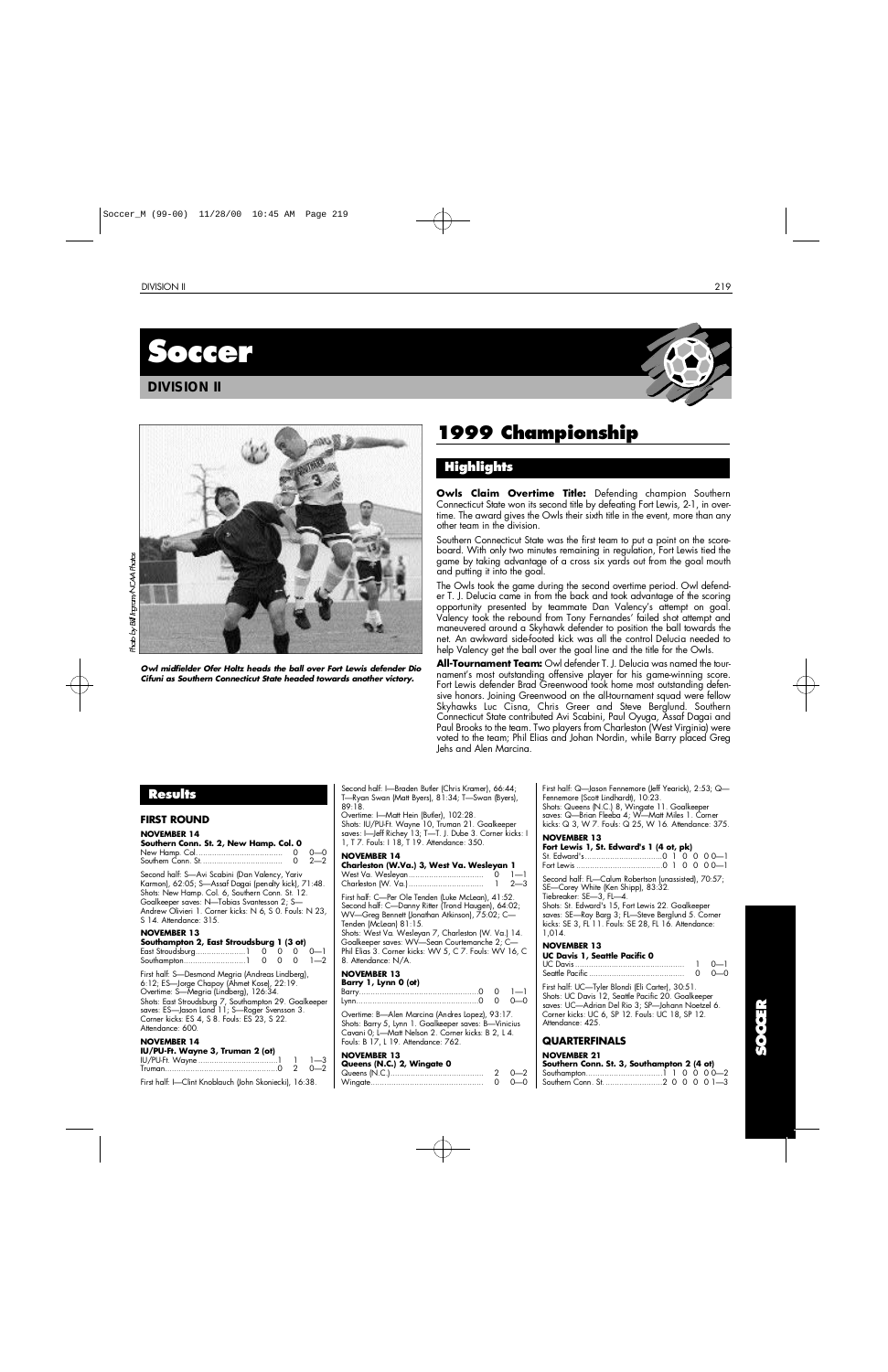

## **DIVISION II**





*Owl midfielder Ofer Holtz heads the ball over Fort Lewis defender Dio Cifuni as Southern Connecticut State headed towards another victory.*

## **1999 Championship**

## **H i g h l i g h t s**

**Owls Claim Overtime Title:** Defending champion Southern Connecticut State won its second title by defeating Fort Lewis, 2-1, in overtime. The award gives the Owls their sixth title in the event, more than any other team in the division.

Southern Connecticut State was the first team to put a point on the scoreboard. With only two minutes remaining in regulation, Fort Lewis tied the game by taking advantage of a cross six yards out from the goal mouth and putting it into the goal.

The Owls took the game during the second overtime period. Owl defender T. J. Delucia came in from the back and took advantage of the scoring opportunity presented by teammate Dan Valency's attempt on goal. Valency took the rebound from Tony Fernandes' failed shot attempt and maneuvered around a Skyhawk defender to position the ball towards the net. An awkward side-footed kick was all the control Delucia needed to help Valency get the ball over the goal line and the title for the Owls.

**All-Tournament Team:** Owl defender T. J. Delucia was named the tournament's most outstanding offensive player for his game-winning score. Fort Lewis defender Brad Greenwood took home most outstanding defensive honors. Joining Greenwood on the all-tournament squad were fellow Skyhawks Luc Cisna, Chris Greer and Steve Berglund. Southern Connecticut State contributed Avi Scabini, Paul Oyuga, Assaf Dagai and Paul Brooks to the team. Two players from Charleston (West Virginia) were voted to the team; Phil Elias and Johan Nordin, while Barry placed Greg Jehs and Alen Marcina.

## **Results**

#### **FIRST ROUND**

#### **NOVEMBER 14 Southern Conn. St. 2, New Hamp. Col. 0**

|                                                                                                        | റ—റ      |
|--------------------------------------------------------------------------------------------------------|----------|
|                                                                                                        | $0, 2-2$ |
| Second half: S-Avi Scabini (Dan Valency, Yariv<br>Karmon), 62:05; S-Assaf Dagai (penalty kick), 71:48. |          |
| Shots: New Hamp. Col. 6, Southern Conn. St. 12.                                                        |          |
| Goalkeeper saves: N-Tobias Svantesson 2; S-                                                            |          |
| Andrew Olivieri 1. Corner kicks: N 6, S 0. Fouls: N 23,                                                |          |
| S 14. Attendance: 315.                                                                                 |          |

#### **NOVEMBER 13**

| Southampton 2, East Stroudsburg 1 (3 ot) |  |  |  |
|------------------------------------------|--|--|--|
|                                          |  |  |  |
|                                          |  |  |  |

First half: S—Desmond Megria (Andreas Lindberg), 6:12; ES—Jorge Chapoy (Ahmet Kose), 22:19. Overtime: S—Megria (Lindberg), 126:34. Shots: East Stroudsburg 7, Southampton 29. Goalkeeper saves: ES—Jason Land 11; S—Roger Svensson 3. Corner kicks: ES 4, S 8. Fouls: ES 23, S 22. Attendance: 600.

## **NOVEMBER 14**

| IU/PU-Ft. Wayne 3, Truman 2 (ot)                       |           |
|--------------------------------------------------------|-----------|
|                                                        | $1 \t -1$ |
|                                                        |           |
| First half: I—Clint Knoblauch (John Skoniecki), 16:38. |           |

Second half: I—Braden Butler (Chris Kramer), 66:44; T—Ryan Swan (Matt Byers), 81:34; T—Swan (Byers),  $89.18$ 

Overtime: I—Matt Hein (Butler), 102:28. Shots: IU/PU-Ft. Wayne 10, Truman 21. Goalkeeper saves: I—Jeff Richey 13; T—T. J. Dube 3. Corner kicks: I 1, T 7. Fouls: I 18, T 19. Attendance: 350.

## **NOVEMBER 14**<br>**NOVEMBER 14**<br>**NOVEMBER 14**

| Charleston (W.Va.) 3, West Va. Wesleyan 1 |         |
|-------------------------------------------|---------|
| West Va. Wesleyan                         | $1 - 1$ |
|                                           | $2 - 3$ |

First half: C—Per Ole Tenden (Luke McLean), 41:52. Second half: C—Danny Ritter (Trond Haugen), 64:02; WV—Greg Bennett (Jonathan Atkinson), 75:02; C— Tenden (McLean) 81:15.

Shots: West Va. Wesleyan 7, Charleston (W. Va.) 14. Goalkeeper saves: WV—Sean Courtemanche 2; C— Phil Elias 3. Corner kicks: WV 5, C 7. Fouls: WV 16, C 8. Attendance: N/A.

#### **NOVEMBER 13 Barry 1, Lynn 0 (ot)**

B a r r y. . . . . . . . . . . . . . . . . . . . . . . . . . . . . . . . . . . . . . . . . . . . . . . . . . . .0 0 1 — 1 L y n n. . . . . . . . . . . . . . . . . . . . . . . . . . . . . . . . . . . . . . . . . . . . . . . . . . . . .0 0 0 — 0

Overtime: B—Alen Marcina (Andres Lopez), 93:17. Shots: Barry 5, Lynn 1. Goalkeeper saves: B—Vinicius Cavani 0; L—Matt Nelson 2. Corner kicks: B 2, L 4. Fouls: B 17, L 19. Attendance: 762.

#### **NOVEMBER 13**

| Queens (N.C.) 2, Wingate 0 |              |
|----------------------------|--------------|
|                            | $2 \t 0 - 2$ |
|                            | $0 - 0 - 0$  |

First half: Q—Jason Fennemore (Jeff Yearick), 2:53; Q— Fennemore (Scott Lindhardt), 10:23. Shots: Queens (N.C.) 8, Wingate 11. Goalkeeper saves: Q—Brian Fleeba 4; W—Matt Miles 1. Corner

kicks: Q 3, W 7. Fouls: Q 25, W 16. Attendance: 375.

## **NOVEMBER 13**

| Fort Lewis 1, St. Edward's 1 (4 ot, pk) |  |  |  |
|-----------------------------------------|--|--|--|
|                                         |  |  |  |
|                                         |  |  |  |

Second half: FL—Calum Robertson (unassisted), 70:57; SE—Corey White (Ken Shipp), 83:32.

Tiebreaker: SE—3, FL—4. Shots: St. Edward's 15, Fort Lewis 22. Goalkeeper saves: SE—Roy Barg 3; FL—Steve Berglund 5. Corner kicks: SE 3, FL 11. Fouls: SE 28, FL 16. Attendance: 1.014.

### **NOVEMBER 13**

| UC Davis 1, Seattle Pacific 0 |               |
|-------------------------------|---------------|
|                               | $1 \quad 0-1$ |
|                               | റ റ—റ         |

First half: UC—Tyler Blondi (Eli Carter), 30:51. Shots: UC Davis 12, Seattle Pacific 20. Goalkeeper saves: UC—Adrian Del Rio 3; SP—Johann Noetzel 6. Corner kicks: UC 6, SP 12. Fouls: UC 18, SP 12. Attendance: 425.

## **QUARTERFINALS**

| Southern Conn. St. 3, Southampton 2 (4 ot) |  |  |  |
|--------------------------------------------|--|--|--|
|                                            |  |  |  |
|                                            |  |  |  |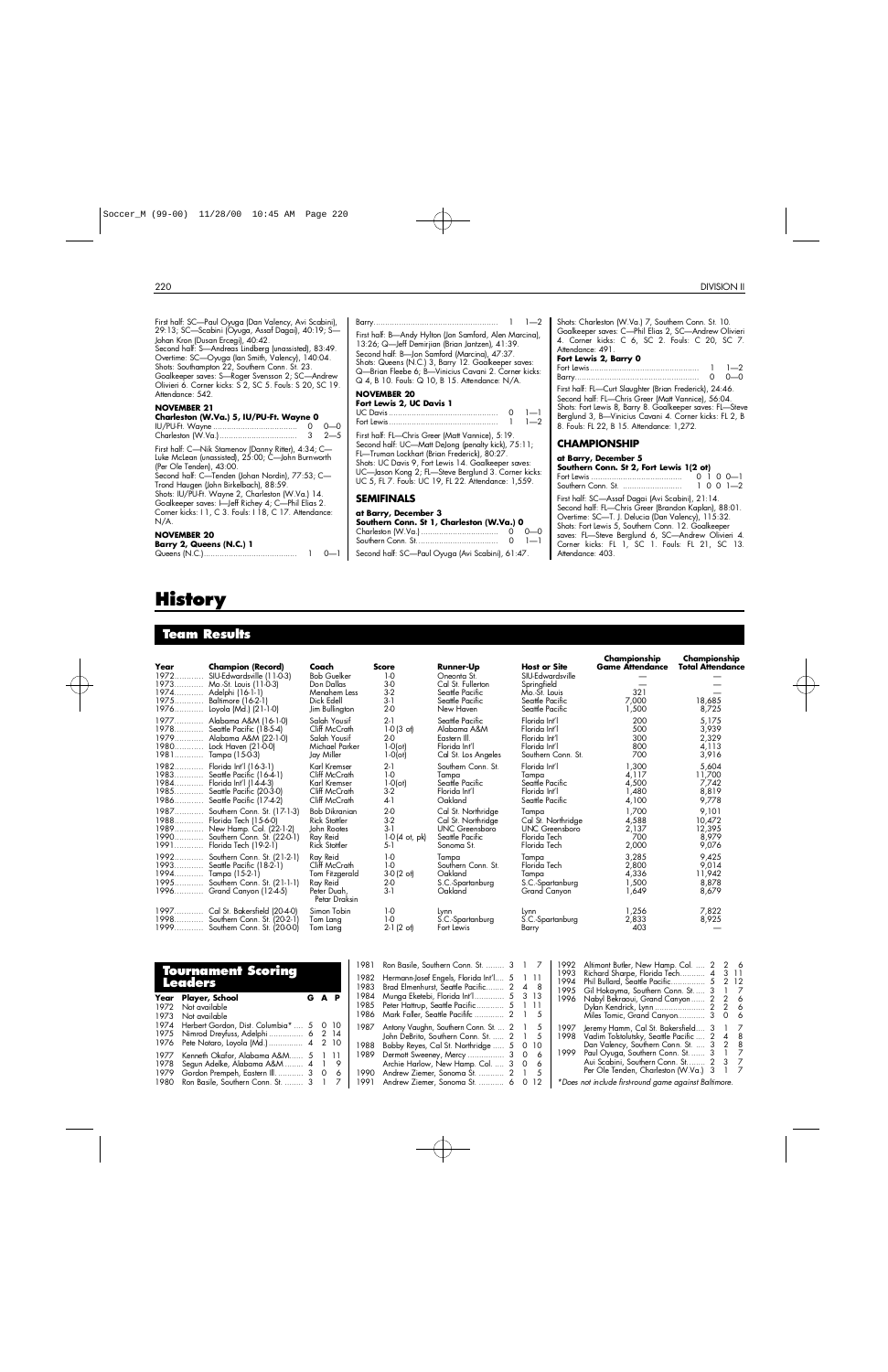$\sim$ 

 $\mathcal{L}$ 

First half: SC—Paul Oyuga (Dan Valency, Avi Scabini), 29:13; SC—Scabini (Oyuga, Assaf Dagai), 40:19; S— Johan Kron (Dusan Ercegi), 40:42. Second half: S—Andreas Lindberg (unassisted), 83:49. Overtime: SC—Oyuga (Ian Smith, Valency), 140:04. Shots: Southampton 22, Southern Conn. St. 23. Goalkeeper saves: S—Roger Svensson 2; SC—Andrew Olivieri 6. Corner kicks: S 2, SC 5. Fouls: S 20, SC 19. Attendance: 542. **NOVEMBER 21 Charleston (W.Va.) 5, IU/PU-Ft. Wayne 0** IU/PU-Ft. Wayne . . . . . . . . . . . . . . . . . . . . . . . . . . . . . . . . . . . . . 0 0 — 0 Charleston (W.Va.). . . . . . . . . . . . . . . . . . . . . . . . . . . . . . . . . . 3 2 — 5 First half: C—Nik Stamenov (Danny Ritter), 4:34; C— Luke McLean (unassisted), 25:00; C—John Burnworth (Per Ole Tenden), 43:00. Second half: C—Tenden (Johan Nordin), 77:53; C— Trond Haugen (John Birkelbach), 88:59. Shots: IU/PU-Ft. Wayne 2, Charleston (W.Va.) 14. Goalkeeper saves: I—Jeff Richey 4; C—Phil Elias 2. Corner kicks: I 1, C 3. Fouls: I 18, C 17. Attendance: N/A. **NOVEMBER 20 Barry 2, Queens (N.C.) 1**

## Queens (N.C.). . . . . . . . . . . . . . . . . . . . . . . . . . . . . . . . . . . . . . . . . 1 0 — 1

# **H i s t o ry**

## **Team Results**

| Year<br>1972<br>1973 | <b>Champion (Record)</b><br>SIU-Edwardsville (11-0-3)<br>Mo.-St. Louis (11-0-3)<br>1974 Adelphi (16-1-1)<br>1975 Baltimore (16-2-1)<br>1976 Loyola (Md.) (21-1-0) | Coach<br><b>Bob Guelker</b><br>Don Dallas<br>Menahem Less<br>Dick Edell<br>Jim Bullington | <b>Score</b><br>$1-0$<br>$3-0$<br>$3-2$<br>$3-1$<br>$2-0$ | <b>Runner-Up</b><br>Oneonta St.<br>Cal St. Fullerton<br>Seattle Pacific<br>Seattle Pacific<br>New Haven | <b>Host or Site</b><br>SIU-Edwardsville<br>Springfield<br>Mo.-St. Louis<br>Seattle Pacific<br>Seattle Pacific | Championship<br><b>Game Attendance</b><br>321<br>7.000<br>1,500 | Championship<br><b>Total Attendance</b><br>18,685<br>8,725 |
|----------------------|-------------------------------------------------------------------------------------------------------------------------------------------------------------------|-------------------------------------------------------------------------------------------|-----------------------------------------------------------|---------------------------------------------------------------------------------------------------------|---------------------------------------------------------------------------------------------------------------|-----------------------------------------------------------------|------------------------------------------------------------|
|                      | 1977 Alabama A&M (16-1-0)                                                                                                                                         | Salah Yousif                                                                              | $2-1$                                                     | Seattle Pacific                                                                                         | Florida Int'l                                                                                                 | 200                                                             | 5,175                                                      |
|                      | 1978 Seattle Pacific (18-5-4)                                                                                                                                     | Cliff McCrath                                                                             | $1-0(3 \text{ of})$                                       | Alabama A&M                                                                                             | Florida Int'l                                                                                                 | 500                                                             | 3,939                                                      |
|                      | 1979 Alabama A&M (22-1-0)                                                                                                                                         | Salah Yousif                                                                              | $2-0$                                                     | Eastern III.                                                                                            | Florida Int'l                                                                                                 | 300                                                             | 2,329                                                      |
|                      | 1980 Lock Haven (21-0-0)                                                                                                                                          | Michael Parker                                                                            | $1 - O(\circ t)$                                          | Florida Int'l                                                                                           | Florida Int'l                                                                                                 | 800                                                             | 4,113                                                      |
|                      | 1981 Tampa (15-0-3)                                                                                                                                               | Jay Miller                                                                                | $1 - O(\circ t)$                                          | Cal St. Los Angeles                                                                                     | Southern Conn. St.                                                                                            | 700                                                             | 3,916                                                      |
|                      | 1982 Florida Int'l (16-3-1)                                                                                                                                       | Karl Kremser                                                                              | $2-1$                                                     | Southern Conn. St.                                                                                      | Florida Int'l                                                                                                 | 1,300                                                           | 5,604                                                      |
|                      | 1983 Seattle Pacific (16-4-1)                                                                                                                                     | Cliff McCrath                                                                             | $1-0$                                                     | Tampa                                                                                                   | Tampa                                                                                                         | 4.117                                                           | 11,700                                                     |
|                      | 1984 Florida Int'l (14-4-3)                                                                                                                                       | Karl Kremser                                                                              | $1-0$ (ot)                                                | Seattle Pacific                                                                                         | Seattle Pacific                                                                                               | 4,500                                                           | 7,742                                                      |
|                      | 1985 Seattle Pacific (20-3-0)                                                                                                                                     | Cliff McCrath                                                                             | $3-2$                                                     | Florida Int'l                                                                                           | Florida Int'l                                                                                                 | 1,480                                                           | 8,819                                                      |
|                      | 1986 Seattle Pacific (17-4-2)                                                                                                                                     | Cliff McCrath                                                                             | 4-1                                                       | Oakland                                                                                                 | Seattle Pacific                                                                                               | 4,100                                                           | 9,778                                                      |
|                      | 1987 Southern Conn. St. (17-1-3)                                                                                                                                  | <b>Bob Dikranian</b>                                                                      | $2-0$                                                     | Cal St. Northridge                                                                                      | Tampa                                                                                                         | 1.700                                                           | 9,101                                                      |
|                      | 1988 Florida Tech (15-6-0)                                                                                                                                        | <b>Rick Stottler</b>                                                                      | $3-2$                                                     | Cal St. Northridge                                                                                      | Cal St. Northridge                                                                                            | 4,588                                                           | 10,472                                                     |
|                      | 1989 New Hamp. Col. (22-1-2)                                                                                                                                      | John Rootes                                                                               | $3-1$                                                     | UNC Greensboro                                                                                          | UNC Greensboro                                                                                                | 2,137                                                           | 12,395                                                     |
|                      | 1990 Southern Conn. St. (22-0-1)                                                                                                                                  | Ray Reid                                                                                  | $1-0(4$ ot, pk)                                           | Seattle Pacific                                                                                         | Florida Tech                                                                                                  | 700                                                             | 8,979                                                      |
|                      | 1991 Florida Tech (19-2-1)                                                                                                                                        | <b>Rick Stottler</b>                                                                      | 5-1                                                       | Sonoma St.                                                                                              | Florida Tech                                                                                                  | 2,000                                                           | 9,076                                                      |
|                      | 1992 Southern Conn. St. (21-2-1)<br>1993 Seattle Pacific (18-2-1)<br>1994 Tampa (15-2-1)<br>1995 Southern Conn. St. (21-1-1)<br>1996 Grand Canyon (12-4-5)        | Ray Reid<br>Cliff McCrath<br>Tom Fitzgerald<br>Ray Reid<br>Peter Duah.<br>Petar Draksin   | $1-0$<br>$1-0$<br>$3-0(2)$ ot<br>$2-0$<br>$3-1$           | Tampa<br>Southern Conn. St.<br>Oakland<br>S.C.-Spartanburg<br>Oakland                                   | Tampa<br>Florida Tech<br>Tampa<br>S.C.-Spartanburg<br>Grand Canyon                                            | 3,285<br>2.800<br>4,336<br>1,500<br>1.649                       | 9,425<br>9,014<br>11,942<br>8,878<br>8.679                 |
|                      | 1997 Cal St. Bakersfield (20-4-0)<br>1998 Southern Conn. St. (20-2-1)<br>1999 Southern Conn. St. (2000)                                                           | Simon Tobin<br>Tom Lang<br>Tom Lang                                                       | $1-0$<br>$1-0$<br>$2-1(2 \text{ of})$                     | Lynn<br>S.C.-Spartanburg<br>Fort Lewis                                                                  | Lynn<br>S.C.-Spartanburg<br>Barry                                                                             | 1,256<br>2,833<br>403                                           | 7,822<br>8,925                                             |

## **To u rnament Scoring L e a d e r s**

| Year | Player, School                          | A P |   |
|------|-----------------------------------------|-----|---|
| 1972 | Not available                           |     |   |
| 1973 | Not available                           |     |   |
| 1974 | Herbert Gordon, Dist. Columbia*  5 0 10 |     |   |
| 1975 | Nimrod Dreyfuss, Adelphi 6 2 14         |     |   |
| 1976 | Pete Notaro, Loyola (Md.)  4 2 10       |     |   |
| 1977 | Kenneth Okafor, Alabama A&M 5 1         |     |   |
| 1978 | Segun Adelke, Alabama A&M  4            |     | 9 |
| 1979 | Gordon Prempeh, Eastern III.  3         | 0   | 6 |
| 1980 | Ron Basile, Southern Conn. St.  3       |     |   |

#### B a r r y. . . . . . . . . . . . . . . . . . . . . . . . . . . . . . . . . . . . . . . . . . . . . . . . . . . . . . 1 1 — 2 First half: B—Andy Hylton (Jon Samford, Alen Marcina), 13:26; Q—Jeff Demirjian (Brian Jantzen), 41:39. Second half: B—Jon Samford (Marcina), 47:37. Shots: Queens (N.C.) 3, Barry 12. Goalkeeper saves: Q—Brian Fleebe 6; B—Vinicius Cavani 2. Corner kicks: Q 4, B 10. Fouls: Q 10, B 15. Attendance: N/A. **NOVEMBER 20 Fort Lewis 2, UC Davis 1**

UC Davis. . . . . . . . . . . . . . . . . . . . . . . . . . . . . . . . . . . . . . . . . . . . . . . . 0 1 — 1 Fort Lewis. . . . . . . . . . . . . . . . . . . . . . . . . . . . . . . . . . . . . . . . . . . . . . . . 1 1 — 2 First half: FL—Chris Greer (Matt Vannice), 5:19. Second half: UC—Matt DeJong (penalty kick), 75:11; FL—Truman Lockhart (Brian Frederick), 80:27. Shots: UC Davis 9, Fort Lewis 14. Goalkeeper saves: UC—Jason Kong 2; FL—Steve Berglund 3. Corner kicks: UC 5, FL 7. Fouls: UC 19, FL 22. Attendance: 1,559. **SEMIFINALS at Barry, December 3**

#### **Southern Conn. St 1, Charleston (W.Va.) 0** Charleston (W.Va.). . . . . . . . . . . . . . . . . . . . . . . . . . . . . . . . . . 0 0 — 0 Southern Conn. St.. . . . . . . . . . . . . . . . . . . . . . . . . . . . . . . . . . . 0 1 — 1

Second half: SC—Paul Oyuga (Avi Scabini), 61:47.

Shots: Charleston (W.Va.) 7, Southern Conn. St. 10. Goalkeeper saves: C—Phil Elias 2, SC—Andrew Olivieri 4. Corner kicks: C 6, SC 2. Fouls: C 20, SC 7. Attendance: 491.

#### **Fort Lewis 2, Barry 0** Fort Lewis. . . . . . . . . . . . . . . . . . . . . . . . . . . . . . . . . . . . . . . . . . . . . . . . 1 1 — 2 B a r r y. . . . . . . . . . . . . . . . . . . . . . . . . . . . . . . . . . . . . . . . . . . . . . . . . . . . . . 0 0 — 0 First half: FL—Curt Slaughter (Brian Frederick), 24:46.

Second half: FL—Chris Greer (Matt Vannice), 56:04. Shots: Fort Lewis 8, Barry 8. Goalkeeper saves: FL—Steve Berglund 3, B—Vinicius Cavani 4. Corner kicks: FL 2, B 8. Fouls: FL 22, B 15. Attendance: 1,272.

## **CHAMPIONSHIP**

#### **at Barry, December 5**

| Southern Conn. St 2, Fort Lewis 1(2 ot)                                                                  |  |                 |
|----------------------------------------------------------------------------------------------------------|--|-----------------|
|                                                                                                          |  | $0, 1, 0, 0$ —1 |
| Southern Conn. St.                                                                                       |  | $1001 - 2$      |
| First half: SC—Assaf Dagai (Avi Scabini), 21:14.<br>Second half: FL-Chris Greer (Brandon Kaplan), 88:01. |  |                 |
|                                                                                                          |  |                 |

Overtime: SC—T. J. Delucia (Dan Valency), 115:32. Shots: Fort Lewis 5, Southern Conn. 12. Goalkeeper saves: FL—Steve Berglund 6, SC—Andrew Olivieri 4. Corner kicks: FL 1, SC 1. Fouls: FL 21, SC 13. Attendance: 403.

and and

| 1981<br>1983<br>1984         | Ron Basile, Southern Conn. St.  3 1<br>1982 Hermann-Josef Engels, Florida Int'l 5 1<br>Brad Elmenhurst, Seattle Pacific 2<br>Munga Eketebi, Florida Int'l 5 3 13<br>1985 Peter Hattrup, Seattle Pacific 5 1 11<br>1986 Mark Faller, Seattle Pacififc  2 |   |                      | 48<br>5                    | 1992<br>1993.<br>1994<br>1995<br>1996 | Altimont Butler, New Hamp. Col.  2<br>2 6<br>Richard Sharpe, Florida Tech 4<br>-3-11<br>2 12<br>Gil Hokayma, Southern Conn. St 3<br>$1 \quad 7$<br>Nabyl Bekraoui, Grand Canyon 2<br>2<br>Miles Tomic, Grand Canyon 3<br>O                            | - 6<br>- 6                        |
|------------------------------|---------------------------------------------------------------------------------------------------------------------------------------------------------------------------------------------------------------------------------------------------------|---|----------------------|----------------------------|---------------------------------------|-------------------------------------------------------------------------------------------------------------------------------------------------------------------------------------------------------------------------------------------------------|-----------------------------------|
| 1987<br>1988<br>1989<br>1990 | Antony Vaughn, Southern Conn. St.  2 1<br>John DeBrito, Southern Conn. St.  2<br>Bobby Reyes, Cal St. Northridge  5 0<br>Dermott Sweeney, Mercy<br>Archie Harlow, New Hamp. Col.  3<br>Andrew Ziemer, Sonoma St.  2 1                                   | 3 | $\Omega$<br>$\Omega$ | - 5<br>- 10<br>6<br>6<br>5 | 1997<br>1998<br>1999 -                | Jeremy Hamm, Cal St. Bakersfield 3<br>Vadim Tolstolutsky, Seattle Pacific  2<br>4<br>Dan Valency, Southern Conn. St.  3 2 8<br>Paul Oyuga, Southern Conn. St.  3 1 7<br>Aui Scabini, Southern Conn. St 2<br>3<br>Per Ole Tenden, Charleston (W.Va.) 3 | $\overline{7}$<br>- 8<br>7<br>- 7 |
| 1991                         | Andrew Ziemer, Sonoma St.  6 0 12                                                                                                                                                                                                                       |   |                      |                            |                                       | *Does not include first-round game against Baltimore.                                                                                                                                                                                                 |                                   |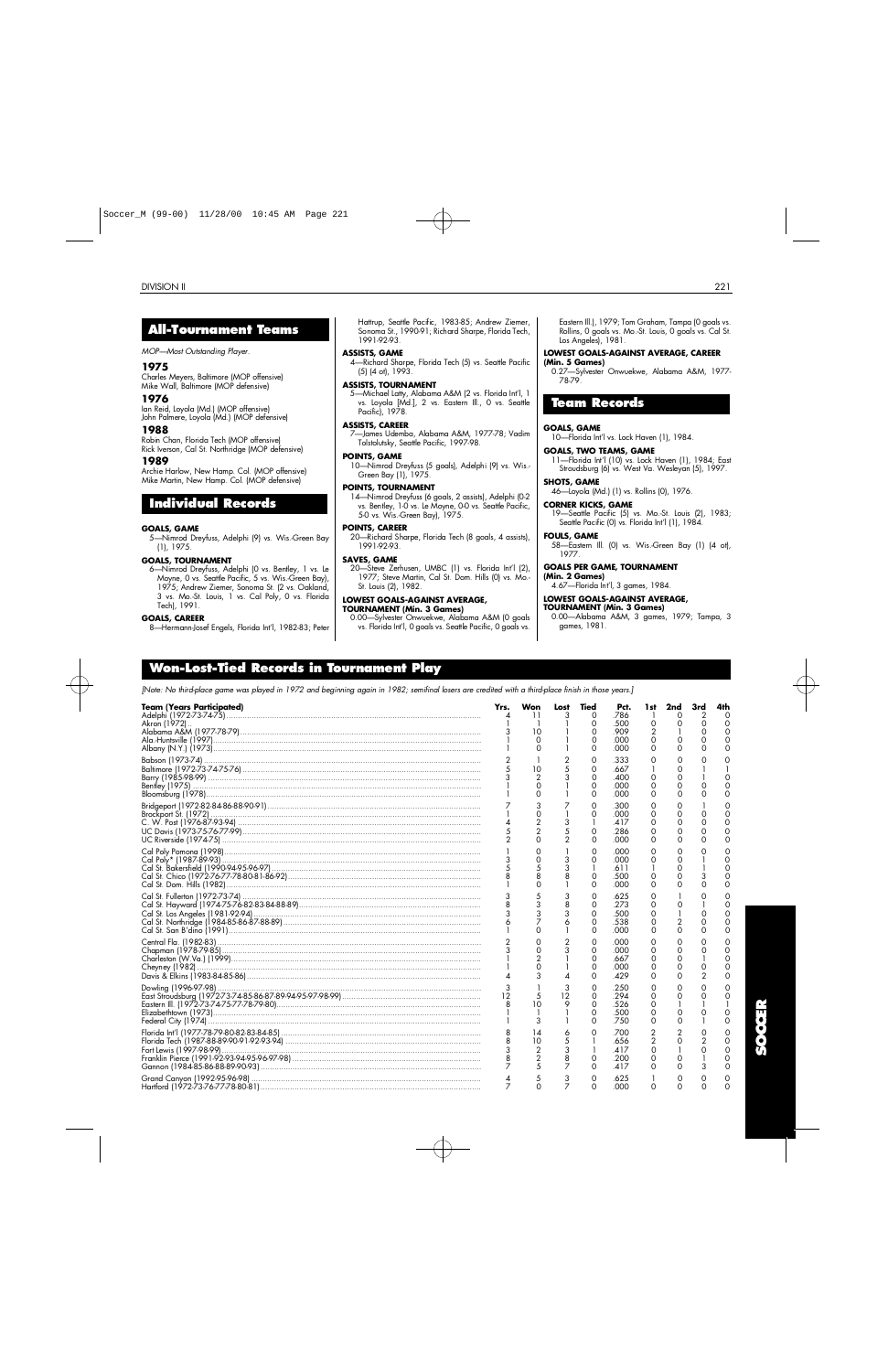## **A l l - To u rnament Te a m s**

*MOP—Most Outstanding Player.*

#### **1 9 7 5**

Charles Meyers, Baltimore (MOP offensive) Mike Wall, Baltimore (MOP defensive)

#### **1 9 7 6**

Ian Reid, Loyola (Md.) (MOP offensive) John Palmere, Loyola (Md.) (MOP defensive)

#### **1 9 8 8**

Robin Chan, Florida Tech (MOP offensive) Rick Iverson, Cal St. Northridge (MOP defensive)

### **1 9 8 9**

Archie Harlow, New Hamp. Col. (MOP offensive) Mike Martin, New Hamp. Col. (MOP defensive)

## **Individual Records**

#### **GOALS, GAME**

5—Nimrod Dreyfuss, Adelphi (9) vs. Wis.-Green Bay (1), 1975.

#### **GOALS, TOURNAMENT**

6—Nimrod Dreyfuss, Adelphi (0 vs. Bentley, 1 vs. Le Moyne, 0 vs. Seattle Pacific, 5 vs. Wis.-Green Bay), 1975; Andrew Ziemer, Sonoma St. (2 vs. Oakland, 3 vs. Mo.-St. Louis, 1 vs. Cal Poly, 0 vs. Florida Tech), 1991.

#### **GOALS, CAREER**

8—Hermann-Josef Engels, Florida Int'l, 1982-83; Peter

Hattrup, Seattle Pacific, 1983-85; Andrew Ziemer, Sonoma St., 1990-91; Richard Sharpe, Florida Tech,  $1991 - 92.93$ 

#### **ASSISTS, GAME**

4—Richard Sharpe, Florida Tech (5) vs. Seattle Pacific (5) (4 ot), 1993.

#### **ASSISTS, TOURNAMENT**

5—Michael Latty, Alabama A&M (2 vs. Florida Int'l, 1 vs. Loyola [Md.], 2 vs. Eastern Ill., 0 vs. Seattle Pacific), 1978.

#### **ASSISTS, CAREER**

7—James Udemba, Alabama A&M, 1977-78; Vadim Tolstolutsky, Seattle Pacific, 1997-98.

#### **POINTS, GAME**

10—Nimrod Dreyfuss (5 goals), Adelphi (9) vs. Wis.- Green Bay (1), 1975.

#### **POINTS, TOURNAMENT**

14—Nimrod Dreyfuss (6 goals, 2 assists), Adelphi (0-2 vs. Bentley, 1-0 vs. Le Moyne, 0-0 vs. Seattle Pacific, 5-0 vs. Wis.-Green Bay), 1975.

#### **POINTS, CAREER**

20—Richard Sharpe, Florida Tech (8 goals, 4 assists), 1991-92-93.

#### **SAVES, GAME**

20—Steve Zerhusen, UMBC (1) vs. Florida Int'l (2), 1977; Steve Martin, Cal St. Dom. Hills (0) vs. Mo.- St. Louis (2), 1982.

### **LOWEST GOALS-AGAINST AVERAGE,**

## **TOURNAMENT (Min. 3 Games)**

0.00—Sylvester Onwuekwe, Alabama A&M (0 goals vs. Florida Int'l, 0 goals vs. Seattle Pacific, 0 goals vs. Eastern Ill.), 1979; Tom Graham, Tampa (0 goals vs. Rollins, 0 goals vs. Mo.-St. Louis, 0 goals vs. Cal St. Los Angeles), 1981.

#### **LOWEST GOALS-AGAINST AVERAGE, CAREER**

**(Min. 5 Games)** 0.27—Sylvester Onwuekwe, Alabama A&M, 1977- 78-79

## **Team Records**

#### **GOALS, GAME**

10—Florida Int'l vs. Lock Haven (1), 1984.

#### **GOALS, TWO TEAMS, GAME**

11—Florida Int'l (10) vs. Lock Haven (1), 1984; East Stroudsburg (6) vs. West Va. Wesleyan (5), 1997.

#### **SHOTS, GAME**

46—Loyola (Md.) (1) vs. Rollins (0), 1976.

#### **CORNER KICKS, GAME**

19—Seattle Pacific (5) vs. Mo.-St. Louis (2), 1983; Seattle Pacific (0) vs. Florida Int'l (1), 1984.

## **FOULS, GAME**

58—Eastern Ill. (0) vs. Wis.-Green Bay (1) (4 ot), 1977.

#### **GOALS PER GAME, TOURNAMENT (Min. 2 Games)**

4.67—Florida Int'l, 3 games, 1984.

#### **LOWEST GOALS-AGAINST AVERAGE,**

**TOURNAMENT (Min. 3 Games)** 0.00—Alabama A&M, 3 games, 1979; Tampa, 3 games, 1981.

## **Wo n - L o s t - Tied Records in To u rnament Play**

*[Note: No third-place game was played in 1972 and beginning again in 1982; semifinal losers are credited with a third-place finish in those years.]*

| <b>Team (Years Participated)</b> | Yrs.<br>Δ           | Won<br>11                        | Lost                | Tied<br>$\Omega$        | Pct.<br>.786 | 1st                  | 2nd<br>$\Omega$ | 3rd<br>2      | 4th<br>∩             |
|----------------------------------|---------------------|----------------------------------|---------------------|-------------------------|--------------|----------------------|-----------------|---------------|----------------------|
| Akron (1972)                     |                     | 10                               |                     | O<br>0                  | .500<br>.909 | $\circ$<br>2         | 0               | $\Omega$<br>O | $\Omega$<br>$\Omega$ |
|                                  |                     | $\Omega$<br>$\Omega$             |                     | 0<br>0                  | .000<br>.000 | 0<br>0               | 0<br>$\Omega$   | Ω             |                      |
|                                  |                     | 10                               | 5                   | 0<br>0                  | .333<br>.667 | 0                    | 0<br>0          |               |                      |
|                                  |                     | 2<br>$\Omega$                    |                     | $\Omega$<br>$\mathbf 0$ | .400<br>.000 | $\Omega$<br>0        | 0<br>0          | Ω             |                      |
|                                  |                     | $\Omega$                         |                     | $\Omega$<br>0           | .000<br>.300 | 0<br>$\Omega$        | $\Omega$<br>0   | ∩             | ∩                    |
|                                  |                     | $\Omega$                         | 3                   | O                       | .000<br>.417 | 0<br>0               | 0<br>0          | Ω<br>Ω        |                      |
|                                  | 2                   | $\overline{2}$                   | 5                   | 0<br>$\Omega$           | .286<br>.000 | 0<br>$\Omega$        | 0<br>$\Omega$   | 0<br>Ω        |                      |
|                                  |                     |                                  |                     | $\Omega$<br>0           | .000<br>.000 | $\Omega$<br>0        | 0<br>0          |               |                      |
|                                  |                     |                                  | 3<br>8              | 0                       | .611<br>.500 | O                    | $\Omega$<br>0   | 3             |                      |
|                                  |                     |                                  |                     | $\Omega$                | .000         | 0                    | $\Omega$        | ∩             |                      |
|                                  |                     |                                  | 8                   | $\Omega$<br>$\Omega$    | .625<br>.273 | $\Omega$<br>$\Omega$ | Ω               | C             |                      |
|                                  |                     |                                  | 3<br>6              | $\mathbf 0$<br>$\Omega$ | .500<br>.538 | 0<br>O               | 2               | O             |                      |
|                                  |                     | ∩                                | 2                   | $\Omega$<br>0           | .000<br>.000 | $\Omega$<br>0        | 0<br>0          | 0<br>0        |                      |
|                                  |                     | 2                                |                     | $\Omega$<br>$\Omega$    | .000<br>.667 | $\Omega$<br>$\Omega$ | $\Omega$<br>0   | Ω             |                      |
|                                  |                     |                                  |                     | 0<br>$\Omega$           | .000<br>.429 | 0<br>0               | 0<br>$\Omega$   | Ω<br>2        | ∩                    |
|                                  |                     |                                  |                     | $\Omega$                | .250         | $\Omega$             | 0               |               |                      |
|                                  | 12                  | 5<br>10                          | 12<br>9             | 0<br>$\Omega$           | .294<br>.526 | $\Omega$<br>0        | 0<br>1          | Ω             |                      |
|                                  |                     | 3                                |                     | 0<br>$\Omega$           | .500<br>.750 | 0<br>0               | 0<br>$\Omega$   |               |                      |
|                                  |                     | 14<br>10                         | 6<br>5              | $\Omega$                | .700<br>.656 | 2<br>$\mathbf{2}$    | 2<br>$\Omega$   | C<br>2        |                      |
|                                  | 8                   | $\overline{2}$<br>$\overline{c}$ | 3<br>8              | 0                       | .417<br>.200 | $\Omega$<br>0        | 1<br>0          | $\Omega$      |                      |
|                                  |                     | 5                                | 7                   | 0                       | .417         | 0                    | Ο               | 3             |                      |
|                                  | 4<br>$\overline{7}$ | 5<br>$\Omega$                    | 3<br>$\overline{7}$ | 0<br>$\Omega$           | .625<br>.000 | $\Omega$             | 0<br>$\Omega$   | Ω<br>∩        |                      |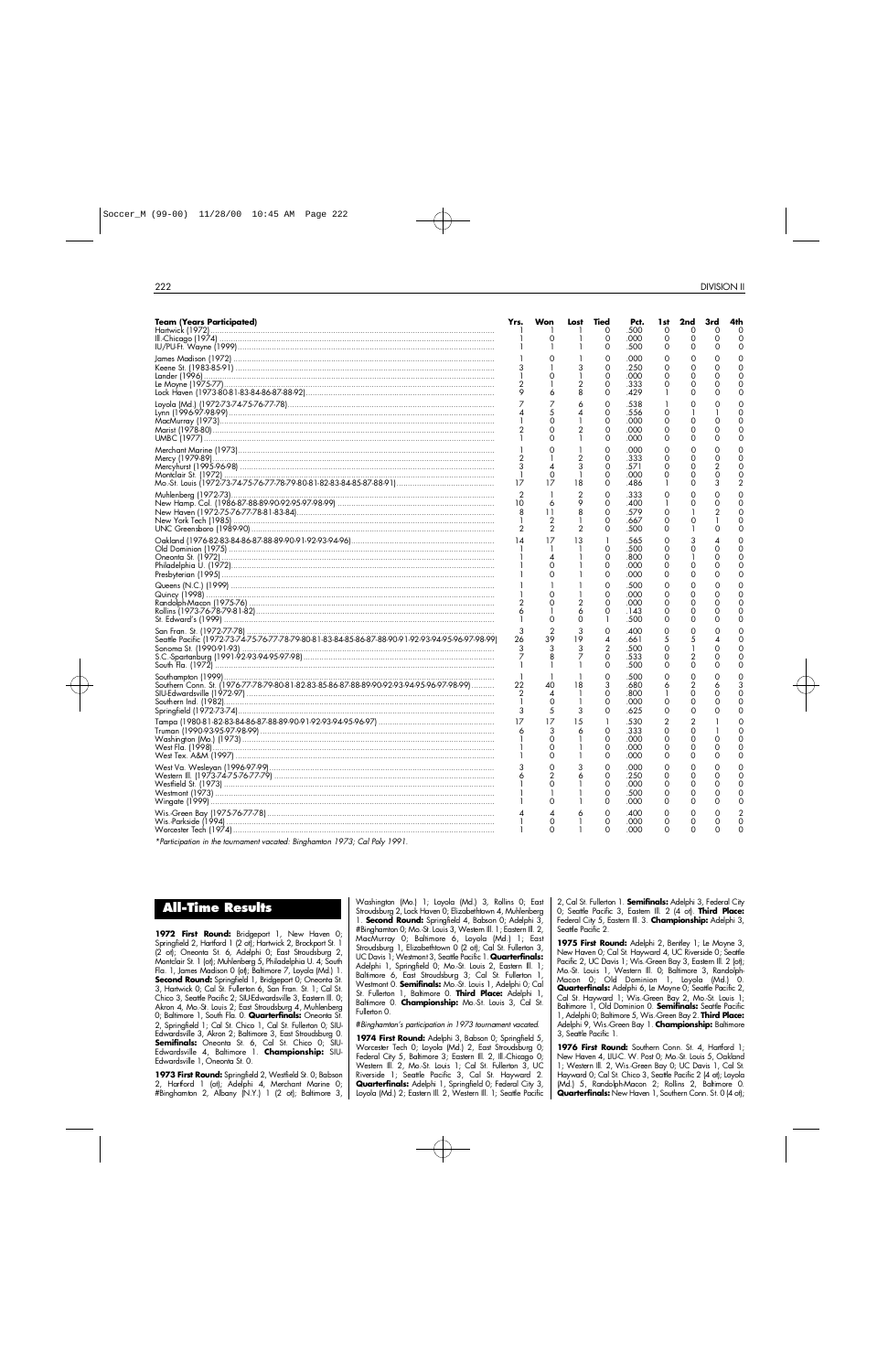| <b>Team (Years Participated)</b>                                                                  | Yrs.<br>-1                                      | Won<br>Ο                        | Lost                                | Tied<br>0<br>0                            | Pct.<br>.500<br>.000                         | 1st<br>0<br>0                      | 2nd<br>$\Omega$<br>0                       | 3rd<br>$\Omega$<br>0      | 4th<br>∩<br>$\Omega$                  |
|---------------------------------------------------------------------------------------------------|-------------------------------------------------|---------------------------------|-------------------------------------|-------------------------------------------|----------------------------------------------|------------------------------------|--------------------------------------------|---------------------------|---------------------------------------|
|                                                                                                   | 3<br>2                                          | 0                               | 3<br>2<br>8                         | 0<br>0<br>0<br>0<br>0<br>0                | .500<br>.000<br>.250<br>.000<br>.333<br>.429 | 0<br>0<br>$\Omega$<br>0<br>0       | 0<br>0<br>0<br>O<br>0<br>0                 | O<br>0<br>∩               | $\Omega$<br>$\Omega$<br>$\Omega$<br>∩ |
|                                                                                                   | $\overline{4}$                                  | 7<br>0<br>$\Omega$<br>$\Omega$  | 6<br>4<br>2<br>1.                   | $\Omega$<br>0<br>0<br>0<br>0              | .538<br>.556<br>.000<br>.000<br>.000         | 1<br>0<br>0<br>0<br>0              | 0<br>1<br>0<br>0<br>0                      | $\Omega$                  | $\Omega$<br>C<br>$\Omega$<br>$\Omega$ |
|                                                                                                   | 2<br>3<br>$\mathbf{1}$<br>17                    | 0<br>$\Omega$<br>17             | $\frac{2}{3}$<br>$\mathbf{1}$<br>18 | 0<br>0<br>0<br>0<br>0                     | .000<br>.333<br>.571<br>.000<br>.486         | Ο<br>0<br>0<br>0<br>1              | $\Omega$<br>0<br>$\Omega$<br>$\Omega$<br>0 | 0<br>3                    | $\Omega$<br>$\Omega$                  |
|                                                                                                   | $\overline{2}$<br>10<br>8<br>$\mathbf{2}$       | 6<br>11<br>2<br>$\overline{2}$  | 2<br>9<br>8<br>$\overline{2}$       | $\Omega$<br>0<br>0<br>0<br>0              | .333<br>.400<br>.579<br>.667<br>.500         | 0<br>1<br>0<br>0<br>0              | 0<br>0<br>0                                | 0<br>O                    | $\Omega$<br>∩<br>$\Omega$<br>$\Omega$ |
|                                                                                                   | 14                                              | 17<br>◢<br>0<br>Ο               | 13                                  | 1<br>0<br>0<br>0<br>0                     | .565<br>.500<br>.800<br>.000<br>.000         | 0<br>0<br>0<br>0<br>0              | 3<br>0<br>$\Omega$<br>0                    | ∩<br>∩                    | $\Omega$<br>∩                         |
|                                                                                                   | 2<br>6                                          | $\Omega$<br>$\Omega$            | $\overline{2}$<br>6<br>0            | 0<br>0<br>0<br>0<br>1                     | .500<br>.000<br>.000<br>.143<br>.500         | 0<br>0<br>$\Omega$<br>0<br>Ο       | 0<br>0<br>$\Omega$<br>0<br>0               | $\Omega$<br>∩             | O<br>$\Omega$<br>$\Omega$<br>$\Omega$ |
| Seattle Pacific (1972-73-74-75-76-77-78-79-80-81-83-84-85-86-87-88-90-91-92-93-94-95-96-97-98-99) | 3<br>26<br>3<br>7<br>-1                         | $\overline{2}$<br>39<br>3       | 3<br>19<br>3<br>7                   | 0<br>4<br>$\overline{2}$<br>0<br>$\Omega$ | .400<br>.661<br>.500<br>.533<br>.500         | 0<br>5<br>$\Omega$<br>0<br>0       | 0<br>5<br>2<br>$\mathbf 0$                 | $\Omega$                  | $\Omega$<br>Ω<br>$\Omega$             |
| Southern Conn. St. (1976-77-78-79-80-81-82-83-85-86-87-88-89-90-92-93-94-95-96-97-98-99)          | -1<br>22<br>$\overline{2}$<br>$\mathbf{1}$<br>3 | 40<br>4<br>0<br>5               | 18<br>-1<br>3                       | 0<br>3<br>0<br>0<br>0                     | .500<br>.680<br>.800<br>.000<br>.625         | 0<br>6<br>-1<br>0<br>0             | 0<br>$\overline{2}$<br>0<br>0<br>0         | 6<br>∩                    | 3<br>$\cap$<br>$\Omega$<br>$\Omega$   |
|                                                                                                   | 17<br>6                                         | 17<br>3<br>0<br>0               | 15<br>6                             | 1<br>0<br>0<br>0<br>0                     | .530<br>.333<br>.000<br>.000<br>.000         | $\overline{c}$<br>0<br>0<br>0<br>0 | 2<br>0<br>$\Omega$<br>0<br>0               | 0                         | ∩<br>∩<br>Ω<br>$\Omega$               |
|                                                                                                   |                                                 | $\Omega$<br>0<br>0              | 3<br>6                              | $\Omega$<br>0<br>0<br>0<br>0              | .000<br>.250<br>.000<br>.500<br>.000         | 0<br>Ο<br>0<br>0<br>0              | 0<br>0<br>$\Omega$<br>$\Omega$<br>0        | $\Omega$<br>$\Omega$<br>∩ | Ω<br>$\Omega$<br>$\Omega$<br>$\Omega$ |
| $*0 \t i \t i \t i \t j \t j$                                                                     | 4<br>-1                                         | $\overline{A}$<br>0<br>$\Omega$ | 6<br>-1<br>1                        | 0<br>0<br>0                               | .400<br>.000<br>.000                         | 0<br>0<br>0                        | $\Omega$<br>0<br>0                         | O<br>0                    | $\Omega$<br>$\Omega$                  |

*\*Participation in the tournament vacated: Binghamton 1973; Cal Poly 1 9 9 1 .*

## **All-Time Results**

1972 First Round: Bridgeport 1, New Haven 0; Springfield 2, Hartford 1 (2 ot); Hartwick 2, Brockport St. 1 (2 ot); Oneonta St. 6, Adelphi 0; East Stroudsburg 2, Montclair St. 1 (ot); Muhlenberg 5, Philadelphia U. 4; South Fla. 1, James Madison 0 (ot); Baltimore 7, Loyola (Md.) 1. **Second Round:** Springfield 1, Bridgeport 0; Oneonta St. 3, Hartwick 0; Cal St. Fullerton 6, San Fran. St. 1; Cal St. Chico 3, Seattle Pacific 2; SIU-Edwardsville 3, Eastern Ill. 0; Akron 4, Mo.-St. Louis 2; East Stroudsburg 4, Muhlenberg 0; Baltimore 1, South Fla. 0. **Quarterfinals:** Oneonta St. 2, Springfield 1; Cal St. Chico 1, Cal St. Fullerton 0; SIU-Edwardsville 3, Akron 2; Baltimore 3, East Stroudsburg 0.<br>**Semifinals:** Oneonta St. 6, Cal St. Chico 0; SIU-Edwardsville 4, Baltimore 1. **Championship:** SIU-Edwardsville 1, Oneonta St. 0.

**1973 First Round:** Springfield 2, Westfield St. 0; Babson 2, Hartford 1 (ot); Adelphi 4, Merchant Marine 0; #Binghamton 2, Albany (N.Y.) 1 (2 ot); Baltimore 3, Washington (Mo.) 1; Loyola (Md.) 3, Rollins 0; East Stroudsburg 2, Lock Haven 0; Elizabethtown 4, Muhlenberg 1. **Second Round:** Springfield 4, Babson 0; Adelphi 3, #Binghamton 0; Mo.-St. Louis 3, Western Ill. 1; Eastern Ill. 2, MacMurray 0; Baltimore 6, Loyola (Md.) 1; East Stroudsburg 1, Elizabethtown 0 (2 ot); Cal St. Fullerton 3, UC Davis 1; Westmont 3, Seattle Pacific 1. **Quarterfinals:** Adelphi 1, Springfield 0; Mo.-St. Louis 2, Eastern Ill. 1; Baltimore 6, East Stroudsburg 3; Cal St. Fullerton 1, Westmont 0. **Semifinals:** Mo. St. Louis 1, Adelphi 0; Cal St. Fullerton 1, Baltimore 0. **Third Place:** Adelphi 1, Baltimore 0. **Championship:** Mo.-St. Louis 3, Cal St. Fullerton 0.

#*Binghamton's participation in 1973 tournament vacated.*

**1974 First Round:** Adelphi 3, Babson 0; Springfield 5, Worcester Tech 0; Loyola (Md.) 2, East Stroudsburg 0; Federal City 5, Baltimore 3; Eastern III. 2, III.-Chicago 0; Western Ill. 2, Mo.-St. Louis 1; Cal St. Fullerton 3, UC Riverside 1; Seattle Pacific 3, Cal St. Hayward 2. **Quarterfinals:** Adelphi 1, Springfield 0; Federal City 3, Loyola (Md.) 2; Eastern Ill. 2, Western Ill. 1; Seattle Pacific 2, Cal St. Fullerton 1. **Semifinals:** Adelphi 3, Federal City 0; Seattle Pacific 3, Eastern Ill. 2 (4 ot). **Third Place:** Federal City 5, Eastern III. 3. **Championship:** Adelphi 3, Seattle Pacific 2.

**1975 First Round:** Adelphi 2, Bentley 1; Le Moyne 3, New Haven 0; Cal St. Hayward 4, UC Riverside 0; Seattle Pacific 2, UC Davis 1; Wis.-Green Bay 3, Eastem III. 2 (ot); Mo.-St. Louis 1, Western Ill. 0; Baltimore 3, Randolph-Macon 0; Old Dominion 1, Loyola (Md.) 0. **Quarterfinals:** Adelphi 6, Le Moyne 0; Seattle Pacific 2, Cal St. Hayward 1; Wis.-Green Bay 2, Mo.-St. Louis 1; Baltimore 1, Old Dominion 0. **Semifinals:** Seattle Pacific 1, Adelphi 0; Baltimore 5, Wis.-Green Bay 2. **Third Place:** Adelphi 9, Wis.-Green Bay 1. **Championship:** Baltimore 3, Seattle Pacific 1.

1976 First Round: Southern Conn. St. 4, Hartford 1: New Haven 4, LIU-C. W. Post 0; Mo.-St. Louis 5, Oakland 1; Western Ill. 2, Wis.-Green Bay 0; UC Davis 1, Cal St. Hayward 0; Cal St. Chico 3, Seattle Pacific 2 (4 ot); Loyola (Md.) 5, Randolph-Macon 2; Rollins 2, Baltimore 0. **Quarterfinals:** New Haven 1, Southern Conn. St. 0 (4 ot);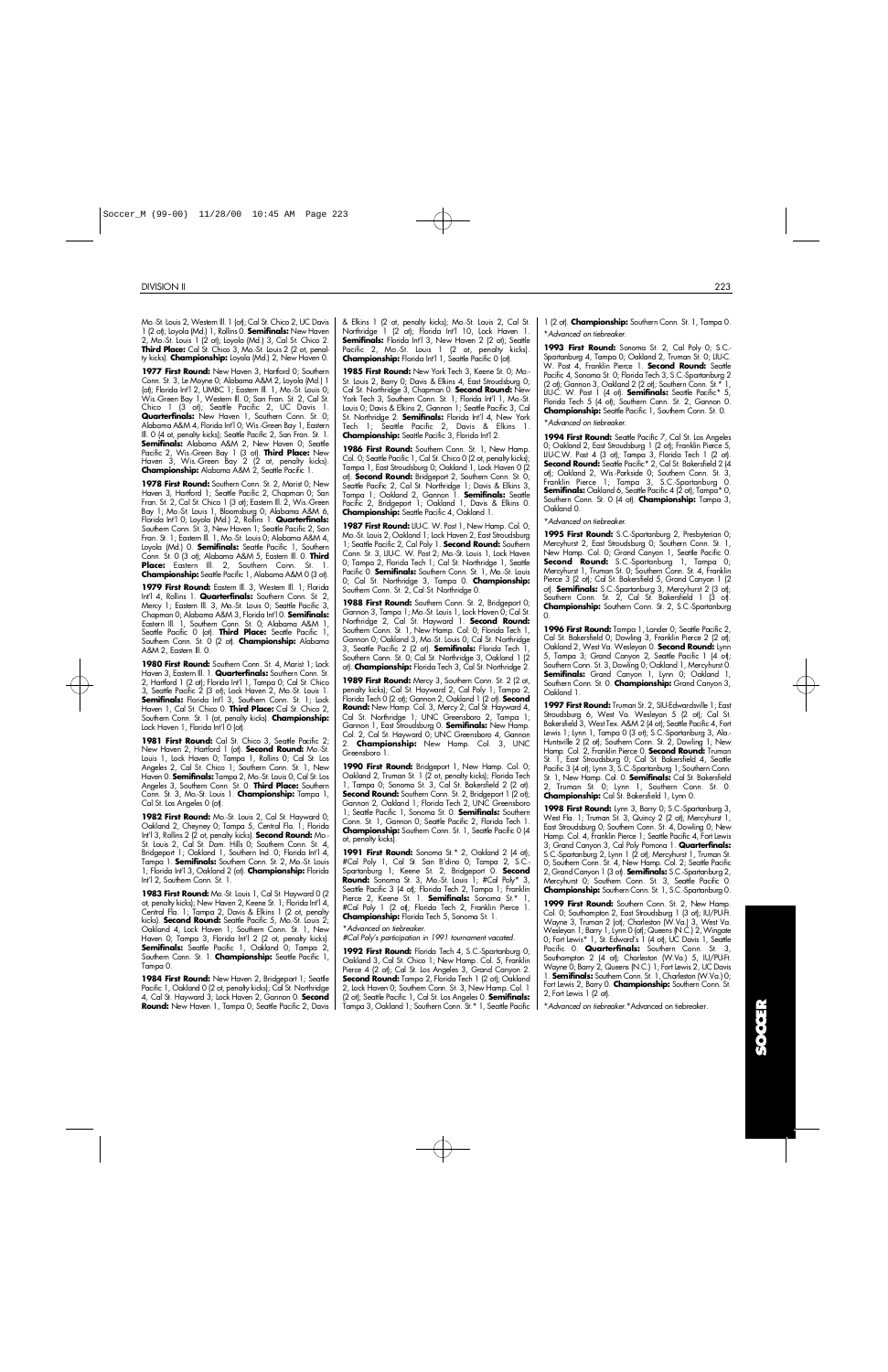Mo.-St. Louis 2, Western III. 1 (ot); Cal St. Chico 2, UC Davis<br>1 (2 ot); Loyola (Md.) 1, Rollins 0. **Semifinals:** New Haven 2, Mo.-St. Louis 1 (2 ot); Loyola (Md.) 3, Cal St. Chico 2. Third Place: Cal St. Chico<sup>'</sup>3, Mo.-St. Louis 2 (2 ot, penalty kicks). **Championship:** Loyola (Md.) 2, New Haven 0.

1977 First Round: New Haven 3, Hartford 0; Southern Conn. St. 3, Le Moyne 0; Alabama A&M 2, Loyola (Md.) 1 (ot); Florida Int'l 2, UMBC 1; Eastern Ill. 1, Mo.-St. Louis 0; Wis.-Green Bay 1, Western Ill. 0; San Fran. St. 2, Cal St. Chico 1 (3 ot); Seattle Pacific 2, UC Davis 1. **Quarterfinals:** New Haven 1, Southern Conn. St. 0; Alabama A&M 4, Florida Int'l 0; Wis.-Green Bay 1, Eastern lll. 0 (4 ot, penalty kicks); Seattle Pacitic 2, San Fran. St. 1.<br>**Semifinals:** Alabama A&M 2, New Haven 0; Seattle Pacific 2, Wis.-Green Bay 1 (3 ot). **Third Place:** New Haven 3, Wis.-Green Bay 2 (2 ot, penalty kicks).<br>**Championship:** Alabama A&M 2, Seattle Pacific 1.

1978 First Round: Southern Conn. St. 2, Marist 0; New Haven 3, Hartford 1; Seattle Pacific 2, Chapman 0; San Fran. St. 2, Cal St. Chico 1 (3 ot); Eastern Ill. 2, Wis.-Green Bay 1; Mo.-St. Louis 1, Bloomsburg 0; Alabama A&M 6,<br>Florida Int'l 0; Loyola (Md.) 2, Rollins 1. **Quarterfinals:** Southern Conn. St. 3, New Haven 1; Seattle Pacific 2, San Fran. St. 1; Eastern III. 1, Mo.-St. Louis 0; Alabama A&M 4, Loyola (Md.) 0. **Semifinals:** Seattle Pacific 1, Southern Conn. St. 0 (3 ot); Alabama A&M 5, Eastern III. 0. Third Place: Eastern III. 2, Southern Conn. St. 1. **Championship:** Seattle Pacific 1, Alabama A&M 0 (3 ot).

1979 First Round: Eastem Ill. 3, Westem Ill. 1; Florida Int'l 4, Rollins 1. **Quarterfinals:** Southern Conn. St. 2, Mercy 1; Eastern Ill. 3, Mo.-St. Louis 0; Seattle Pacific 3, Chapman 0; Alabama A&M 3, Florida Int'l 0. **Semifinals:** Eastern Ill. 1, Southern Conn. St. 0; Alabama A&M 1, Seattle Pacific 0 (ot). **Third Place:** Seattle Pacific 1, Southern Conn. St. 0 (2 ot). **Championship:** Alabama A&M 2, Eastern Ill. 0.

1980 First Round: Southern Conn. St. 4, Marist 1; Lock Haven 3, Eastern Ill. 1. Quarterfinals: Southern Conn. St. 2, Hartford 1 (2 ot); Florida Int'l 1, Tampa 0; Cal St. Chico 3, Seattle Pacitic 2 (3 ot); Lock Haven 2, Mo.-St. Louis 1.<br>**Semifinals:** Florida Int'l 3, Southern Conn. St. 1; Lock Haven 1, Cal St. Chico 0. **Third Place:** Cal St. Chico 2, Southern Conn. St. 1 (ot, penalty kicks). **Championship:** Lock Haven 1, Florida Int'l 0 (ot).

1981 First Round: Cal St. Chico 3, Seattle Pacific 2; New Haven 2, Hartford 1 (ot). **Second Round:** Mo.-St. Louis 1, Lock Haven 0; Tampa 1, Rollins 0; Cal St. Los Angeles 2, Cal St. Chico 1; Southern Conn. St. 1, New Haven 0. **Semifinals:** Tampa 2, Mo.-St. Louis 0; Cal St. Los Angeles 3, Southern Conn. St. 0. Third Place: Southern Conn. St. 3, Mo.-St. Louis 1. **Championship:** Tampa 1, Cal St. Los Angeles 0 (ot).

**1982 First Round:** Mo.-St. Louis 2, Cal St. Hayward 0; Oakland 2, Cheyney 0; Tampa 5, Central Fla. 1; Florida Int'l 3, Rollins 2 (2 ot, penalty kicks). **Second Round:** Mo.-St. Louis 2, Cal St. Dom. Hills 0; Southern Conn. St. 4, Bridgeport 1; Oakland 1, Southern Ind. 0; Florida Int'l 4, Tampa 1. **Semifinals:** Southern Conn. St. 2, Mo.-St. Louis 1; Florida Int'l 3, Oakland 2 (ot). **Championship:** Florida Int'l 2, Southern Conn. St. 1.

**1983 First Round:** Mo.-St. Louis 1, Cal St. Hayward 0 (2 ot, penalty kicks); New Haven 2, Keene St. 1; Florida Int'l 4, Central Fla. 1; Tampa 2, Davis & Elkins 1 (2 ot, penalty kicks). **Second Round:** Seattle Pacific 5, Mo.-St. Louis 2; Oakland 4, Lock Haven 1; Southern Conn. St. 1, New Haven 0; Tampa 3, Florida Int'l 2 (2 ot, penalty kicks). **Semifinals:** Seattle Pacific 1, Oakland 0; Tampa 2, Southern Conn. St. 1. **Championship:** Seattle Pacific 1, Tampa 0.

1984 First Round: New Haven 2, Bridgeport 1; Seattle Pacific 1, Oakland 0 (2 ot, penalty kicks); Cal St. Northridge 4, Cal St. Hayward 3; Lock Haven 2, Gannon 0. **Second Round:** New Haven 1, Tampa 0; Seattle Pacific 2, Davis & Elkins 1 (2 ot, penalty kicks); Mo.-St. Louis 2, Cal St. Northridge 1 (2 ot); Florida Int'l 10, Lock Haven 1.<br>**Semifinals:** Florida Int'l 3, New Haven 2 (2 ot); Seattle Pacific 2, Mo.-St. Louis 1 (2 ot, penalty kicks). **Championship:** Florida Int'l 1, Seattle Pacific 0 (ot).

**1985 First Round:** New York Tech 3, Keene St. 0; Mo.- St. Louis 2, Barry 0; Davis & Elkins 4, East Stroudsburg 0; Cal St. Northridge 3, Chapman 0. **Second Round:** New York Tech 3, Southern Conn. St. 1; Florida Int'l 1, Mo.-St. Louis 0; Davis & Elkins 2, Gannon 1; Seattle Pacific 3, Cal St. Northridge 2. **Semifinals:** Florida Int'l 4, New York Tech 1; Seattle Pacific 2, Davis & Elkins 1. **Championship:** Seattle Pacific 3, Florida Int'l 2.

1986 First Round: Southern Conn. St. 1, New Hamp. Col. 0; Seattle Pacific 1, Cal St. Chico 0 (2 ot, penalty kicks); Tampa 1, East Stroudsburg 0; Oakland 1, Lock Haven 0 (2 ot). **Second Round:** Bridgeport 2, Southern Conn. St. 0; Seattle Pacific 2, Cal St. Northridge 1; Davis & Elkins 3, Tampa 1; Oakland 2, Gannon 1. **Semifinals:** Seattle Pacitic 2, Bridgeport 1; Oakland 1, Davis & Elkins 0.<br>**Championship:** Seattle Pacific 4, Oakland 1.

1987 First Round: LIU-C. W. Post 1, New Hamp. Col. 0; Mo.-St. Louis 2, Oakland 1; Lock Haven 2, East Stroudsburg 1; Seattle Pacific 2, Cal Poly 1. **Second Round:** Southern Conn. St. 3, LIU-C. W. Post 2; Mo.-St. Louis 1, Lock Haven 0; Tampa 2, Florida Tech 1; Cal St. Northridge 1, Seattle Pacific 0. **Semifinals:** Southern Conn. St. 1, Mo.-St. Louis 0; Cal St. Northridge 3, Tampa 0. **Championship:** Southern Conn. St. 2, Cal St. Northridge 0.

1988 First Round: Southern Conn. St. 2, Bridgeport 0; Gannon 3, Tampa 1; Mo.-St. Louis 1, Lock Haven O; Cal St. Northridge 2, Cal St. Hayward 1. **Second Round:** Southern Conn. St. 1, New Hamp. Col. 0; Florida Tech 1, Gannon 0; Oakland 3, Mo.-St. Louis 0; Cal St. Northridge 3, Seattle Pacific 2 (2 ot). **Semifinals:** Florida Tech 1, Southern Conn. St. 0; Cal St. Northridge 3, Oakland 1 (2 ot). **Championship:** Florida Tech 3, Cal St. Northridge 2.

1989 First Round: Mercy 3, Southern Conn. St. 2 (2 ot, penalty kicks); Cal St. Hayward 2, Cal Poly 1; Tampa 2, Florida Tech 0 (2 ot); Gannon 2, Oakland 1 (2 ot). **Second Round:** New Hamp. Col. 3, Mercy 2; Cal St. Hayward 4, Cal St. Northridge 1; UNC Greensboro 2, Tampa 1; Gannon 1, East Stroudsburg 0. **Semifinals:** New Hamp. Col. 2, Cal St. Hayward 0; UNC Greensboro 4, Gannon 2. **Championship:** New Hamp. Col. 3, UNC Greensboro 1.

**1990 First Round:** Bridgeport 1, New Hamp. Col. 0; Oakland 2, Truman St. 1 (2 ot, penalty kicks); Florida Tech 1, Tampa 0; Sonoma St. 3, Cal St. Bakersfield 2 (2 ot). **Second Round:** Southern Conn. St. 2, Bridgeport 1 (2 ot); Gannon 2, Oakland 1; Florida Tech 2, UNC Greensboro 1; Seattle Pacific 1, Sonoma St. 0. **Semifinals:** Southern Conn. St. 1, Gannon 0; Seattle Pacific 2, Florida Tech 1. **Championship:** Southern Conn. St. 1, Seattle Pacific 0 (4 ot, penalty kicks).

**1991 First Round:** Sonoma St.\* 2, Oakland 2 (4 ot); #Cal Poly 1, Cal St. San B'dino 0; Tampa 2, S.C.- Spartanburg 1; Keene St. 2, Bridgeport 0. **Second** Round: Sonoma St. 3, Mo.-St. Louis 1; #Cal Poly\* 3, Seattle Pacific 3 (4 ot); Florida Tech 2, Tampa 1; Franklin Pierce 2, Keene St. 1. **Semifinals:** Sonoma St.\* 1, #Cal Poly 1 (2 ot); Florida Tech 2, Franklin Pierce 1. **Championship:** Florida Tech 5, Sonoma St. 1.

\**Advanced on tiebreaker.*

*#Cal Poly's participation in 1991 tournament vacated.*

**1992 First Round:** Florida Tech 4, S.C.-Spartanburg 0; Oakland 3, Cal St. Chico 1; New Hamp. Col. 5, Franklin Pierce 4 (2 ot); Cal St. Los Angeles 3, Grand Canyon 2. **Second Round:** Tampa 2, Florida Tech 1 (2 ot); Oakland 2, Lock Haven 0; Southern Conn. St. 3, New Hamp. Col. 1 (2 ot); Seattle Pacific 1, Cal St. Los Angeles 0. **Semifinals:** Tampa 3, Oakland 1; Southern Conn. St.\* 1, Seattle Pacific 1 (2 ot). **Championship:** Southern Conn. St. 1, Tampa 0. \**Advanced on tiebreaker.*

**1993 First Round:** Sonoma St. 2, Cal Poly 0; S.C.- Spartanburg 4, Tampa 0; Oakland 2, Truman St. 0; LIU-C. W. Post 4, Franklin Pierce 1. **Second Round:** Seattle Pacific 4, Sonoma St. 0; Florida Tech 3, S.C.-Spartanburg 2 (2 ot); Gannon 3, Oakland 2 (2 ot); Southern Conn. St. LIU-C. W. Post 1 (4 ot). **Semifinals:** Seattle Pacific\* 5, Florida Tech 5 (4 ot); Southern Conn. St. 2, Gannon 0. **Championship:** Seattle Pacific 1, Southern Conn. St. 0.

\**Advanced on tiebreaker.*

**1994 First Round:** Seattle Pacific 7, Cal St. Los Angeles 0; Oakland 2, East Stroudsburg 1 (2 ot); Franklin Pierce 5, LIU-C.W. Post 4 (3 ot); Tampa 3, Florida Tech 1 (2 ot). **Second Round:** Seattle Pacific\* 2, Cal St. Bakersfield 2 (4 ot); Oakland 2, Wis.-Parkside 0; Southern Conn. St. 3, Franklin Pierce 1; Tampa 3, S.C.-Spartanburg 0. **Semifinals:** Oakland 6, Seattle Pacific 4 (2 ot); Tampa\* 0, Southern Conn. St. 0 (4 ot). **Championship:** Tampa 3, Oakland 0.

\**Advanced on tiebreaker.*

1995 First Round: S.C.-Spartanburg 2, Presbyterian O; Mercyhurst 2, East Stroudsburg 0; Southern Conn. St. 1, New Hamp. Col. 0; Grand Canyon 1, Seattle Pacific 0. **Second Round:** S.C.-Spartanburg 1, Tampa 0; Mercyhurst 1, Truman St. 0; Southern Conn. St. 4, Franklin Pierce 3 (2 ot); Cal St. Bakersfield 5, Grand Canyon 1 (2 ot). **Semifinals:** S.C.-Spartanburg 3, Mercyhurst 2 (3 ot); Southern Conn. St. 2, Cal St. Bakerstield 1 (3 ot).<br>**Championship:** Southern Conn. St. 2, S.C.-Spartanburg  $\Omega$ 

1996 First Round: Tampa 1, Lander 0; Seattle Pacific 2, Cal St. Bakersfield 0; Dowling 3, Franklin Pierce 2 (2 ot); Oakland 2, West Va. Wesleyan 0. **Second Round:** Lynn 5, Tampa 3; Grand Canyon 2, Seattle Pacific 1 (4 ot); Southern Conn. St. 3, Dowling 0; Oakland 1, Mercyhurst 0. **Semifinals:** Grand Canyon 1, Lynn 0; Oakland 1, Southern Conn. St. 0. **Championship:** Grand Canyon 3, Oakland 1.

**1997 First Round:** Truman St. 2, SIU-Edwardsville 1; East Stroudsburg 6, West Va. Wesleyan 5 (2 ot); Cal St. Bakersfield 3, West Tex. A&M 2 (4 ot); Seattle Pacific 4, Fort Lewis 1; Lynn 1, Tampa 0 (3 ot); S.C.-Spartanburg 3, Ala.- Huntsville 2 (2 ot); Southern Conn. St. 2, Dowling 1; New Hamp. Col. 2, Franklin Pierce 0. **Second Round:** Truman St. 1, East Stroudsburg 0; Cal St. Bakersfield 4, Seattle Pacific 3 (4 ot); Lynn 3, S.C.-Spartanburg 1; Southern Conn. St. 1, New Hamp. Col. 0. **Semifinals:** Cal St. Bakersfield Truman St. 0; Lynn 1, Southern Conn. St. 0. **Championship:** Cal St. Bakersfield 1, Lynn 0.

**1998 First Round:** Lynn 3, Barry 0; S.C.-Spartanburg 3, West Fla. 1; Truman St. 3, Quincy 2 (2 ot); Mercyhurst 1, East Stroudsburg 0; Southern Conn. St. 4, Dowling 0; New Hamp. Col. 4, Franklin Pierce 1; Seattle Pacific 4, Fort Lewis 3; Grand Canyon 3, Cal Poly Pomona 1. **Quarterfinals:** S.C.-Spartanburg 2, Lynn 1 (2 ot); Mercyhurst 1, Truman St. 0; Southern Conn. St. 4, New Hamp. Col. 2; Seattle Pacific 2, Grand Canyon 1 (3 ot). **Semifinals:** S.C.-Spartanburg 2, Mercyhurst O; Southern Conn. St. 3, Seattle Pacific O. **Championship:** Southern Conn. St. 1, S.C.-Spartanburg 0.

1999 First Round: Southern Conn. St. 2, New Hamp. Col. 0; Southampton 2, East Stroudsburg 1 (3 ot); IU/PU-Ft. Wayne 3, Truman 2 (ot); Charleston (W.Va.) 3, West Va. Wesleyan 1; Barry 1, Lynn 0 (ot); Queens (N.C.) 2, Wingate 0; Fort Lewis\* 1, St. Edward's 1 (4 ot); UC Davis 1, Seattle Pacific 0. **Quarterfinals:** Southern Conn. St. 3, Southampton 2 (4 ot); Charleston (W.Va.) 5, IU/PU-Ft. Wayne 0; Barry 2, Queens (N.C.) 1; Fort Lewis 2, UC Davis 1. **Semifinals:** Southern Conn. St. 1, Charleston (W.Va.) 0; Fort Lewis 2, Barry 0. **Championship:** Southern Conn. St. 2, Fort Lewis 1 (2 ot).

\**Advanced on tiebreaker.*\*Advanced on tiebreaker.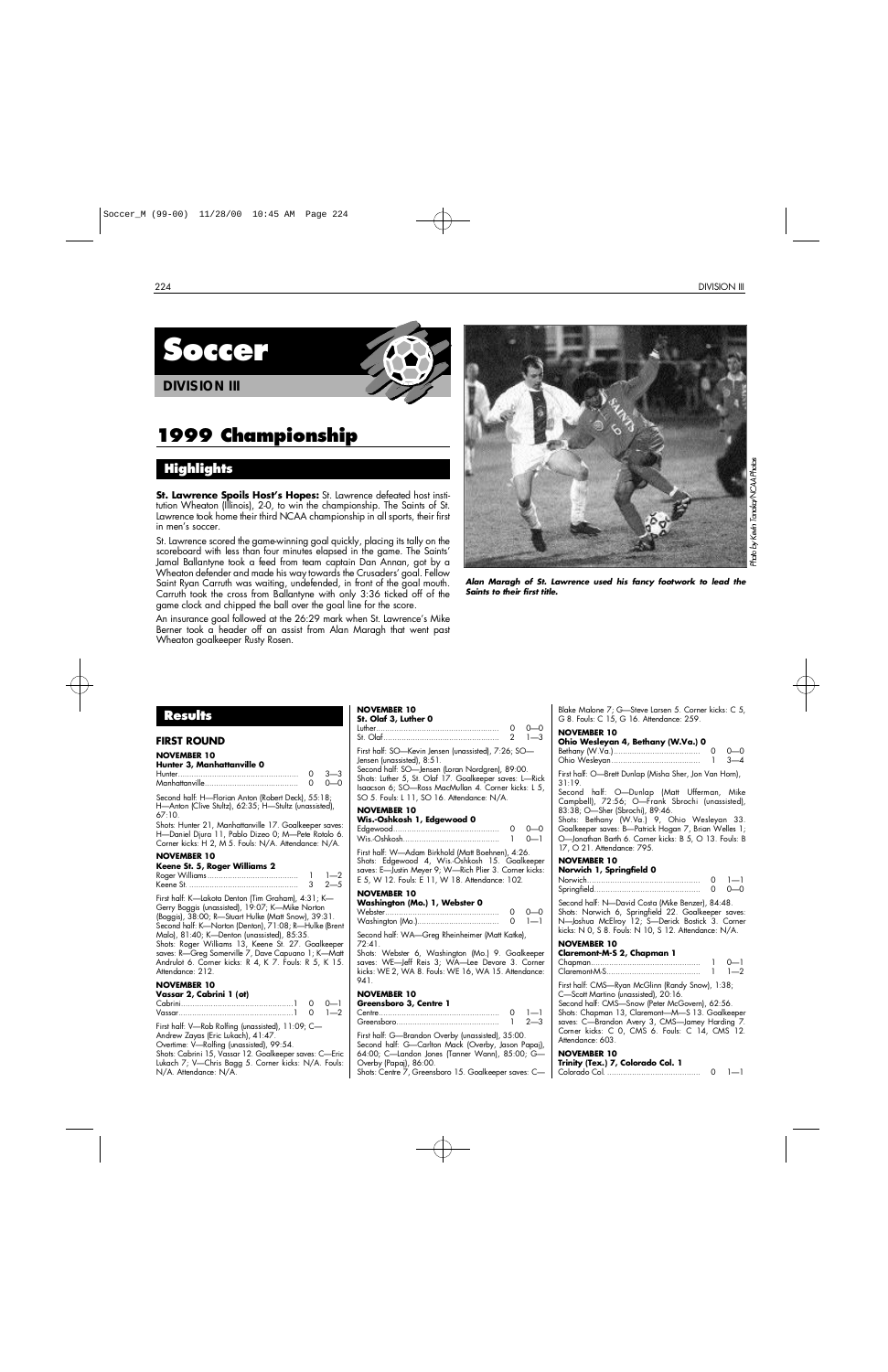



**DIVISION III**

# **1999 Championship**

## **H i g h l i g h t s**

**St. Lawrence Spoils Host's Hopes:** St. Lawrence defeated host institution Wheaton (Illinois), 2-0, to win the championship. The Saints of St. Lawrence took home their third NCAA championship in all sports, their first in men's soccer.

St. Lawrence scored the game-winning goal quickly, placing its tally on the scoreboard with less than four minutes elapsed in the game. The Saints' Jamal Ballantyne took a feed from team captain Dan Annan, got by a Wheaton defender and made his way towards the Crusaders' goal. Fellow Saint Ryan Carruth was waiting, undefended, in front of the goal mouth. Carruth took the cross from Ballantyne with only 3:36 ticked off of the game clock and chipped the ball over the goal line for the score.

An insurance goal followed at the 26:29 mark when St. Lawrence's Mike Berner took a header off an assist from Alan Maragh that went past Wheaton goalkeeper Rusty Rosen.



Kevin Tanaka/NCAA Photos Photo by h

*Alan Maragh of St. Lawrence used his fancy footwork to lead the Saints to their first title.*

## **Results**

## **FIRST ROUND**

| <b>NOVEMBER 10</b> |
|--------------------|
|--------------------|

| Hunter 3, Manhattanville 0                                                                                  |              |
|-------------------------------------------------------------------------------------------------------------|--------------|
|                                                                                                             | $0 \t3 - 3$  |
|                                                                                                             | <u>n n n</u> |
| Second half: H-Florian Anton (Robert Deck), 55:18;<br>H-Anton (Clive Stultz), 62:35; H-Stultz (unassisted), |              |

67:10. Shots: Hunter 21, Manhattanville 17. Goalkeeper saves: H—Daniel Djura 11, Pablo Dizeo 0; M—Pete Rotolo 6. Corner kicks: H 2, M 5. Fouls: N/A. Attendance: N/A.

#### **NOVEMBER 10**

| Keene St. 5, Roger Williams 2 |                |
|-------------------------------|----------------|
|                               |                |
|                               | $3 \t 2 \t -5$ |

First half: K—Lakota Denton (Tim Graham), 4:31; K— Gerry Boggis (unassisted), 19:07; K—Mike Norton (Boggis), 38:00; R—Stuart Hulke (Matt Snow), 39:31. Second half: K—Norton (Denton), 71:08; R—Hulke (Brent Malo), 81:40; K—Denton (unassisted), 85:35. Shots: Roger Williams 13, Keene St. 27. Goalkeeper saves: R—Greg Somerville 7, Dave Capuano 1; K—Matt Andrulot 6. Corner kicks: R 4, K 7. Fouls: R 5, K 15. Attendance: 212.

#### **NOVEMBER 10**

| Vassar 2, Cabrini 1 (ot) |  |
|--------------------------|--|
|                          |  |
|                          |  |

First half: V—Rob Rolfing (unassisted), 11:09; C— Andrew Zayas (Eric Lukach), 41:47.

Overtime: V—Rolfing (unassisted), 99:54. Shots: Cabrini 15, Vassar 12. Goalkeeper saves: C-Eric Lukach 7; V—Chris Bagg 5. Corner kicks: N/A. Fouls: N/A. Attendance: N/A.

## **NOVEMBER 10**

| St. Olaf 3, Luther 0                                |       |
|-----------------------------------------------------|-------|
|                                                     | റ റ—റ |
|                                                     |       |
| First half: SO—Kevin Jensen (unassisted), 7:26; SO— |       |

Jensen (unassisted), 8:51. Second half: SO—Jensen (Loran Nordgren), 89:00. Shots: Luther 5, St. Olaf 17. Goalkeeper saves: L—Rick

Isaacson 6; SO—Ross MacMullan 4. Corner kicks: L 5, SO 5. Fouls: L 11, SO 16. Attendance: N/A.

#### **NOVEMBER 10 Wis.-Oshkosh 1, Edgewood 0**

| wis. VSIINUSII I, Eugewuud V |             |
|------------------------------|-------------|
|                              | $0 - 0 - 0$ |
|                              |             |

W i s . - O s h k o s h. . . . . . . . . . . . . . . . . . . . . . . . . . . . . . . . . . . . . . . . . . 1 0 — 1 First half: W—Adam Birkhold (Matt Boehnen), 4:26. Shots: Edgewood 4, Wis.-Oshkosh 15. Goalkeeper saves: E—Justin Meyer 9; W—Rich Plier 3. Corner kicks: E 5, W 12. Fouls: E 11, W 18. Attendance: 102.

#### **NOVEMBER 10**

| Washington (Mo.) 1, Webster 0 |               |
|-------------------------------|---------------|
|                               | $0 - 0 - 0$   |
|                               | $0 \quad 1-1$ |

Second half: WA—Greg Rheinheimer (Matt Katke),  $72:41.$ 

Shots: Webster 6, Washington (Mo.) 9. Goalkeeper saves: WE—Jeff Reis 3; WA—Lee Devore 3. Corner kicks: WE 2, WA 8. Fouls: WE 16, WA 15. Attendance: 941

#### **NOVEMBER 10**

| Greensboro 3, Centre 1 |         |
|------------------------|---------|
| $C$ antra              | $1 - 1$ |

| . |  |
|---|--|
|   |  |
|   |  |

First half: G—Brandon Overby (unassisted), 35:00. Second half: G—Carlton Mack (Overby, Jason Papaj), 64:00; C—Landon Jones (Tanner Wann), 85:00; G— Overby (Papaj), 86:00.

Shots: Centre 7, Greensboro 15. Goalkeeper saves: C—

Blake Malone 7; G—Steve Larsen 5. Corner kicks: C 5, G 8. Fouls: C 15, G 16. Attendance: 259.

#### **NOVEMBER 10**

| Ohio Wesleyan 4, Bethany (W.Va.) 0 |     |
|------------------------------------|-----|
|                                    | റ—റ |
|                                    |     |
| _ _ _ _ _ _ _ _ _                  |     |

First half: O—Brett Dunlap (Misha Sher, Jon Van Horn),  $31:19.$ 

Second half: O—Dunlap (Matt Ufferman, Mike Campbell), 72:56; O—Frank Sbrochi (unassisted), 83:38; O—Sher (Sbrochi), 89:46.

Shots: Bethany (W.Va.) 9, Ohio Wesleyan 33. Goalkeeper saves: B—Patrick Hogan 7, Brian Welles 1; O—Jonathan Barth 6. Corner kicks: B 5, O 13. Fouls: B 17, O 21. Attendance: 795.

#### **NOVEMBER 10**

| Norwich 1, Springfield 0 |  |
|--------------------------|--|
|                          |  |
|                          |  |
|                          |  |

Second half: N—David Costa (Mike Benzer), 84:48. Shots: Norwich 6, Springfield 22. Goalkeeper saves: N—Joshua McElroy 12; S—Derick Bostick 3. Corner kicks: N 0, S 8. Fouls: N 10, S 12. Attendance: N/A.

## **NOVEMBER 10**

| Claremont-M-S 2, Chapman 1 |               |
|----------------------------|---------------|
|                            | $0 - 1$       |
|                            | $1 \quad 1-2$ |

First half: CMS—Ryan McGlinn (Randy Snow), 1:38; C—Scott Martino (unassisted), 20:16.

Second half: CMS-Snow (Peter McGovern), 62:56. Shots: Chapman 13, Claremont—M—S 13. Goalkeeper saves: C—Brandon Avery 3, CMS—Jamey Harding 7. Corner kicks: C 0, CMS 6. Fouls: C 14, CMS 12. Attendance: 603.

| Trinity (Tex.) 7, Colorado Col. 1 |  |
|-----------------------------------|--|
|                                   |  |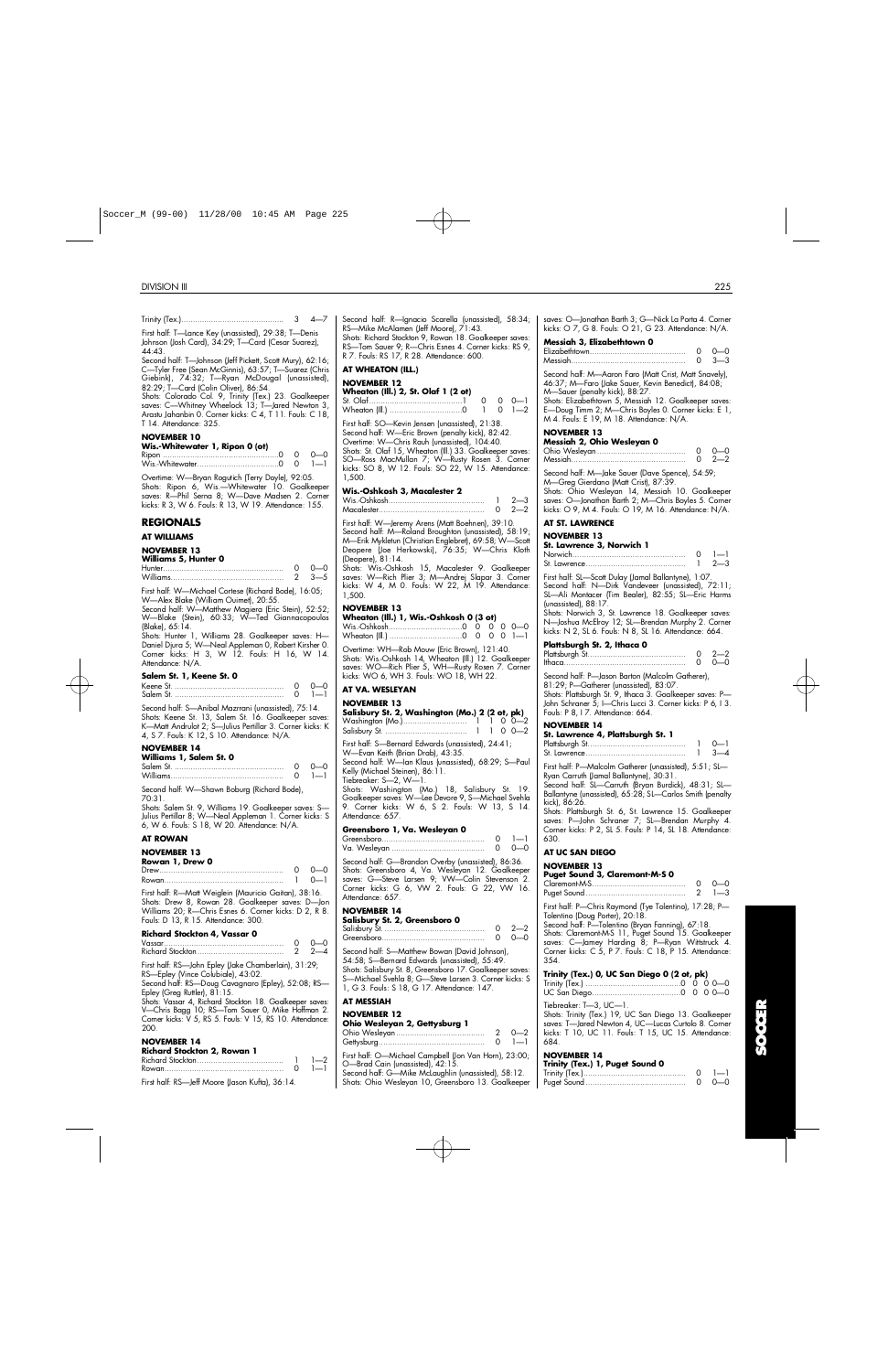| DIVISION III                                                                                                                                                        |                                                                                                                                                                    | 225                                                                                                                                                            |
|---------------------------------------------------------------------------------------------------------------------------------------------------------------------|--------------------------------------------------------------------------------------------------------------------------------------------------------------------|----------------------------------------------------------------------------------------------------------------------------------------------------------------|
|                                                                                                                                                                     |                                                                                                                                                                    |                                                                                                                                                                |
| First half: T-Lance Key (unassisted), 29:38; T-Denis                                                                                                                | Second half: R—Ignacio Scarella (unassisted), 58:34;<br>RS-Mike McAlamen (Jeff Moore), 71:43.                                                                      | saves: O-Jonathan Barth 3; G-Nick La Porta 4. Corner<br>kicks: $\circ$ 7, G 8. Fouls: $\circ$ 21, G 23. Attendance: N/A.                                       |
| Johnson (Josh Card), 34:29; T—Card (Cesar Suarez),<br>44:43.                                                                                                        | Shots: Richard Stockton 9, Rowan 18. Goalkeeper saves:<br>RS-Tom Sauer 9; R-Chris Esnes 4. Corner kicks: RS 9,<br>R 7. Fouls: RS 17, R 28. Attendance: 600.        | Messiah 3, Elizabethtown 0                                                                                                                                     |
| Second half: T-Johnson (Jeff Pickett, Scott Mury), 62:16;<br>C—Tyler Free (Sean McGinnis), 63:57; T—Suarez (Chris<br>Giebink), 74:32; T-Ryan McDougal (unassisted), | AT WHEATON (ILL.)                                                                                                                                                  | Second half: M-Aaron Faro (Matt Crist, Matt Snavely),                                                                                                          |
| 82:29; T-Card (Colin Oliver), 86:54.<br>Shots: Colorado Col. 9, Trinity (Tex.) 23. Goalkeeper                                                                       | <b>NOVEMBER 12</b><br>Wheaton (Ill.) 2, St. Olaf 1 (2 ot)<br>0<br>$0 \quad 0 - 1$                                                                                  | 46:37; M-Faro (Jake Sauer, Kevin Benedict), 84:08;<br>M—Sauer (penalty kick), 88:27.<br>Shots: Elizabethtown 5, Messiah 12. Goalkeeper saves:                  |
| saves: C-Whitney Wheelock 13; T-Jared Newton 3,<br>Arastu Jahanbin O. Corner kicks: C 4, T 11. Fouls: C 18,<br>T 14. Attendance: 325.                               | $\mathbf{1}$<br>$0 \t -2$<br>First half: SO-Kevin Jensen (unassisted), 21:38.                                                                                      | E-Doug Timm 2; M-Chris Boyles 0. Corner kicks: E 1,<br>M 4. Fouls: E 19, M 18. Attendance: N/A.                                                                |
| <b>NOVEMBER 10</b>                                                                                                                                                  | Second half: W-Eric Brown (penalty kick), 82:42.<br>Overtime: W-Chris Rauh (unassisted), 104:40.                                                                   | <b>NOVEMBER 13</b><br>Messiah 2, Ohio Wesleyan 0                                                                                                               |
| Wis.-Whitewater 1, Ripon 0 (ot)<br>$0 - 0$                                                                                                                          | Shots: St. Olaf 15, Wheaton (Ill.) 33. Goalkeeper saves:<br>SO-Ross MacMullan 7; W-Rusty Rosen 3. Corner                                                           |                                                                                                                                                                |
| Overtime: W-Bryan Rogutich (Terry Doyle), 92:05.<br>Shots: Ripon 6, Wis.—Whitewater 10. Goalkeeper                                                                  | kicks: SO 8, W 12. Fouls: SO 22, W 15. Attendance:<br>1,500.                                                                                                       | Second half: M-Jake Sauer (Dave Spence), 54:59;<br>M-Greg Gierdano (Matt Crist), 87:39.                                                                        |
| saves: R-Phil Serna 8; W-Dave Madsen 2. Corner<br>kicks: R 3, W 6. Fouls: R 13, W 19. Attendance: 155.                                                              | Wis.-Oshkosh 3, Macalester 2                                                                                                                                       | Shots: Ohio Wesleyan 14, Messiah 10. Goalkeeper<br>saves: O-Jonathan Barth 2; M-Chris Boyles 5. Corner<br>kicks: O 9, M 4. Fouls: O 19, M 16. Attendance: N/A. |
| <b>REGIONALS</b><br><b>AT WILLIAMS</b>                                                                                                                              | First half: W-Jeremy Arens (Matt Boehnen), 39:10.<br>Second half: M-Roland Broughton (unassisted), 58:19;                                                          | AT ST. LAWRENCE<br><b>NOVEMBER 13</b>                                                                                                                          |
| <b>NOVEMBER 13</b><br><b>Williams 5, Hunter 0</b>                                                                                                                   | M—Erik Mykletun (Christian Englebret), 69:58; W—Scott<br>Deopere (Joe Herkowski), 76:35; W-Chris Kloth<br>(Deopere), 81:14.                                        | St. Lawrence 3, Norwich 1                                                                                                                                      |
|                                                                                                                                                                     | Shots: Wis.-Oshkosh 15, Macalester 9. Goalkeeper<br>saves: W-Rich Plier 3; M-Andrej Slapar 3. Corner                                                               | First half: SL-Scott Dulay (Jamal Ballantyne), 1:07.                                                                                                           |
| First half: W-Michael Cortese (Richard Bode), 16:05;<br>W-Alex Blake (William Ouimet), 20:55.                                                                       | kicks: W 4, M 0. Fouls: W 22, M 19. Attendance:<br>1,500.                                                                                                          | Second half: N-Dirk Vandeveer (unassisted), 72:11;<br>SL-Ali Montacer (Tim Bealer), 82:55; SL-Eric Harms<br>(unassisted), $88:17$ .                            |
| Second half: W-Matthew Magiera (Eric Stein), 52:52;<br>W-Blake (Stein), 60:33; W-Ted Giannacopoulos<br>(Blake), 65:14.                                              | <b>NOVEMBER 13</b><br>Wheaton (Ill.) 1, Wis.-Oshkosh 0 (3 ot)                                                                                                      | Shots: Norwich 3, St. Lawrence 18. Goalkeeper saves:<br>N-Joshua McElroy 12; SL-Brendan Murphy 2. Corner                                                       |
| Shots: Hunter 1, Williams 28. Goalkeeper saves: H-<br>Daniel Djura 5; W—Neal Appleman 0, Robert Kirsher 0.                                                          | Overtime: WH-Rob Mouw (Eric Brown), 121:40.                                                                                                                        | kicks: N 2, SL 6. Fouls: N 8, SL 16. Attendance: 664.<br>Plattsburgh St. 2, Ithaca 0                                                                           |
| Corner kicks: H 3, W 12. Fouls: H 16, W 14.<br>Attendance: N/A.                                                                                                     | Shots: Wis.-Oshkosh 14, Wheaton (Ill.) 12. Goalkeeper<br>saves: WO-Rich Plier 5, WH-Rusty Rosen 7. Corner                                                          |                                                                                                                                                                |
| Salem St. 1, Keene St. 0<br>$1 - 1$                                                                                                                                 | kicks: WO 6, WH 3. Fouls: WO 18, WH 22.<br>AT VA. WESLEYAN                                                                                                         | Second half: P-Jason Barton (Malcolm Gatherer),<br>81:29; P-Gatherer (unassisted), 83:07.<br>Shots: Plattsburgh St. 9, Ithaca 3. Goalkeeper saves: P-          |
| Second half: S-Anibal Mazrrani (unassisted), 75:14.                                                                                                                 | <b>NOVEMBER 13</b><br>Salisbury St. 2, Washington (Mo.) 2 (2 ot, pk)                                                                                               | John Schraner 5; I-Chris Lucci 3. Corner kicks: P 6, I 3.<br>Fouls: P 8, I 7. Attendance: 664.                                                                 |
| Shots: Keene St. 13, Salem St. 16. Goalkeeper saves:<br>K-Matt Andrulot 2; S-Julius Pertillar 3. Corner kicks: K<br>4, S 7. Fouls: K 12, S 10. Attendance: N/A.     |                                                                                                                                                                    | <b>NOVEMBER 14</b><br>St. Lawrence 4, Plattsburgh St. 1                                                                                                        |
| <b>NOVEMBER 14</b><br>Williams 1, Salem St. 0                                                                                                                       | First half: S-Bernard Edwards (unassisted), 24:41;<br>W-Evan Keith (Brian Drab), 43:35.                                                                            | $3 - 4$                                                                                                                                                        |
|                                                                                                                                                                     | Second half: W-lan Klaus (unassisted), 68:29; S-Paul<br>Kelly (Michael Steinen), 86:11.<br>Tiebreaker: S—2, W—1.                                                   | First half: P-Malcolm Gatherer (unassisted), 5:51; SL-<br>Ryan Carruth (Jamal Ballantyne), 30:31.                                                              |
| Second half: W-Shawn Boburg (Richard Bode),<br>70:31.                                                                                                               | Shots: Washington (Mo.) 18, Salisbury St. 19.<br>Goalkeeper saves: W-Lee Devore 9, S-Michael Svehla                                                                | Second half: SL-Carruth (Brvan Burdick), 48:31: SL-<br>Ballantyne (unassisted), 65:28; SL-Carlos Smith (penalty<br>kick), 86:26.                               |
| Shots: Salem St. 9, Williams 19. Goalkeeper saves: S-<br>Julius Pertillar 8; W—Neal Appleman 1. Corner kicks: S<br>6, W 6. Fouls: S 18, W 20. Attendance: N/A.      | 9. Corner kicks: W 6, S 2. Fouls: W 13, S 14.<br>Attendance: 657.                                                                                                  | Shots: Plattsburgh St. 6, St. Lawrence 15. Goalkeeper<br>saves: P-John Schraner 7; SL-Brendan Murphy 4.                                                        |
| <b>AT ROWAN</b>                                                                                                                                                     | Greensboro 1, Va. Wesleyan 0<br>$\circ$<br>$1 - 1$<br>$0 - 0 - 0$                                                                                                  | Corner kicks: P 2, SL 5. Fouls: P 14, SL 18. Attendance:<br>630.                                                                                               |
| <b>NOVEMBER 13</b><br>Rowan 1, Drew 0<br>$\circ$<br>$0 - 0$                                                                                                         | Second half: G-Brandon Overby (unassisted), 86:36.                                                                                                                 | AT UC SAN DIEGO<br><b>NOVEMBER 13</b>                                                                                                                          |
| $\mathbf{1}$<br>$0 - 1$                                                                                                                                             | Shots: Greensboro 4, Va. Wesleyan 12. Goalkeeper<br>saves: G-Steve Larsen 9; VW-Colin Stevenson 2.<br>Corner kicks: G 6, VW 2. Fouls: G 22, VW 16.                 | Puget Sound 3, Claremont-M-S 0<br>$0 - 0$                                                                                                                      |
| First half: R-Matt Weiglein (Mauricio Gaitan), 38:16.<br>Shots: Drew 8, Rowan 28. Goalkeeper saves: D-Jon<br>Williams 20; R-Chris Esnes 6. Corner kicks: D 2, R 8.  | Attendance: 657.<br><b>NOVEMBER 14</b>                                                                                                                             | First half: P-Chris Raymond (Tye Tolentino), 17:28; P-<br>Tolentino (Doug Porter), 20:18.                                                                      |
| Fouls: D 13, R 15. Attendance: 300.<br>Richard Stockton 4, Vassar 0                                                                                                 | Salisbury St. 2, Greensboro 0<br>$2 - 2$<br>0                                                                                                                      | Second half: P-Tolentino (Bryan Fanning), 67:18.<br>Shots: Claremont-M-S 11, Puget Sound 15. Goalkeeper                                                        |
| $0 - 0$<br>2<br>$2 - 4$                                                                                                                                             | $\circ$<br>$0 - 0$<br>Second half: S-Matthew Bowan (David Johnson),                                                                                                | saves: C—Jamey Harding 8; P—Ryan Wittstruck 4.<br>Corner kicks: C 5, P 7. Fouls: C 18, P 15. Attendance:                                                       |
| First half: RS-John Epley (Jake Chamberlain), 31:29;<br>RS—Epley (Vince Colubiale), 43:02.                                                                          | 54:58; S—Bernard Edwards (unassisted), 55:49.<br>Shots: Salisbury St. 8, Greensboro 17. Goalkeeper saves:<br>S-Michael Svehla 8; G-Steve Larsen 3. Corner kicks: S | 354.<br>Trinity (Tex.) 0, UC San Diego 0 (2 ot, pk)                                                                                                            |
| Second half: RS-Doug Cavagnaro (Epley), 52:08; RS-<br>Epley (Greg Ruttler), 81:15.<br>Shots: Vassar 4, Richard Stockton 18. Goalkeeper saves:                       | 1, G 3. Fouls: S 18, G 17. Attendance: 147.<br><b>AT MESSIAH</b>                                                                                                   |                                                                                                                                                                |
| V-Chris Bagg 10; RS-Tom Sauer 0, Mike Hoffman 2.<br>Comer kicks: V 5, RS 5. Fouls: V 15, RS 10. Attendance:                                                         | <b>NOVEMBER 12</b>                                                                                                                                                 | Tiebreaker: T-3, UC-1.<br>Shots: Trinity (Tex.) 19, UC San Diego 13. Goalkeeper                                                                                |
| 200.<br><b>NOVEMBER 14</b>                                                                                                                                          | Ohio Wesleyan 2, Gettysburg 1                                                                                                                                      | saves: T-Jared Newton 4, UC-Lucas Curtolo 8. Corner<br>kicks: T 10, UC 11. Fouls: T 15, UC 15. Attendance:<br>684.                                             |
|                                                                                                                                                                     |                                                                                                                                                                    |                                                                                                                                                                |

| .<br><b>Richard Stockton 2, Rowan 1</b>         |  |
|-------------------------------------------------|--|
|                                                 |  |
|                                                 |  |
| First half: RS-leff Moore (Jason Kufta), 36:14. |  |

| First half: SO-Kevin Jensen (unassisted), 21:38. |  |  |
|--------------------------------------------------|--|--|

#### **Wis.-Oshkosh 3, Macalester 2**

|  | $2 - 2$ |
|--|---------|

#### **NOVEMBER 13**

| Wheaton (III.) 1, Wis.-Oshkosh 0 (3 ot) |  |  |  |
|-----------------------------------------|--|--|--|
|                                         |  |  |  |
|                                         |  |  |  |

#### **AT VA. WESLEYAN**

#### **NOVEMBER 13**

| Salisbury St. 2, Washington (Mo.) 2 (2 ot, pk)                                                                                                                                                                                                                                                                                                                                          |
|-----------------------------------------------------------------------------------------------------------------------------------------------------------------------------------------------------------------------------------------------------------------------------------------------------------------------------------------------------------------------------------------|
| First half: S-Bernard Edwards (unassisted), 24:41;<br>W-Evan Keith (Brian Drab), 43:35.<br>Second half: W-lan Klaus (unassisted), 68:29; S-Paul<br>Kelly (Michael Steinen), 86:11.<br>Tiebreaker: S-2, W-1.<br>Shots: Washington (Mo.) 18, Salisbury St. 19.<br>Goalkeeper saves: W-Lee Devore 9, S-Michael Svehla<br>9. Corner kicks: W 6, S 2. Fouls: W 13, S 14.<br>Attendance: 657. |
| Greensboro 1, Va. Wesleyan 0                                                                                                                                                                                                                                                                                                                                                            |
| $1 - 1$<br>0<br>0<br>റ—റ                                                                                                                                                                                                                                                                                                                                                                |
| Second half: G-Brandon Overby (unassisted), 86:36.<br>Shots: Greensboro 4, Va. Wesleyan 12. Goalkeeper<br>saves: G-Steve Larsen 9; VW-Colin Stevenson 2.                                                                                                                                                                                                                                |

## **NOVEMBER 14**

| Salisbury St. 2, Greensboro 0 |          |
|-------------------------------|----------|
|                               | $0, 2-2$ |
|                               | 0 0 D    |

## **AT MESSIAH**

#### **NOVEMBER 12 Ohio Wesleyan 2, Gettysburg 1**

| <b>UTIO VYESIEYUIT 2, UEITYSDUIY 1</b> |               |
|----------------------------------------|---------------|
|                                        | $2 \t 0 - 2$  |
|                                        | $0 \quad 1-1$ |

First half: O—Michael Campbell (Jon Van Horn), 23:00; O—Brad Cain (unassisted), 42:15.

Second half: G-Mike McLaughlin (unassisted), 58:12. Shots: Ohio Wesleyan 10, Greensboro 13. Goalkeeper

| Messiah 3, Elizabethtown 0                                                                                               |             |
|--------------------------------------------------------------------------------------------------------------------------|-------------|
|                                                                                                                          | $0 - 0 - 0$ |
| Messiah <b>Messiah</b> dia kalendarya di kacamatan di kacamatan di kacamatan di kacamatan di kacamatan di kacamatan di k | $0 \t3-3$   |

## **NOVEMBER 13**

| Messiah 2, Ohio Wesleyan 0 |             |
|----------------------------|-------------|
|                            | $0 - 0 - 0$ |
|                            | $0 \t 2-2$  |

#### **AT ST. LAWRENCE**

#### **NOVEMBER 13**

| St. Lawrence 3, Norwich 1 |               |
|---------------------------|---------------|
|                           | $0 \quad 1-1$ |
|                           | $1 \t 2 - 3$  |

|  | Plattsburgh St. 2, Ithaca 0 |  |
|--|-----------------------------|--|
|  |                             |  |

| . | $0, 2-2$    |
|---|-------------|
|   | $0 - 0 - 0$ |

#### **NOVEMBER 14**

| St. Lawrence 4, Plattsburgh St. 1 |                   |
|-----------------------------------|-------------------|
|                                   | $\Omega$ $\sim$ 1 |
|                                   | $1 \quad 3-4$     |

#### **AT UC SAN DIEGO**

#### **NOVEMBER 13**

#### **Puget Sound 3, Claremont-M-S 0**

|  | $0 \quad 0 - 0$ |
|--|-----------------|
|  | $2 \t -3$       |

#### **Trinity (Tex.) 0, UC San Diego 0 (2 ot, pk)**

| Trinity (Tex.) 1, Puget Sound 0 |               |
|---------------------------------|---------------|
|                                 | $0 \quad 1-1$ |
|                                 | $0 - 0 - 0$   |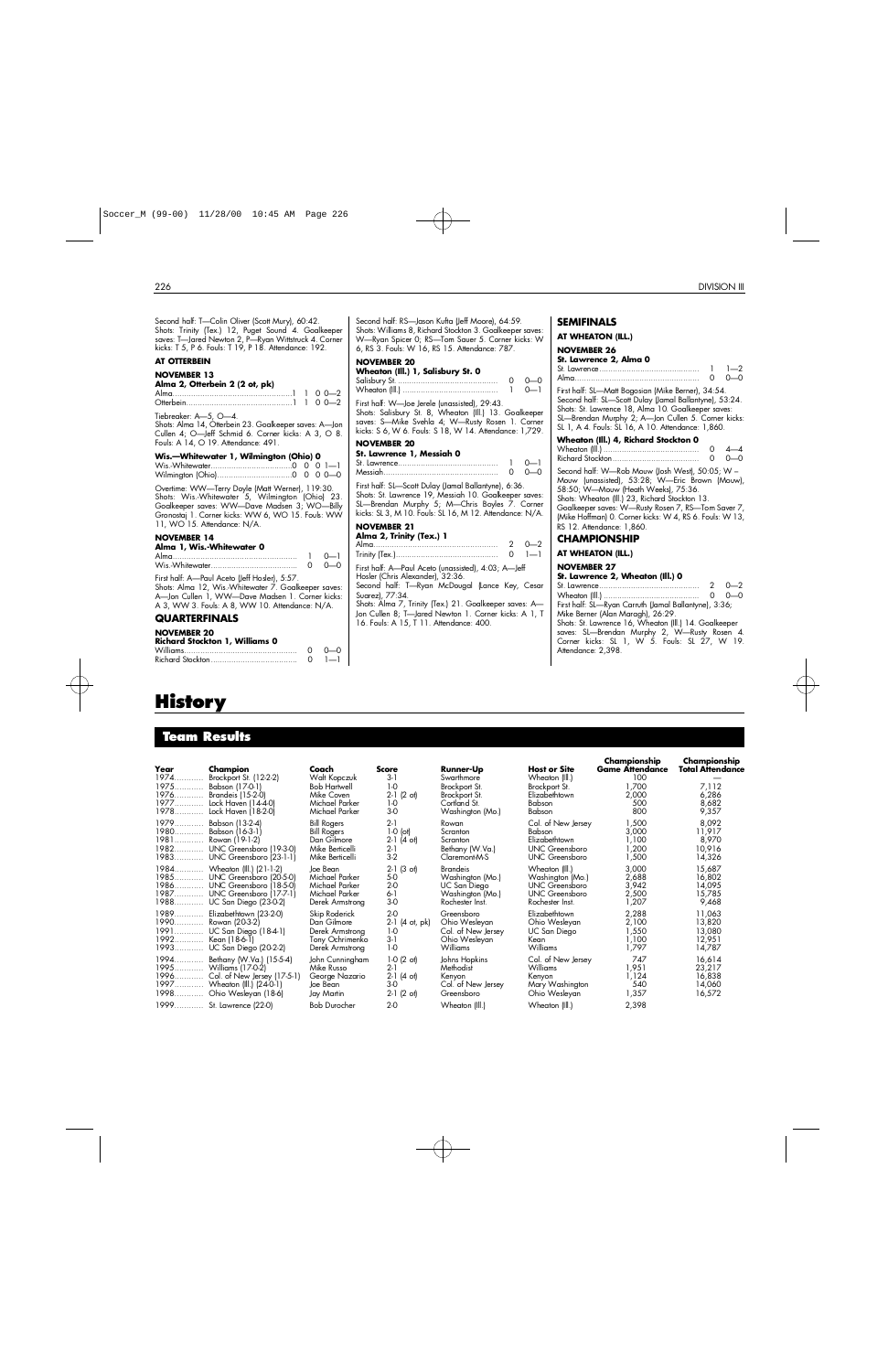| Second half: T-Colin Oliver (Scott Mury), 60:42.<br>Shots: Trinity (Tex.) 12, Puget Sound 4. Goalkeeper<br>saves: T-Jared Newton 2, P-Ryan Wittstruck 4. Corner<br>kicks: T 5, P 6. Fouls: T 19, P 18. Attendance: 192.                | Second half: RS-Jason Kufta (Jeff Moore), 64:59.<br>Shots: Williams 8, Richard Stockton 3. Goalkeeper saves:<br>W-Ryan Spicer 0; RS-Tom Sauer 5. Corner kicks: W<br>6, RS 3. Fouls: W 16, RS 15. Attendance: 787.         |
|----------------------------------------------------------------------------------------------------------------------------------------------------------------------------------------------------------------------------------------|---------------------------------------------------------------------------------------------------------------------------------------------------------------------------------------------------------------------------|
| <b>AT OTTERBEIN</b>                                                                                                                                                                                                                    | <b>NOVEMBER 20</b>                                                                                                                                                                                                        |
| <b>NOVEMBER 13</b><br>Alma 2, Otterbein 2 (2 ot, pk)                                                                                                                                                                                   | Wheaton (Ill.) 1, Salisbury St. 0<br>$0 - 0$<br>$\circ$<br>$0 - 1$                                                                                                                                                        |
| Tiebreaker: A-5, O-4.<br>Shots: Alma 14, Otterbein 23. Goalkeeper saves: A-Jon<br>Cullen 4; O-Jeff Schmid 6. Corner kicks: A 3, O 8.                                                                                                   | First half: W-Joe Jerele (unassisted), 29:43.<br>Shots: Salisbury St. 8, Wheaton (Ill.) 13. Goalkeeper<br>saves: S-Mike Svehla 4; W-Rusty Rosen 1. Corner<br>kicks: S 6, W 6. Fouls: S 18, W 14. Attendance: 1,729.       |
| Fouls: A 14, O 19. Attendance: 491.                                                                                                                                                                                                    | <b>NOVEMBER 20</b>                                                                                                                                                                                                        |
| Wis.-Whitewater 1, Wilmington (Ohio) 0                                                                                                                                                                                                 | St. Lawrence 1, Messiah 0<br>$0 - 1$<br>$\mathbf{1}$<br>$0 - 0$<br>$\circ$                                                                                                                                                |
| Overtime: WW-Terry Doyle (Matt Werner), 119:30.<br>Shots: Wis.-Whitewater 5, Wilmington (Ohio) 23.<br>Goalkeeper saves: WW-Dave Madsen 3; WO-Billy<br>Gronostaj 1. Corner kicks: WW 6, WO 15. Fouls: WW<br>11, WO 15. Attendance: N/A. | First half: SL-Scott Dulay (Jamal Ballantyne), 6:36.<br>Shots: St. Lawrence 19, Messiah 10. Goalkeeper saves:<br>SL-Brendan Murphy 5; M-Chris Boyles 7. Corner<br>kicks: SL 3, M 10. Fouls: SL 16, M 12. Attendance: N/A. |
| <b>NOVEMBER 14</b>                                                                                                                                                                                                                     | <b>NOVEMBER 21</b><br>Alma 2, Trinity (Tex.) 1                                                                                                                                                                            |
| Alma 1, Wis.-Whitewater 0<br>$0 - 1$                                                                                                                                                                                                   | $2 \t 0 - 2$<br>$0 \quad 1-1$                                                                                                                                                                                             |
| $0 - 0$<br>$\Omega$                                                                                                                                                                                                                    | First half: A-Paul Aceto (unassisted), 4:03; A-Jeff                                                                                                                                                                       |
| First half: A-Paul Aceto (Jeff Hosler), 5:57.<br>Shots: Alma 12, Wis.-Whitewater 7. Goalkeeper saves:<br>A-Jon Cullen 1, WW-Dave Madsen 1. Corner kicks:<br>A 3, WW 3. Fouls: A 8, WW 10. Attendance: N/A.                             | Hosler (Chris Alexander), 32:36.<br>Second half: T-Ryan McDougal (Lance Key, Cesar<br>Suarez), 77:34.<br>Shots: Alma 7, Trinity (Tex.) 21. Goalkeeper saves: A-<br>Jon Cullen 8; T-Jared Newton 1. Corner kicks: A 1, T   |
| <b>QUARTERFINALS</b>                                                                                                                                                                                                                   | 16. Fouls: A 15, T 11. Attendance: 400.                                                                                                                                                                                   |
| <b>NOVEMBER 20</b><br><b>Richard Stockton 1, Williams 0</b><br>$\Omega$<br>$0 - 0$<br>$1 - 1$<br>$\Omega$                                                                                                                              |                                                                                                                                                                                                                           |

## **SEMIFINALS**

| kicks: W                                            | AT WHEATON (ILL.)                                                                                                                                                                                                                                                                                           |
|-----------------------------------------------------|-------------------------------------------------------------------------------------------------------------------------------------------------------------------------------------------------------------------------------------------------------------------------------------------------------------|
| $0 - 0$                                             | <b>NOVEMBER 26</b><br>St. Lawrence 2, Alma 0<br>$1 - 2$                                                                                                                                                                                                                                                     |
| $0 - 1$<br>alkeeper<br>. Corner<br>: 1,729.         | First half: SL-Matt Bogosian (Mike Berner), 34:54.<br>Second half: SL-Scott Dulay (Jamal Ballantyne), 53:24.<br>Shots: St. Lawrence 18, Alma 10. Goalkeeper saves:<br>SL-Brendan Murphy 2; A-Jon Cullen 5. Corner kicks:<br>SL 1, A 4. Fouls: SL 16, A 10. Attendance: 1,860.                               |
| $0 - 1$                                             | Wheaton (Ill.) 4, Richard Stockton 0<br>4—4<br>0<br>–∩                                                                                                                                                                                                                                                      |
| $0 - 0$<br>36.<br>er saves:<br>. Corner<br>ce: N/A. | Second half: W—Rob Mouw (Josh West), 50:05; W –<br>Mouw (unassisted), 53:28; W-Eric Brown (Mouw),<br>58:50; W-Mouw (Heath Weeks), 75:36.<br>Shots: Wheaton (III.) 23, Richard Stockton 13.<br>Goalkeeper saves: W-Rusty Rosen 7, RS-Tom Saver 7,<br>(Mike Hoffman) 0. Corner kicks: W 4, RS 6. Fouls: W 13, |

#### RS 12. Attendance: 1,860.

## **CHAMPIONSHIP**

## **AT WHEATON (ILL.)**

## **NOVEMBER 27**

**St. Lawrence 2, Wheaton (Ill.) 0**

St. Lawrence. . . . . . . . . . . . . . . . . . . . . . . . . . . . . . . . . . . . . . . . . . . . 2 0 — 2 Wheaton (Ill.) . . . . . . . . . . . . . . . . . . . . . . . . . . . . . . . . . . . . . . . . . . 0 0 — 0 First half: SL—Ryan Carruth (Jamal Ballantyne), 3:36; Mike Berner (Alan Maragh), 26:29. Shots: St. Lawrence 16, Wheaton (Ill.) 14. Goalkeeper

saves: SL—Brendan Murphy 2, W—Rusty Rosen 4. Corner kicks: SL 1, W 5. Fouls: SL 27, W 19. Attendance: 2,398.

## **History**

## **Team Results**

| Year<br>1974<br>1975 | Champion<br>Brockport St. (12-2-2)<br>Babson (17-0-1)<br>1976 Brandeis (15-2-0)<br>1977 Lock Haven (14-4-0)<br>1978 Lock Haven (18-2-0)                    | Coach<br>Walt Kopczuk<br><b>Bob Hartwell</b><br>Mike Coven<br>Michael Parker<br>Michael Parker | <b>Score</b><br>3-1<br>$1-0$<br>$2-1$ $(2 \text{ of})$<br>$1-0$<br>$3-0$        | <b>Runner-Up</b><br>Swarthmore<br>Brockport St.<br>Brockport St.<br>Cortland St.<br>Washington (Mo.) | <b>Host or Site</b><br>Wheaton (III.)<br>Brockport St.<br>Elizabethtown<br>Babson<br>Babson             | Championship<br><b>Game Attendance</b><br>100<br>1,700<br>2,000<br>500<br>800 | Championship<br>Total Attendance<br>7,112<br>6,286<br>8,682<br>9,357 |
|----------------------|------------------------------------------------------------------------------------------------------------------------------------------------------------|------------------------------------------------------------------------------------------------|---------------------------------------------------------------------------------|------------------------------------------------------------------------------------------------------|---------------------------------------------------------------------------------------------------------|-------------------------------------------------------------------------------|----------------------------------------------------------------------|
| 1979<br>1980<br>1981 | Babson (13-2-4)<br>Babson (16-3-1)<br>Rowan (19-1-2)<br>1982 UNC Greensboro (19-3-0)<br>1983 UNC Greensboro (23-1-1)                                       | <b>Bill Rogers</b><br><b>Bill Rogers</b><br>Dan Gilmore<br>Mike Berticelli<br>Mike Berticelli  | $2-1$<br>$1-0$ (ot)<br>$2-1$ (4 ot)<br>$2-1$<br>$3-2$                           | Rowan<br>Scranton<br>Scranton<br>Bethany (W.Va.)<br>Claremont-M-S                                    | Col. of New Jersey<br>Babson<br>Elizabethtown<br><b>UNC Greensboro</b><br><b>UNC</b> Greensboro         | 1,500<br>3,000<br>1,100<br>1,200<br>1,500                                     | 8,092<br>11,917<br>8,970<br>10,916<br>14,326                         |
|                      | 1984 Wheaton (III.) (21-1-2)<br>1985 UNC Greensboro (20-5-0)<br>1986 UNC Greensboro (18-5-0)<br>1987 UNC Greensboro (17-7-1)<br>1988 UC San Diego (23-0-2) | Joe Bean<br>Michael Parker<br>Michael Parker<br>Michael Parker<br>Derek Armstrong              | $(3 \text{ of})$<br>$2-1$<br>5-0<br>2-0<br>$6-1$<br>$3-0$                       | Brandeis<br>Washington (Mo.)<br>UC San Diego<br>Washington (Mo.)<br>Rochester Inst.                  | Wheaton (III.)<br>Washington (Mo.)<br><b>UNC</b> Greensboro<br><b>UNC Greensboro</b><br>Rochester Inst. | 3,000<br>2,688<br>3,942<br>2,500<br>1,207                                     | 15,687<br>16,802<br>14,095<br>15,785<br>9,468                        |
|                      | 1989 Elizabethtown (23-2-0)<br>1990 Rowan (20-3-2)<br>1991 UC San Diego (184-1)<br>1992 Kean (18-6-1)<br>1993 UC San Diego (20-2-2)                        | Skip Roderick<br>Dan Gilmore<br>Derek Armstrong<br>Tony Ochrimenko<br>Derek Armstrong          | $2-0$<br>$2-1$<br>(4 ot, pk)<br>1-0<br>$3-1$<br>$1-0$                           | Greensboro<br>Ohio Wesleyan<br>Col. of New Jersey<br>Ohio Wesleyan<br>Williams                       | Elizabethtown<br>Ohio Wesleyan<br>UC San Diego<br>Kean<br><b>Williams</b>                               | 2,288<br>2,100<br>1,550<br>1,100<br>1,797                                     | 11,063<br>13,820<br>13,080<br>12,951<br>14,787                       |
|                      | 1994 Bethany (W.Va.) (15-5-4)<br>1995 Williams (17-0-2)<br>1996 Col. of New Jersey (17-5-1)<br>1997 Wheaton (III.) (24-0-1)<br>1998 Ohio Wesleyan (18-6)   | John Cunningham<br>Mike Russo<br>George Nazario<br>Joe Bean<br>Jay Martin                      | $1-0(2 \text{ of})$<br>$2-1$<br>$2-1$ (4 ot)<br>$3-0$<br>$(2 \circ t)$<br>$2-1$ | Johns Hopkins<br>Methodist<br>Kenvon<br>Col. of New Jersey<br>Greensboro                             | Col. of New Jersey<br>Williams<br>Kenyon<br>Mary Washington<br>Ohio Wesleyan                            | 747<br>1,951<br>1,124<br>540<br>1,357                                         | 16,614<br>23,217<br>16,838<br>14,060<br>16,572                       |
|                      | 1999 St. Lawrence (22-0)                                                                                                                                   | <b>Bob Durocher</b>                                                                            | $2-0$                                                                           | Wheaton (Ill.)                                                                                       | Wheaton (III.)                                                                                          | 2,398                                                                         |                                                                      |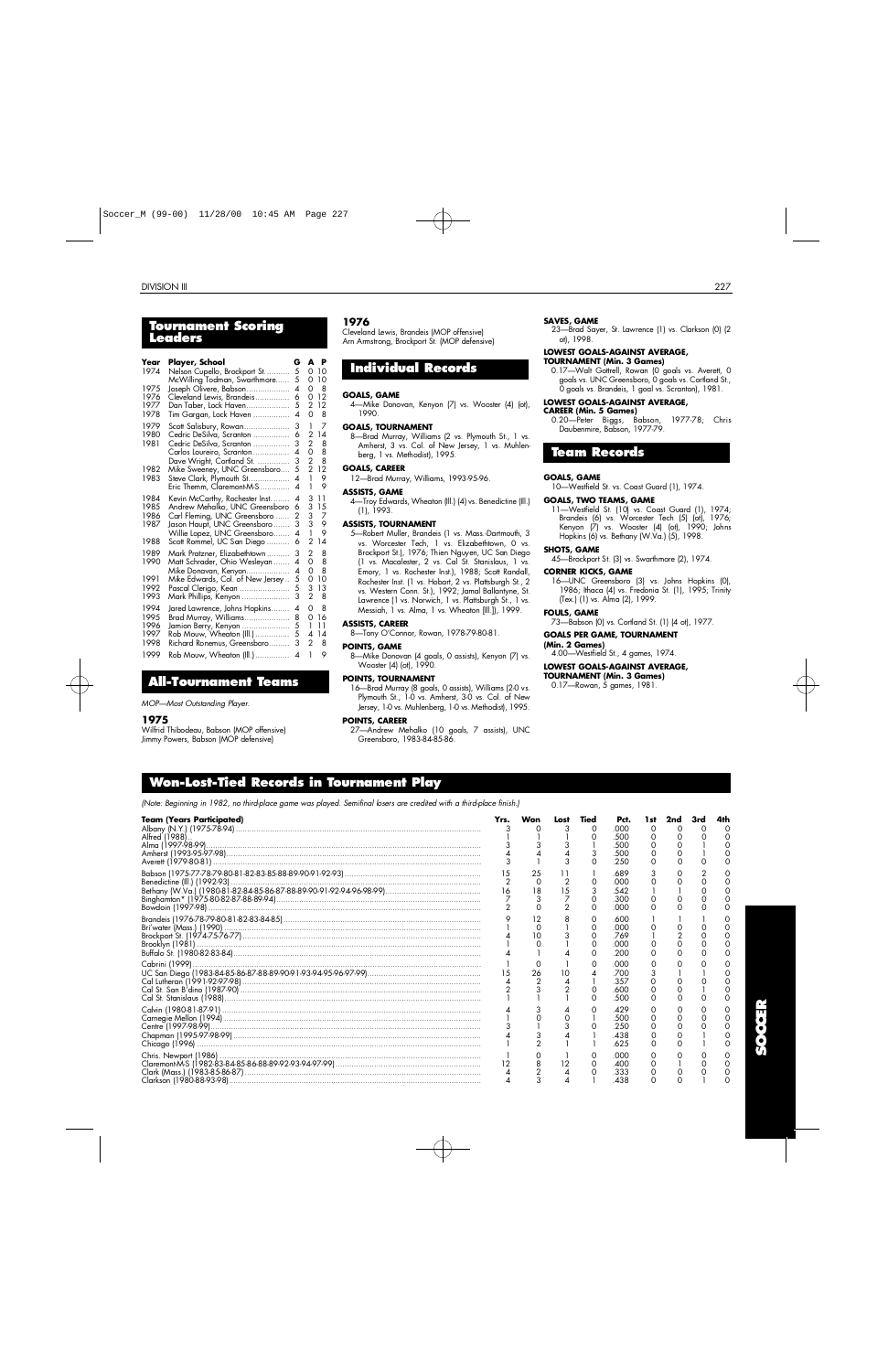## **To u rnament Scoring L e a d e r s**

| Year<br>1974                         | Player, School<br>Nelson Cupello, Brockport St<br>McWilling Todman, Swarthmore                                                                                                                | G<br>5<br>5                             | A<br>0<br>0                                          | P<br>10<br>10                 |
|--------------------------------------|-----------------------------------------------------------------------------------------------------------------------------------------------------------------------------------------------|-----------------------------------------|------------------------------------------------------|-------------------------------|
| 1975<br>1976<br>1977<br>1978         | Joseph Olivere, Babson<br>Cleveland Lewis, Brandeis<br>Dan Taber, Lock Haven<br>Tim Gargan, Lock Haven                                                                                        | 4<br>6<br>5<br>4                        | 0<br>0<br>2<br>0                                     | 8<br>12<br>12<br>8            |
| 1979<br>1980<br>1981<br>1982         | Scott Salisbury, Rowan<br>Cedric DeSilva, Scranton<br>Cedric DeSilva, Scranton<br>Carlos Loureiro, Scranton<br>Dave Wright, Cortland St.                                                      | 3<br>6<br>3<br>4<br>3<br>5              | 1<br>2<br>$\overline{c}$<br>0<br>2<br>$\overline{2}$ | 7<br>14<br>8<br>8<br>8<br>12  |
| 1983                                 | Mike Sweeney, UNC Greensboro<br>Steve Clark, Plymouth St<br>Eric Themm, Claremont-M-S                                                                                                         | 4<br>4                                  | 1<br>1                                               | 9<br>9                        |
| 1984<br>1985<br>1986<br>1987<br>1988 | Kevin McCarthy, Rochester Inst<br>Andrew Mehalko, UNC Greensboro<br>Carl Fleming, UNC Greensboro<br>Jason Haupt, UNC Greensboro<br>Willie Lopez, UNC Greensboro<br>Scott Rommel, UC San Diego | 4<br>6<br>$\overline{2}$<br>3<br>4<br>6 | 3<br>3<br>3<br>3<br>1<br>2                           | 11<br>15<br>7<br>9<br>9<br>14 |
| 1989<br>1990<br>1991<br>1992<br>1993 | Mark Pratzner, Elizabethtown<br>Matt Schrader, Ohio Wesleyan<br>Mike Donavan, Kenyon<br>Mike Edwards, Col. of New Jersey<br>Pascal Clerigo, Kean<br>Mark Phillips, Kenyon                     | 3<br>4<br>4<br>5<br>5<br>3              | 2<br>0<br>0<br>0<br>3<br>$\overline{2}$              | 8<br>8<br>8<br>10<br>13<br>8  |
| 1994<br>1995<br>1996<br>1997<br>1998 | Jared Lawrence, Johns Hopkins<br>Brad Murray, Williams<br>Jamion Berry, Kenyon<br>Rob Mouw, Wheaton (Ill.)<br>Richard Ronemus, Greensboro                                                     | 4<br>8<br>5<br>5<br>3                   | 0<br>0<br>1<br>4<br>$\overline{2}$                   | 8<br>16<br>11<br>14<br>8      |
| 1999                                 | Rob Mouw, Wheaton (Ill.)                                                                                                                                                                      | 4                                       | 1                                                    | 9                             |

## **A l l - To u rnament Te a m s**

*MOP—Most Outstanding Player.*

#### **1 9 7 5**

Wilfrid Thibodeau, Babson (MOP offensive) Jimmy Powers, Babson (MOP defensive)

#### **1 9 7 6**

Cleveland Lewis, Brandeis (MOP offensive) Arn Armstrong, Brockport St. (MOP defensive)

## **Individual Records**

#### **GOALS, GAME**

4—Mike Donovan, Kenyon (7) vs. Wooster (4) (ot),  $1000$ 

#### **GOALS, TOURNAMENT**

8—Brad Murray, Williams (2 vs. Plymouth St., 1 vs. Amherst, 3 vs. Col. of New Jersey, 1 vs. Muhlenberg, 1 vs. Methodist), 1995.

## **GOALS, CAREER**

12—Brad Murray, Williams, 1993-95-96.

#### **ASSISTS, GAME**

4—Troy Edwards, Wheaton (Ill.) (4) vs. Benedictine (Ill.) (1), 1993.

#### **ASSISTS, TOURNAMENT**

5—Robert Muller, Brandeis (1 vs. Mass.-Dartmouth, 3 vs. Worcester Tech, 1 vs. Elizabethtown, 0 vs. Brockport St.), 1976; Thien Nguyen, UC San Diego (1 vs. Macalester, 2 vs. Cal St. Stanislaus, 1 vs. Emory, 1 vs. Rochester Inst.), 1988; Scott Randall, Rochester Inst. (1 vs. Hobart, 2 vs. Plattsburgh St., 2 vs. Western Conn. St.), 1992; Jamal Ballantyne, St. Lawrence (1 vs. Norwich, 1 vs. Plattsburgh St., 1 vs. Messiah, 1 vs. Alma, 1 vs. Wheaton [Ill.]), 1999.

#### **ASSISTS, CAREER**

8—Tony O'Connor, Rowan, 1978-79-80-81.

**POINTS, GAME** 8—Mike Donovan (4 goals, 0 assists), Kenyon (7) vs.

Wooster (4) (ot), 1990.

## **POINTS, TOURNAMENT**

16—Brad Murray (8 goals, 0 assists), Williams (2-0 vs. Plymouth St., 1-0 vs. Amherst, 3-0 vs. Col. of New Jersey, 1-0 vs. Muhlenberg, 1-0 vs. Methodist), 1995.

#### **POINTS, CAREER**

27—Andrew Mehalko (10 goals, 7 assists), UNC Greensboro, 1983-84-85-86.

#### **SAVES, GAME**

23—Brad Sayer, St. Lawrence (1) vs. Clarkson (0) (2 ot), 1998.

### **LOWEST GOALS-AGAINST AVERAGE,**

**TOURNAMENT (Min. 3 Games)** 0.17-Walt Gottrell, Rowan (0 goals vs. Averett, 0 goals vs. UNC Greensboro, 0 goals vs. Cortland St., 0 goals vs. Brandeis, 1 goal vs. Scranton), 1981.

#### **LOWEST GOALS-AGAINST AVERAGE,**

#### **CAREER (Min. 5 Games)**

0.20—Peter Biggs, Babson, 1977-78; Chris Daubenmire, Babson, 1977-79.

## **Team Records**

#### **GOALS, GAME**

10—Westfield St. vs. Coast Guard (1), 1974.

#### **GOALS, TWO TEAMS, GAME**

11—Westfield St. (10) vs. Coast Guard (1), 1974; Brandeis (6) vs. Worcester Tech (5) (ot), 1976; Kenyon (7) vs. Wooster (4) (ot), 1990; Johns Hopkins (6) vs. Bethany (W.Va.) (5), 1998.

#### **SHOTS, GAME**

45—Brockport St. (3) vs. Swarthmore (2), 1974.

#### **CORNER KICKS, GAME**

16—UNC Greensboro (3) vs. Johns Hopkins (0), 1986; Ithaca (4) vs. Fredonia St. (1), 1995; Trinity (Tex.) (1) vs. Alma (2), 1999.

### **FOULS, GAME**

73—Babson (0) vs. Cortland St. (1) (4 ot), 1977.

#### **GOALS PER GAME, TOURNAMENT**

**(Min. 2 Games)** 4.00—Westfield St., 4 games, 1974.

#### **LOWEST GOALS-AGAINST AVERAGE,**

TOURNAMENT (Min**.** 3 Games) 0.17—Rowan, 5 games, 1981.

*(Note: Beginning in 1982, no third-place game was played. Semifinal losers are credited with a third-place finish.)*

| <b>Team (Years Participated)</b><br>Alfred (1988) | Yrs.<br>3<br>3       | Won                      |                      | <b>Tied</b><br>3 | Pct.<br>.000<br>500<br>500<br>.500<br>.250 | 1 st<br>0 | 2nd<br>∩ |  |
|---------------------------------------------------|----------------------|--------------------------|----------------------|------------------|--------------------------------------------|-----------|----------|--|
|                                                   | 16<br>$\overline{2}$ | 25<br>$\circ$<br>18<br>3 | $\overline{2}$<br>15 | 3<br>$\Omega$    | .689<br>.000<br>.542<br>.300<br>.000       | $\Omega$  |          |  |
|                                                   |                      |                          |                      | Ο                | .600<br>.000<br>.769<br>.000<br>.200       |           |          |  |
|                                                   |                      | 26                       | 10                   |                  | .000<br>.700<br>.357<br>.600<br>.500       |           |          |  |
|                                                   |                      |                          |                      |                  | 429<br>.500<br>.250<br>.438<br>.625        |           |          |  |
|                                                   |                      |                          | 12                   | 0                | റററ<br>.400<br>333<br>.438                 |           |          |  |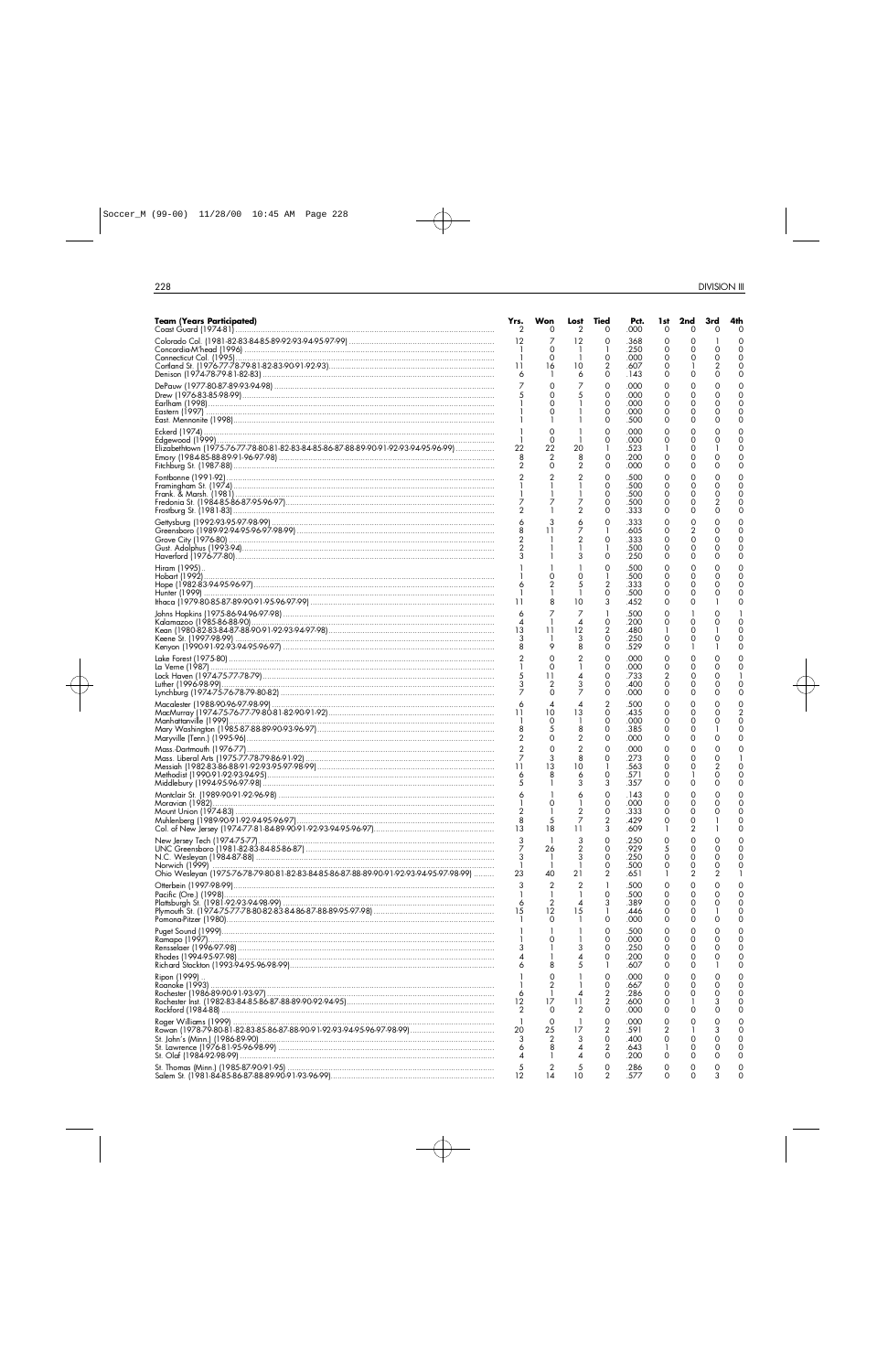| <b>Team (Years Participated)</b>                                                       | Yrs.<br>2                        | Won<br>0                   | Lost<br>2                    | Tied<br>0           | Pct.<br>.000 | 1st<br>0             | 2nd<br>Ο       | 3rd<br>O | 4th<br>0                   |
|----------------------------------------------------------------------------------------|----------------------------------|----------------------------|------------------------------|---------------------|--------------|----------------------|----------------|----------|----------------------------|
|                                                                                        | 12                               | 7                          | 12                           | 0                   | .368         | 0                    | 0              |          | C                          |
|                                                                                        |                                  | 0<br>0                     | -1                           | 0                   | .250<br>.000 | 0<br>0               | 0<br>0         | 0<br>Ο   | $\Omega$<br>$\Omega$       |
| Denison (1974-78-79-81-82-83) ………………………………………………………………………………………                        | 11<br>6                          | 16                         | 10<br>6                      | 2<br>0              | .607<br>.143 | 0<br>0               | 0              | 0        | $\Omega$<br>0              |
|                                                                                        | 7                                | 0                          | 7                            | 0                   | .000         | 0                    | 0              |          |                            |
|                                                                                        |                                  | 0<br>0                     | 5                            | 0<br>0              | .000<br>.000 | 0<br>0               | 0<br>0         | 0<br>0   | $\Omega$<br>0              |
|                                                                                        |                                  | 0                          |                              | 0                   | .000         | 0                    | 0              | O        | $\Omega$                   |
|                                                                                        |                                  | 0                          |                              | 0<br>0              | .500<br>.000 | 0<br>0               | 0<br>0         |          | 0<br>0                     |
| Elizabethtown (1975-76-77-78-80-81-82-83-84-85-86-87-88-89-90-91-92-93-94-95-96-99)    | 22                               | 0<br>22                    | -1<br>20                     | 0                   | .000<br>.523 | 0                    | 0<br>0         |          | 0<br>$\Omega$              |
| Emory (1984-85-88-89-91-96-97-98) ………………………………………………………………………………………                    | 8                                | 2                          | 8                            | 0                   | .200         | 0                    | 0              | Ο        | 0                          |
|                                                                                        | $\overline{2}$                   | $\Omega$<br>$\overline{2}$ | $\overline{2}$<br>2          | 0<br>$\mathbf 0$    | .000<br>.500 | 0<br>0               | 0<br>0         | Ο<br>O   | $\Omega$<br>C              |
|                                                                                        |                                  |                            | 1                            | 0                   | .500         | 0                    | 0              | Ο        | $\Omega$<br>C              |
|                                                                                        | 7                                |                            | 7                            | 0<br>0              | .500<br>.500 | 0<br>0               | 0<br>0         | 2        | 0                          |
|                                                                                        | 2                                |                            | 2<br>6                       | 0<br>0              | .333<br>.333 | 0<br>0               | 0<br>0         | 0<br>0   | $\Omega$<br>C              |
|                                                                                        |                                  | 11                         | 7                            |                     | .605         | 0                    | $\overline{2}$ | 0        | $\Omega$                   |
|                                                                                        | $\overline{c}$<br>$\overline{2}$ |                            | 2                            | 0                   | .333<br>.500 | 0<br>0               | 0<br>0         | 0        | $\Omega$<br>0              |
|                                                                                        |                                  |                            | 3                            | 0                   | .250         | 0                    | 0              | Ο        | 0<br>C                     |
| Hiram (1995)                                                                           |                                  |                            | 0                            | 0<br>1              | .500<br>.500 | 0<br>0               | 0<br>0         | 0        | $\Omega$                   |
|                                                                                        | 6                                | 2                          | 5<br>-1                      | 2<br>0              | .333<br>.500 | 0<br>0               | 0<br>0         | 0<br>Ω   | $\Omega$<br>0              |
|                                                                                        | 11                               |                            | 10                           | 3                   | .452         | 0                    | 0              |          | 0                          |
|                                                                                        | 6<br>4                           |                            | 7<br>4                       | 0                   | .500<br>.200 | 0<br>0               | 0              |          | C                          |
|                                                                                        | 13                               | 11                         | 12<br>3                      | 2<br>0              | .480<br>.250 | 0                    | 0<br>0         | 0        | 0<br>C                     |
|                                                                                        | 8                                | 9                          | 8                            | 0                   | .529         | 0                    |                |          | $\Omega$                   |
|                                                                                        |                                  | $\Omega$<br>0              | 2<br>1                       | 0<br>0              | .000<br>.000 | 0<br>0               | 0<br>0         | Ο        | C<br>C                     |
|                                                                                        |                                  | 11<br>2                    | 4<br>3                       | 0<br>0              | .733<br>.400 | 2<br>0               | 0<br>0         | O        | 0                          |
| Lynchburg (1974-75-76-78-79-80-82) ……………………………………………………………………………………                    | 7                                | 0                          | 7                            | 0                   | .000         | 0                    | 0              | Ο        | $\Omega$                   |
|                                                                                        | 6<br>11                          | $\overline{A}$<br>10       | 4<br>13                      | 2<br>0              | .500<br>.435 | 0<br>0               | 0<br>0         | 0<br>0   | $\Omega$<br>$\overline{2}$ |
|                                                                                        | 8                                | 0<br>5                     | 8                            | 0<br>0              | .000<br>.385 | 0<br>0               | 0<br>0         | Ω        | $\Omega$<br>$\Omega$       |
|                                                                                        | 2                                |                            | 2                            | 0                   | .000         | 0                    | 0              | Ο        | $\Omega$                   |
|                                                                                        |                                  | $\Omega$<br>3              | $\overline{\mathbf{c}}$<br>8 | $\Omega$<br>0       | .000<br>.273 | 0<br>0               | 0<br>0         | Ο<br>0   |                            |
|                                                                                        | 11                               | 13                         | 10<br>6                      | 0                   | .563<br>.571 | 0<br>0               | 0              | 2<br>Ο   | 0<br>$\Omega$              |
| Middlebury (1994-95-96-97-98)………………………………………………………………………………………                         |                                  |                            | 3                            | 3                   | .357         | 0                    | 0              |          | 0                          |
|                                                                                        |                                  | 0                          | 6                            | 0<br>0              | .143<br>.000 | 0<br>0               | 0<br>0         | 0<br>0   | O<br>0                     |
|                                                                                        | 2<br>8                           |                            | 2                            | 0                   | .333         | 0<br>∩               | $\Omega$<br>0  | 0        | 0                          |
|                                                                                        | 13                               | 18                         | 11                           | 3                   | .429<br>.609 | 1                    | 2              |          | 0                          |
|                                                                                        | 3<br>7                           | 26                         | 3<br>2                       | 0<br>Ο              | .250<br>.929 | 0<br>5               | 0<br>0         | 0        | C<br>0                     |
|                                                                                        | 3                                | -1                         | 3                            | 0                   | .250         | $\Omega$             | 0<br>0         | 0        | 0<br>0                     |
| Ohio Wesleyan (1975-76-78-79-80-81-82-83-84-85-86-87-88-89-90-91-92-93-94-95-97-98-99) | -1<br>23                         | 40                         | 21                           | 0<br>2              | .500<br>.651 | 0<br>1               | 2              | 0<br>2   |                            |
|                                                                                        | 3                                | $\overline{2}$<br>-1       | 2                            | 1<br>0              | .500<br>.500 | $\Omega$<br>$\Omega$ | 0<br>0         | 0<br>0   | 0<br>$\Omega$              |
|                                                                                        | 6                                | 2                          | 4                            | 3                   | .389         | 0                    | 0              | 0        | 0                          |
|                                                                                        | 15                               | 12<br>0                    | 15                           | 1<br>0              | .446<br>.000 | 0<br>0               | 0<br>0         | Ο        | 0<br>0                     |
|                                                                                        |                                  | 0                          |                              | 0<br>0              | .500<br>.000 | $\Omega$<br>$\Omega$ | 0<br>0         | 0<br>0   | $\Omega$<br>$\Omega$       |
|                                                                                        | 3                                |                            | 3                            | 0                   | .250         | 0                    | 0              | 0        | $\Omega$                   |
|                                                                                        | 6                                | 8                          | 4<br>5                       | 0<br>1              | .200<br>.607 | 0<br>$\Omega$        | 0<br>0         | Ο        | $\Omega$<br>0              |
| Ripon (1999)                                                                           |                                  | $\Omega$<br>2              |                              | 0<br>0              | .000<br>.667 | 0<br>$\Omega$        | 0<br>0         | 0<br>0   | 0<br>0                     |
|                                                                                        | 6                                |                            | 4                            | 2                   | .286         | 0                    | 0              | 0        | 0                          |
|                                                                                        | 12<br>2                          | 17<br>0                    | 11<br>2                      | $\overline{2}$<br>0 | .600<br>.000 | 0<br>0               | 0              | 3<br>0   | $\Omega$<br>0              |
|                                                                                        |                                  | $\Omega$                   |                              | $\mathbf 0$         | .000         | $\mathbf 0$          | 0              | 0        | C                          |
| St. John's (Minn.) (1986-89-90) ……………………………………………………………………………………………                    | 20<br>3                          | 25<br>$\overline{2}$       | 17<br>3                      | 2<br>0              | .591<br>.400 | 2<br>$\Omega$        | 0              | 3<br>0   | 0<br>0                     |
|                                                                                        | 6<br>4                           | 8<br>1                     | 4<br>4                       | 2<br>0              | .643<br>.200 | 1<br>0               | 0<br>0         | 0<br>Ο   | 0<br>0                     |
|                                                                                        | 5                                | 2                          | 5                            | 0                   | .286         | 0                    | 0              | Ο        | 0                          |
|                                                                                        | 12                               | 14                         | 10                           | 2                   | .577         | 0                    | 0              | 3        | 0                          |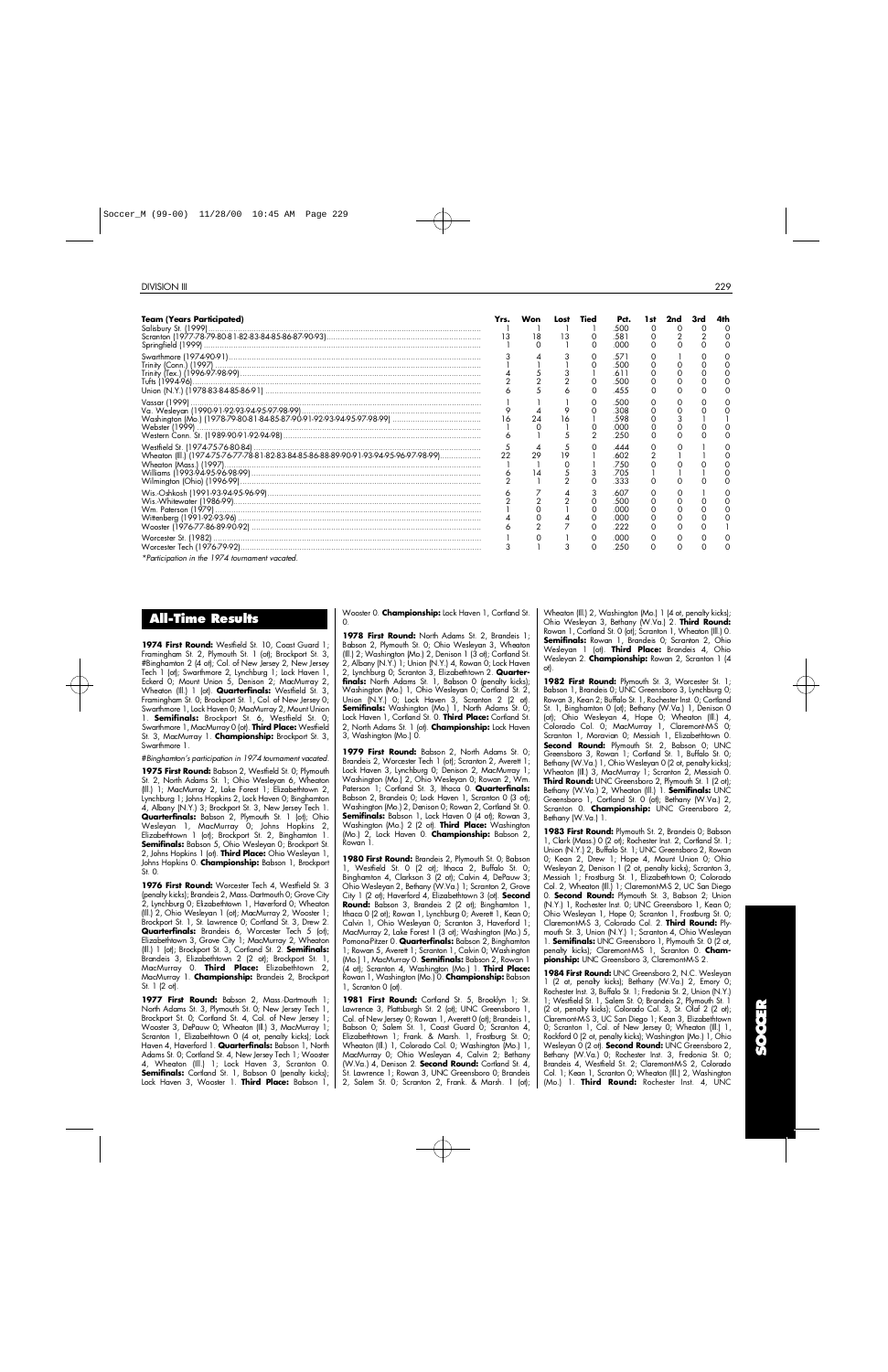| <b>Team (Years Participated)</b>                                                                                                                                                                  | Yrs. | Won<br>18 | Los<br>13 | Tied | Pct.<br>.500<br>.581<br>.000         | 0 | 0 |  |
|---------------------------------------------------------------------------------------------------------------------------------------------------------------------------------------------------|------|-----------|-----------|------|--------------------------------------|---|---|--|
|                                                                                                                                                                                                   |      |           |           |      | .57'<br>.500<br>.611<br>.500<br>.455 |   |   |  |
| Vassar (1999)<br>Va. Wesleyan (1990-91-92-93-94-95-97-98-99)<br>Washington (Mo.) (1978-79-80-81-84-85-87-90-91-92-93-94-95-97-98-99)<br>Webster (1999)<br>Western Conn. St. (1989-90-91-92-94-98) |      | 24        | 16        |      | .500<br>.308<br>.598<br>.000<br>.250 |   |   |  |
| Wheaton (III.) (1974-75-76-77-78-81-82-83-84-85-86-88-89-90-91-93-94-95-96-97-98-99)                                                                                                              |      | 14        | -9        |      | 444<br>.602<br>.750<br>.705<br>.333  |   |   |  |
|                                                                                                                                                                                                   |      |           |           |      | .607<br>.500<br>.000<br>.000<br>.222 |   |   |  |
| *Participation in the 1974 tournament vacated.                                                                                                                                                    |      |           |           | O    | .000<br>.250                         |   |   |  |

|  |  |  | All-Time Results |  |
|--|--|--|------------------|--|
|--|--|--|------------------|--|

1974 First Round: Westfield St. 10, Coast Guard 1; Framingham St. 2, Plymouth St. 1 (ot); Brockport St. 3, #Binghamton 2 (4 ot); Col. of New Jersey 2, New Jersey Tech 1 (ot); Swarthmore 2, Lynchburg 1; Lock Haven 1, Eckerd 0; Mount Union 5, Denison 2; MacMurray 2, Wheaton (Ill.) 1 (ot). **Quarterfinals:** Westfield St. 3, Framingham St. 0; Brockport St. 1, Col. of New Jersey 0; Swarthmore 1, Lock Haven 0; MacMurray 2, Mount Union 1. **Semifinals:** Brockport St. 6, Westfield St. 0; Swarthmore 1, MacMurray 0 (ot). Third Place: Westfield St. 3, MacMurray 1. **Championship:** Brockport St. 3, Swarthmore 1.

#*Binghamton's participation in 1974 tournament vacated.*

1975 First Round: Babson 2, Westfield St. 0; Plymouth St. 2, North Adams St. 1; Ohio Wesleyan 6, Wheaton (Ill.) 1; MacMurray 2, Lake Forest 1; Elizabethtown 2, Lynchburg 1; Johns Hopkins 2, Lock Haven 0; Binghamton 4, Albany (N.Y.) 3; Brockport St. 3, New Jersey Tech 1. **Quarterfinals:** Babson 2, Plymouth St. 1 (ot); Ohio Wesleyan 1, MacMurray 0; Johns Hopkins 2, Elizabethtown 1 (ot); Brockport St. 2, Binghamton 1. **Semifinals:** Babson 5, Ohio Wesleyan 0; Brockport St. 2, Johns Hopkins 1 (ot). **Third Place:** Ohio Wesleyan 1, Johns Hopkins O. Championship: Babson 1, Brockport St. 0.

1976 First Round: Worcester Tech 4, Westfield St. 3 (penalty kicks); Brandeis 2, Mass.-Dartmouth 0; Grove City 2, Lynchburg 0; Elizabethtown 1, Haverford 0; Wheaton (Ill.) 2, Ohio Wesleyan 1 (ot); MacMurray 2, Wooster 1; Brockport St. 1, St. Lawrence 0; Cortland St. 3, Drew 2. **Quarterfinals:** Brandeis 6, Worcester Tech 5 (ot); Elizabethtown 3, Grove City 1; MacMurray 2, Wheaton (III.) 1 (ot); Brockport St. 3, Cortland St. 2. **Semifinals:** Brandeis 3, Elizabethtown 2 (2 ot); Brockport St. 1, MacMurray 0. **Third Place:** Elizabethtown 2, MacMurray 1. **Championship:** Brandeis 2, Brockport St. 1 (2 ot).

1977 First Round: Babson 2, Mass.-Dartmouth 1; North Adams St. 3, Plymouth St. 0; New Jersey Tech 1, Brockport St. 0; Cortland St. 4, Col. of New Jersey 1; Wooster 3, DePauw 0; Wheaton (Ill.) 3, MacMurray 1; Scranton 1, Elizabethtown 0 (4 ot, penalty kicks); Lock Haven 4, Haverford 1. **Quarterfinals:** Babson 1, North Adams St. 0; Cortland St. 4, New Jersey Tech 1; Wooster 4, Wheaton (Ill.) 1; Lock Haven 3, Scranton 0. **Semifinals:** Cortland St. 1, Babson 0 (penalty kicks); Lock Haven 3, Wooster 1. **Third Place:** Babson 1, Wooster 0. **Championship:** Lock Haven 1, Cortland St.  $\Omega$ 

1978 First Round: North Adams St. 2, Brandeis 1; Babson 2, Plymouth St. 0; Ohio Wesleyan 3, Wheaton (Ill.) 2; Washington (Mo.) 2, Denison 1 (3 ot); Cortland St. 2, Albany (N.Y.) 1; Union (N.Y.) 4, Rowan 0; Lock Haven 2, Lynchburg 0; Scranton 3, Elizabethtown 2. **Quarterfinals:** North Adams St. 1, Babson 0 (penalty kicks); Washington (Mo.) 1, Ohio Wesleyan 0; Cortland St. 2, Union (N.Y.) 0; Lock Haven 3, Scranton 2 (2 ot).<br>**Semifinals:** Washington (Mo.) 1, North Adams St. 0; Lock Haven 1, Cortland St. 0. **Third Place:** Cortland St. 2, North Adams St. 1 (ot). **Championship:** Lock Haven 3, Washington (Mo.) 0.

1979 First Round: Babson 2, North Adams St. 0; Brandeis 2, Worcester Tech 1 (ot); Scranton 2, Averett 1; Lock Haven 3, Lynchburg 0; Denison 2, MacMurray 1; Washington (Mo.) 2, Ohio Wesleyan 0; Rowan 2, Wm. Paterson 1; Cortland St. 3, Ithaca 0. **Quarterfinals:** Babson 2, Brandeis 0; Lock Haven 1, Scranton 0 (3 ot); Washington (Mo.) 2, Denison 0; Rowan 2, Cortland St. 0. **Semifinals:** Babson 1, Lock Haven 0 (4 ot); Rowan 3, Washington (Mo.) 2 (2 ot). **Third Place:** Washington (Mo.) 2, Lock Haven 0. **Championship:** Babson 2, Rowan 1.

**1980 First Round:** Brandeis 2, Plymouth St. 0; Babson 1, Westfield St. 0 (2 ot); Ithaca 2, Buffalo St. 0; Binghamton 4, Clarkson 3 (2 ot); Calvin 4, DePauw 3; Ohio Wesleyan 2, Bethany (W.Va.) 1; Scranton 2, Grove City 1 (2 ot); Haverford 4, Elizabethtown 3 (ot). Second **Round:** Babson 3, Brandeis 2 (2 ot); Binghamton 1, Ithaca 0 (2 ot); Rowan 1, Lynchburg 0; Averett 1, Kean 0; Calvin 1, Ohio Wesleyan 0; Scranton 3, Haverford 1; MacMurray 2, Lake Forest 1 (3 ot); Washington (Mo.) 5, Pomona-Pitzer 0. **Quarterfinals:** Babson 2. Binghamton 1; Rowan 5, Averett 1; Scranton 1, Calvin 0; Washington (Mo.) 1, MacMurray 0. **Semifinals:** Babson 2, Rowan 1 (4 ot); Scranton 4, Washington (Mo.) 1. **Third Place:** Rowan 1, Washington (Mo.) 0. **Championship:** Babson 1, Scranton 0 (ot).

1981 First Round: Cortland St. 5, Brooklyn 1; St. Lawrence 3, Plattsburgh St. 2 (ot); UNC Greensboro 1, Col. of New Jersey 0; Rowan 1, Averett 0 (ot); Brandeis 1, Babson 0; Salem St. 1, Coast Guard 0; Scranton 4, Elizabethtown 1; Frank. & Marsh. 1, Frostburg St. 0; Wheaton (Ill.) 1, Colorado Col. 0; Washington (Mo.) 1, MacMurray 0; Ohio Wesleyan 4, Calvin 2; Bethany (W.Va.) 4, Denison 2. **Second Round:** Cortland St. 4, St. Lawrence 1; Rowan 3, UNC Greensboro 0; Brandeis 2, Salem St. 0; Scranton 2, Frank. & Marsh. 1 (ot);

Wheaton (Ill.) 2, Washington (Mo.) 1 (4 ot, penalty kicks); Ohio Wesleyan 3, Bethany (W.Va.) 2. **Third Round:** Rowan 1, Cortland St. 0 (ot); Scranton 1, Wheaton (Ill.) 0. **Semifinals:** Rowan 1, Brandeis 0; Scranton 2, Ohio Wesleyan 1 (ot). **Third Place:** Brandeis 4, Ohio Wesleyan 2. **Championship:** Rowan 2, Scranton 1 (4)  $ot$ ).

1982 First Round: Plymouth St. 3, Worcester St. 1; Babson 1, Brandeis 0; UNC Greensboro 3, Lynchburg 0; Rowan 3, Kean 2; Buffalo St. 1, Rochester Inst. 0; Cortland St. 1, Binghamton 0 (ot); Bethany (W.Va.) 1, Denison 0 (ot); Ohio Wesleyan 4, Hope 0; Wheaton (Ill.) 4, Colorado Col. 0; MacMurray 1, Claremont-M-S 0; Scranton 1, Moravian 0; Messiah 1, Elizabethtown 0. **Second Round:** Plymouth St. 2, Babson 0; UNC Greensboro 3, Rowan 1; Cortland St. 1, Buffalo St. 0; Bethany (W.Va.) 1, Ohio Wesleyan 0 (2 ot, penalty kicks); Wheaton (Ill.) 3, MacMurray 1; Scranton 2, Messiah 0. **Third Round:** UNC Greensboro 2, Plymouth St. 1 (2 ot); Bethany (W.Va.) 2, Wheaton (Ill.) 1. **Semifinals:** UNC Greensboro 1, Cortland St. 0 (ot); Bethany (W.Va.) 2, Scranton 0. **Championship:** UNC Greensboro 2, Bethany (W.Va.) 1.

**1983 First Round:** Plymouth St. 2, Brandeis 0; Babson 1, Clark (Mass.) 0 (2 ot); Rochester Inst. 2, Cortland St. 1; Union (N.Y.) 2, Buffalo St. 1; UNC Greensboro 2, Rowan 0; Kean 2, Drew 1; Hope 4, Mount Union 0; Ohio Wesleyan 2, Denison 1 (2 ot, penalty kicks); Scranton 3, Messiah 1; Frostburg St. 1, Elizabethtown 0; Colorado Col. 2, Wheaton (Ill.) 1; Claremont-M-S 2, UC San Diego 0. **Second Round:** Plymouth St. 3, Babson 2; Union (N.Y.) 1, Rochester Inst. 0; UNC Greensboro 1, Kean 0; Ohio Wesleyan 1, Hope 0; Scranton 1, Frostburg St. 0; Claremont M-S 3, Colorado Col. 2. **Third Round:** Plymouth St. 3, Union (N.Y.) 1; Scranton 4, Ohio Wesleyan 1. **Semifinals:** UNC Greensboro 1, Plymouth St. 0 (2 ot, penalty kicks); Claremont-M-S 1, Scranton 0. Cham**pionship:** UNC Greensboro 3, Claremont-M-S 2.

**1984 First Round:** UNC Greensboro 2, N.C. Wesleyan 1 (2 ot, penalty kicks); Bethany (W.Va.) 2, Emory 0; Rochester Inst. 3, Buffalo St. 1; Fredonia St. 2, Union (N.Y.) 1; Westfield St. 1, Salem St. 0; Brandeis 2, Plymouth St. 1 (2 ot, penalty kicks); Colorado Col. 3, St. Olaf 2 (2 ot); Claremont-M-S 3, UC San Diego 1; Kean 3, Elizabethtown 0; Scranton 1, Col. of New Jersey 0; Wheaton (Ill.) 1, Rockford 0 (2 ot, penalty kicks); Washington (Mo.) 1, Ohio Wesleyan 0 (2 ot). **Second Round:** UNC Greensboro 2, Bethany (W.Va.) 0; Rochester Inst. 3, Fredonia St. 0; Brandeis 4, Westfield St. 2; Claremont-M-S 2, Colorado Col. 1; Kean 1, Scranton 0; Wheaton (Ill.) 2, Washington (Mo.) 1. **Third Round:** Rochester Inst. 4, UNC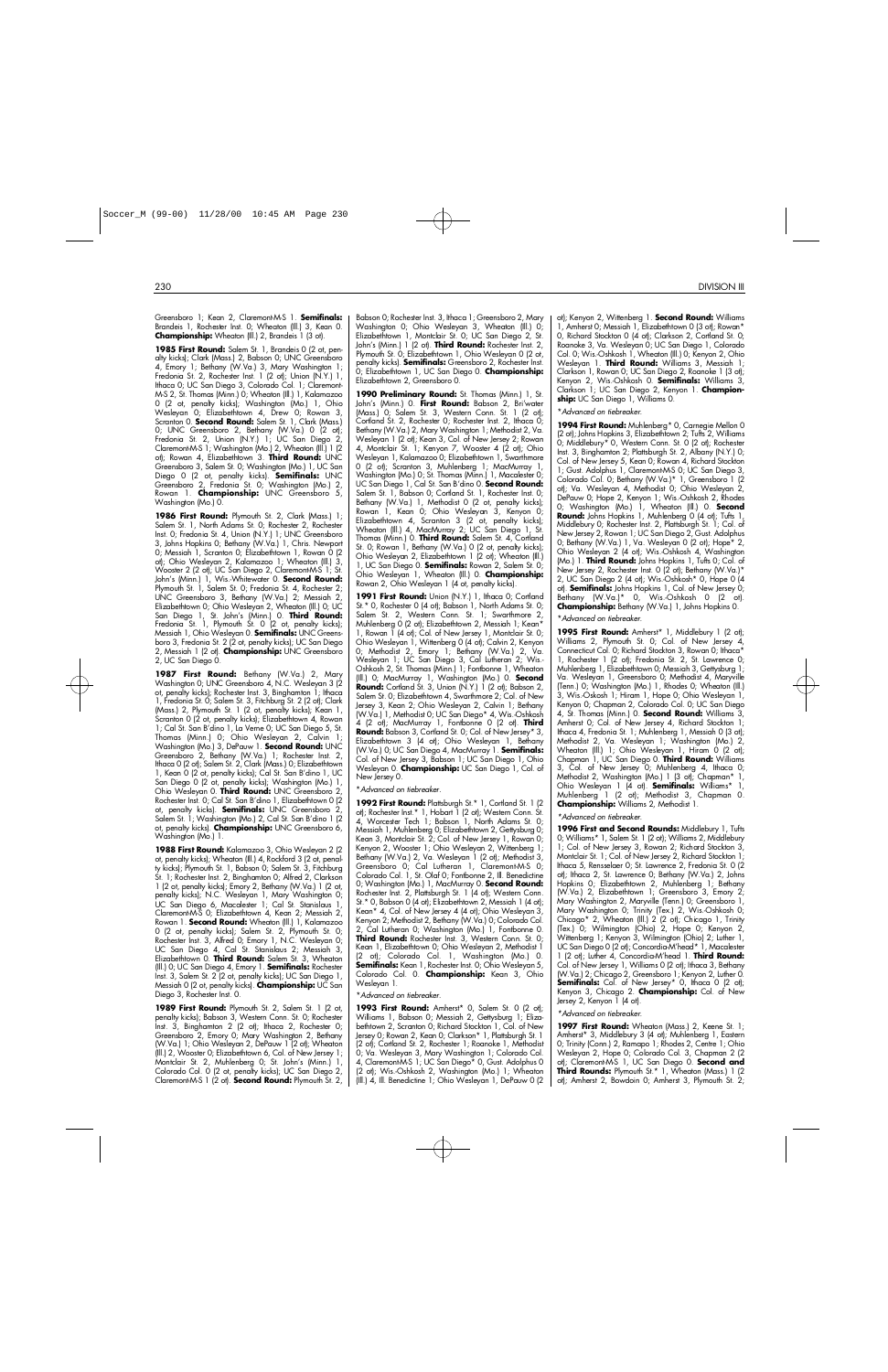Greensboro 1; Kean 2, Claremont-M-S 1. **Semifinals:** Brandeis 1, Rochester Inst. 0; Wheaton (Ill.) 3, Kean 0. **Championship:** Wheaton (Ill.) 2, Brandeis 1 (3 ot).

**1985 First Round:** Salem St. 1, Brandeis 0 (2 ot, penalty kicks); Clark (Mass.) 2, Babson 0; UNC Greensboro 4, Emory 1; Bethany (W.Va.) 3, Mary Washington 1; Fredonia St. 2, Rochester Inst. 1 (2 ot); Union (N.Y.) 1, Ithaca 0; UC San Diego 3, Colorado Col. 1; Claremont-M-S 2, St. Thomas (Minn.) 0; Wheaton (Ill.) 1, Kalamazoo 0 (2 ot, penalty kicks); Washington (Mo.) 1, Ohio Wesleyan 0; Elizabethtown 4, Drew 0; Rowan 3, Scranton 0. **Second Round:** Salem St. 1, Clark (Mass.) 0; UNC Greensboro 2, Bethany (W.Va.) 0 (2 ot); Fredonia St. 2, Union (N.Y.) 1; UC San Diego 2, Claremont-M-S 1; Washington (Mo.) 2, Wheaton (Ill.) 1 (2 ot); Rowan 4, Elizabethtown 3. Third Round: UNC Greensboro 3, Salem St. 0; Washington (Mo.) 1, UC San Diego 0 (2 ot, penalty kicks). **Semifinals:** UNC Greensboro 2, Fredonia St. 0; Washington (Mo.) 2, Rowan 1. **Championship:** UNC Greensboro 5, Washington (Mo.) 0.

**1986 First Round:** Plymouth St. 2, Clark (Mass.) 1; Salem St. 1, North Adams St. 0; Rochester 2, Rochester Inst. 0; Fredonia St. 4, Union (N.Y.) 1; UNC Greensboro 3, Johns Hopkins 0; Bethany (W.Va.) 1, Chris. Newport 0; Messiah 1, Scranton 0; Elizabethtown 1, Rowan 0 (2 ot); Ohio Wesleyan 2, Kalamazoo 1; Wheaton (Ill.) 3, Wooster 2 (2 ot); UC San Diego 2, Claremont-M-S 1; St. John's (Minn.) 1, Wis.-Whitewater 0. **Second Round:** Plymouth St. 1, Salem St. 0; Fredonia St. 4, Rochester 2; UNC Greensboro 3, Bethany (W.Va.) 2; Messiah 2, Elizabethtown 0; Ohio Wesleyan 2, Wheaton (Ill.) 0; UC San Diego 1, St. John's (Minn.) 0. **Third Round:** Fredonia St. 1, Plymouth St. 0 (2 ot, penalty kicks); Messiah 1, Ohio Wesleyan 0. **Semifinals:** UNC Greensboro 3, Fredonia St. 2 (2 ot, penalty kicks); UC San Diego 2, Messiah 1 (2 ot). **Championship:** UNC Greensboro 2, UC San Diego 0.

1987 First Round: Bethany (W.Va.) 2, Mary Washington 0; UNC Greensboro 4, N.C. Wesleyan 3 (2) ot, penalty kicks); Rochester Inst. 3, Binghamton 1; Ithaca 1, Fredonia St. 0; Salem St. 3, Fitchburg St. 2 (2 ot); Clark (Mass.) 2, Plymouth St. 1 (2 ot, penalty kicks); Kean 1, Scranton 0 (2 ot, penalty kicks); Elizabethtown 4, Rowan 1; Cal St. San B'dino 1, La Verne 0; UC San Diego 5, St. Thomas (Minn.) 0; Ohio Wesleyan 2, Calvin 1;<br>Washington(Mo.)3,DePauw 1. **Second Round:** UNC Greensboro 2, Bethany (W.Va.) 1; Rochester Inst. 2, Ithaca 0 (2 ot); Salem St. 2, Clark (Mass.) 0; Elizabethtown 1, Kean 0 (2 ot, penalty kicks); Cal St. San B'dino 1, UC San Diego 0 (2 ot, penalty kicks); Washington (Mo.) 1, Ohio Wesleyan 0. **Third Round:** UNC Greensboro 2, Rochester Inst. 0; Cal St. San B'dino 1, Elizabethtown 0 (2 ot, penalty kicks). **Semifinals:** UNC Greensboro 2, Salem St. 1; Washington (Mo.) 2, Cal St. San B'dino 1 (2 ot, penalty kicks). **Championship:** UNC Greensboro 6, Washington (Mo.) 1.

**1988 First Round:** Kalamazoo 3, Ohio Wesleyan 2 (2 ot, penalty kicks); Wheaton (Ill.) 4, Rockford 3 (2 ot, penalty kicks); Plymouth St. 1, Babson 0; Salem St. 3, Fitchburg St. 1; Rochester Inst. 2, Binghamton 0; Alfred 2, Clarkson 1 (2 ot, penalty kicks); Emory 2, Bethany (W.Va.) 1 (2 ot, penalty kicks); N.C. Wesleyan 1, Mary Washington 0; UC San Diego 6, Macalester 1; Cal St. Stanislaus 1, Claremont-M-S 0; Elizabethtown 4, Kean 2; Messiah 2, Rowan 1. **Second Round:** Wheaton (Ill.) 1, Kalamazoo 0 (2 ot, penalty kicks); Salem St. 2, Plymouth St. 0; Rochester Inst. 3, Alfred 0; Emory 1, N.C. Wesleyan 0; UC San Diego 4, Cal St. Stanislaus 2; Messiah 3, Elizabethtown 0. **Third Round:** Salem St. 3, Wheaton (Ill.) 0; UC San Diego 4, Emory 1. **Semifinals:** Rochester Inst. 3, Salem St. 2 (2 ot, penalty kicks); UC San Diego 1, Messiah 0 (2 ot, penalty kicks). **Championship:** UC San Diego 3, Rochester Inst. 0.

1989 First Round: Plymouth St. 2, Salem St. 1 (2 ot, penalty kicks); Babson 3, Western Conn. St. 0; Rochester Inst. 3, Binghamton 2 (2 ot); Ithaca 2, Rochester 0; Greensboro 2, Emory 0; Mary Washington 2, Bethany (W.Va.) 1; Ohio Wesleyan 2, DePauw 1 (2 ot); Wheaton (Ill.) 2, Wooster 0; Elizabethtown 6, Col. of New Jersey 1; Montclair St. 2, Muhlenberg 0; St. John's (Minn.) 1, Colorado Col. 0 (2 ot, penalty kicks); UC San Diego 2, Claremont-M-S 1 (2 ot). **Second Round:** Plymouth St. 2,

Babson 0; Rochester Inst. 3, Ithaca 1; Greensboro 2, Mary Washington 0; Ohio Wesleyan 3, Wheaton (Ill.) 0; Elizabethtown 1, Montclair St. 0; UC San Diego 2, St. John's (Minn.) 1 (2 ot). **Third Round:** Rochester Inst. 2, Plymouth St. 0; Elizabethtown 1, Ohio Wesleyan 0 (2 ot, penalty kicks). **Semifinals:** Greensboro 2, Rochester Inst. 0; Elizabethtown 1, UC San Diego 0. **Championship:** Elizabethtown 2, Greensboro 0.

**1990 Preliminary Round:** St. Thomas (Minn.) 1, St. John's (Minn.) 0. **First Round:** Babson 2, Bri'water (Mass.) 0; Salem St. 3, Western Conn. St. 1 (2 ot); Cortland St. 2, Rochester 0; Rochester Inst. 2, Ithaca 0; Bethany (W.Va.) 2, Mary Washington 1; Methodist 2, Va. Wesleyan 1 (2 ot); Kean 3, Col. of New Jersey 2; Rowan 4, Montclair St. 1; Kenyon 7, Wooster 4 (2 ot); Ohio Wesleyan 1, Kalamazoo 0; Elizabethtown 1, Swarthmore 0 (2 ot); Scranton 3, Muhlenberg 1; MacMurray 1, Washington (Mo.) 0; St. Thomas (Minn.) 1, Macalester 0; UC San Diego 1, Cal St. San B'dino 0. **Second Round:** Salem St. 1, Babson 0; Cortland St. 1, Rochester Inst. 0; Bethany (W.Va.) 1, Methodist 0 (2 ot, penalty kicks); Rowan 1, Kean 0; Ohio Wesleyan 3, Kenyon 0; Elizabethtown 4, Scranton 3 (2 ot, penalty kicks); Wheaton (Ill.) 4, MacMurray 2; UC San Diego 1, St. Thomas (Minn.) 0. **Third Round:** Salem St. 4, Cortland St. 0; Rowan 1, Bethany (W.Va.) 0 (2 ot, penalty kicks); Ohio Wesleyan 2, Elizabethtown 1 (2 ot); Wheaton (Ill.) 1, UC San Diego 0. **Semifinals:** Rowan 2, Salem St. 0: Ohio Wesleyan 1, Wheaton (Ill.) 0. **Championship:** Rowan 2, Ohio Wesleyan 1 (4 ot, penalty kicks).

1991 First Round: Union (N.Y.) 1, Ithaca 0; Cortland St.\* 0, Rochester 0 (4 ot); Babson 1, North Adams St. 0; Salem St. 2, Western Conn. St. 1; Swarthmore 2, Muhlenberg 0 (2 ot); Elizabethtown 2, Messiah 1; Kean\* 1, Rowan 1 (4 ot); Col. of New Jersey 1, Montclair St. 0; Ohio Wesleyan 1, Wittenberg 0 (4 ot); Calvin 2, Kenyon 0; Methodist 2, Emory 1; Bethany (W.Va.) 2, Va. Wesleyan 1; UC San Diego 3, Cal Lutheran 2; Wis.- Oshkosh 2, St. Thomas (Minn.) 1; Fontbonne 1, Wheaton (Ill.) 0; MacMurray 1, Washington (Mo.) 0. **Second Round:** Cortland St. 3, Union (N.Y.) 1 (2 ot); Babson 2, Salem St. 0; Elizabethtown 4, Swarthmore 2; Col. of New Jersey 3, Kean 2; Ohio Wesleyan 2, Calvin 1; Bethany (W.Va.) 1, Methodist 0; UC San Diego\* 4, Wis.-Oshkosh 4 (2 ot); MacMurray 1, Fontbonne 0 (2 ot). **Third Round:** Babson 3, Cortland St. 0; Col. of New Jersey\* 3, Elizabethtown 3 (4 ot); Ohio Wesleyan 1, Bethany (W.Va.) 0; UC San Diego 4, MacMurray 1. **Semifinals:** Col. of New Jersey 3, Babson 1; UC San Diego 1, Ohio<br>Wesleyan 0. **Championship:** UC San Diego 1, Col. of New Jersey 0.

#### \**Advanced on tiebreaker.*

1992 First Round: Plattsburgh St.\* 1, Cortland St. 1 (2) ot); Rochester Inst.\* 1, Hobart 1 (2 ot); Western Conn. St. 4, Worcester Tech 1; Babson 1, North Adams St. 0; Messiah 1, Muhlenberg 0; Elizabethtown 2, Gettysburg 0; Kean 3, Montclair St. 2; Col. of New Jersey 1, Rowan 0; Kenyon 2, Wooster 1; Ohio Wesleyan 2, Wittenberg 1; Bethany (W.Va.) 2, Va. Wesleyan 1 (2 ot); Methodist 3, Greensboro 0; Cal Lutheran 1, Claremont-M-S 0; Colorado Col. 1, St. Olaf 0; Fontbonne 2, Ill. Benedictine 0; Washington (Mo.) 1, MacMurray 0. **Second Round:** Rochester Inst. 2, Plattsburgh St. 1 (4 ot); Western Conn. St.\* 0, Babson 0 (4 ot); Elizabethtown 2, Messiah 1 (4 ot); Kean\* 4, Col. of New Jersey 4 (4 ot); Ohio Wesleyan 3, Kenyon 2; Methodist 2, Bethany (W.Va.) 0; Colorado Col. 2, Cal Lutheran 0; Washington (Mo.) 1, Fontbonne 0. **Third Round:** Rochester Inst. 3, Western Conn. St. 0; Kean 1, Elizabethtown 0; Ohio Wesleyan 2, Methodist 1 (2 ot); Colorado Col. 1, Washington (Mo.) 0. Semifinals: Kean 1, Rochester Inst. 0; Ohio Wesleyan 5, Colorado Col. 0. **Championship:** Kean 3, Ohio Wesleyan 1.

#### \**Advanced on tiebreaker.*

**1993 First Round:** Amherst\* 0, Salem St. 0 (2 ot); Williams 1, Babson 0; Messiah 2, Gettysburg 1; Elizabethtown 2, Scranton 0; Richard Stockton 1, Col. of New Jersey 0; Rowan 2, Kean 0; Clarkson\* 1, Plattsburgh St. 1 (2 ot); Cortland St. 2, Rochester 1; Roanoke 1, Methodist 0; Va. Wesleyan 3, Mary Washington 1; Colorado Col. 4, Claremont-M-S 1; UC San Diego\* 0, Gust. Adolphus 0 (2 ot); Wis.-Oshkosh 2, Washington (Mo.) 1; Wheaton (Ill.) 4, Ill. Benedictine 1; Ohio Wesleyan 1, DePauw 0 (2

ot); Kenyon 2, Wittenberg 1. **Second Round:** Williams 1, Amherst 0; Messiah 1, Elizabethtown 0 (3 ot); Rowan\* 0, Richard Stockton 0 (4 ot); Clarkson 2, Cortland St. 0; Roanoke 3, Va. Wesleyan 0; UC San Diego 1, Colorado Col. 0; Wis.-Oshkosh 1, Wheaton (Ill.) 0; Kenyon 2, Ohio Wesleyan 1. **Third Round:** Williams 3, Messiah 1; Clarkson 1, Rowan 0; UC San Diego 2, Roanoke 1 (3 ot); Kenyon 2, Wis.-Oshkosh 0. **Semifinals:** Williams 3, Clarkson 1; UC San Diego 2, Kenyon 1. **Championship:** UC San Diego 1, Williams 0.

#### \**Advanced on tiebreaker.*

**1994 First Round:** Muhlenberg\* 0, Carnegie Mellon 0 (2 ot); Johns Hopkins 3, Elizabethtown 2; Tufts 2, Williams 0; Middlebury\* 0, Western Conn. St. 0 (2 ot); Rochester Inst. 3, Binghamton 2; Plattsburgh St. 2, Albany (N.Y.) 0; Col. of New Jersey 5, Kean 0; Rowan 4, Richard Stockton 1; Gust. Adolphus 1, Claremont-M-S 0; UC San Diego 3, Colorado Col. 0; Bethany (W.Va.)\* 1, Greensboro 1 (2 ot); Va. Wesleyan 4, Methodist 0; Ohio Wesleyan 2, DePauw 0; Hope 2, Kenyon 1; Wis.-Oshkosh 2, Rhodes 0; Washington (Mo.) 1, Wheaton (III.) 0. **Second Round:** Johns Hopkins 1, Muhlenberg 0 (4 ot); Tufts 1, Middlebury 0; Rochester Inst. 2, Plattsburgh St. 1; Col. of New Jersey 2, Rowan 1; UC San Diego 2, Gust. Adolphus 0; Bethany (W.Va.) 1, Va. Wesleyan 0 (2 ot); Hope\* 2, Ohio Wesleyan 2 (4 ot); Wis.-Oshkosh 4, Washington (Mo.) 1. **Third Round:** Johns Hopkins 1, Tufts 0; Col. of New Jersey 2, Rochester Inst. 0 (2 ot); Bethany (W.Va.)\* 2, UC San Diego 2 (4 ot); Wis.-Oshkosh\* 0, Hope 0 (4 ot). **Semifinals:** Johns Hopkins 1, Col. of New Jersey 0; Bethany (W.Va.)\* 0, Wis.-Oshkosh 0 (2 ot). **Championship:** Bethany (W.Va.) 1, Johns Hopkins 0.

\**Advanced on tiebreaker.*

1995 First Round: Amherst\* 1, Middlebury 1 (2 ot); Williams 2, Plymouth St. 0; Col. of New Jersey 4, Connecticut Col. 0; Richard Stockton 3, Rowan 0; Ithaca\* 1, Rochester 1 (2 ot); Fredonia St. 2, St. Lawrence 0; Muhlenberg 1, Elizabethtown 0; Messiah 3, Gettysburg 1; Va. Wesleyan 1, Greensboro 0; Methodist 4, Maryville (Tenn.) 0; Washington (Mo.) 1, Rhodes 0; Wheaton (Ill.) 3, Wis.-Oskosh 1; Hiram 1, Hope 0; Ohio Wesleyan 1, Kenyon 0; Chapman 2, Colorado Col. 0; UC San Diego 4, St. Thomas (Minn.) 0. **Second Round:** Williams 3, Amherst 0; Col. of New Jersey 4, Richard Stockton 1; Ithaca 4, Fredonia St. 1; Muhlenberg 1, Messiah 0 (3 ot); Methodist 2, Va. Wesleyan 1; Washington (Mo.) 2, Wheaton (Ill.) 1; Ohio Wesleyan 1, Hiram 0 (2 ot);<br>Chapman 1, UC San Diego 0. **Third Round:** Williams 3, Col. of New Jersey 0; Muhlenberg 4, Ithaca 0; Methodist 2, Washington (Mo.) 1 (3 ot); Chapman\* 1, Ohio Wesleyan 1 (4 ot). **Semifinals:** Williams\* 1, Muhlenberg 1 (2 ot); Methodist 3, Chapman 0. **Championship:** Williams 2, Methodist 1.

#### *\*Advanced on tiebreaker.*

**1996 First and Second Rounds:** Middlebury 1, Tufts 0; Williams\* 1, Salem St. 1 (2 ot); Williams 2, Middlebury 1; Col. of New Jersey 3, Rowan 2; Richard Stockton 3, Montclair St. 1; Col. of New Jersey 2, Richard Stockton 1; Ithaca 5, Rensselaer 0; St. Lawrence 2, Fredonia St. 0 (2 ot); Ithaca 2, St. Lawrence 0; Bethany (W.Va.) 2, Johns Hopkins 0; Elizabethtown 2, Muhlenberg 1; Bethany (W.Va.) 2, Elizabethtown 1; Greensboro 3, Emory 2; Mary Washington 2, Maryville (Tenn.) 0; Greensboro 1, Mary Washington 0; Trinity (Tex.) 2, Wis.-Oshkosh 0; Chicago\* 2, Wheaton (Ill.) 2 (2 ot); Chicago 1, Trinity (Tex.) 0; Wilmington (Ohio) 2, Hope 0; Kenyon 2, Wittenberg 1; Kenyon 3, Wilmington (Ohio) 2; Luther 1, UC San Diego 0 (2 ot); Concordia-M'head\* 1, Macalester 1 (2 ot); Luther 4, Concordia-M'head 1. **Third Round:** Col. of New Jersey 1, Williams 0 (2 ot); Ithaca 3, Bethany (W.Va.) 2; Chicago 2, Greensboro 1; Kenyon 2, Luther 0. **Semifinals:** Col. of New Jersey\* 0, Ithaca 0 (2 ot); Kenyon 3, Chicago 2. **Championship:** Col. of New Jersey 2, Kenyon 1 (4 ot).

#### *\*Advanced on tiebreaker.*

1997 First Round: Wheaton (Mass.) 2, Keene St. 1; Amherst\* 3, Middlebury 3 (4 ot); Muhlenberg 1, Eastern 0; Trinity (Conn.) 2, Ramapo 1; Rhodes 2, Centre 1; Ohio Wesleyan 2, Hope 0; Colorado Col. 3, Chapman 2 (2 ot); Claremont-M-S 1, UC San Diego 0. **Second and Third Rounds:** Plymouth St.\* 1, Wheaton (Mass.) 1 (2 ot); Amherst 2, Bowdoin 0; Amherst 3, Plymouth St. 2;